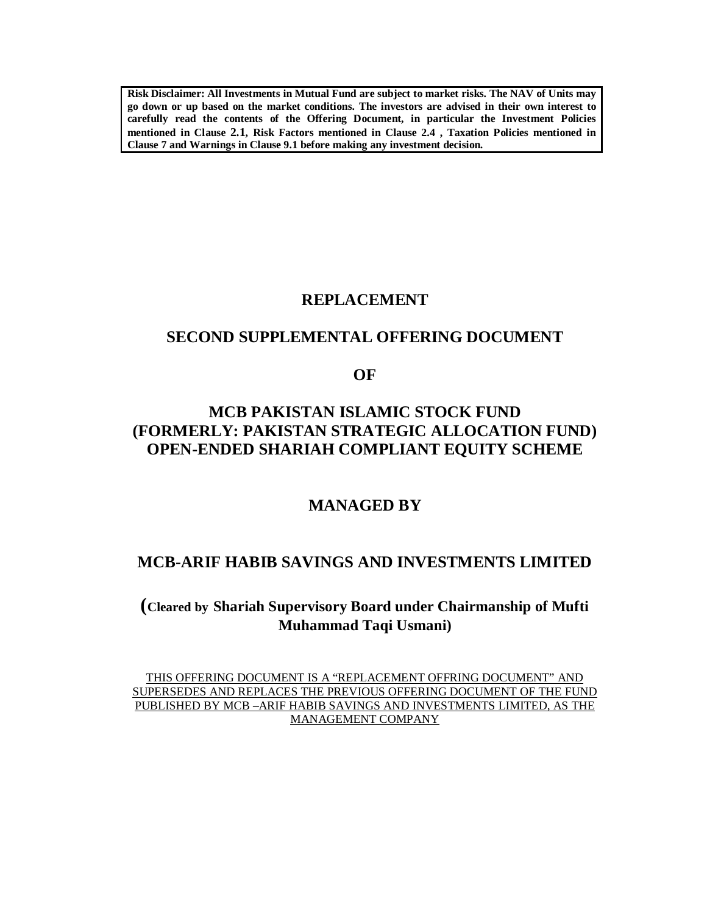**Risk Disclaimer: All Investments in Mutual Fund are subject to market risks. The NAV of Units may go down or up based on the market conditions. The investors are advised in their own interest to carefully read the contents of the Offering Document, in particular the Investment Policies mentioned in Clause 2.1, Risk Factors mentioned in Clause 2.4 , Taxation Policies mentioned in Clause 7 and Warnings in Clause 9.1 before making any investment decision.** 

# **REPLACEMENT**

# **SECOND SUPPLEMENTAL OFFERING DOCUMENT**

**OF**

# **MCB PAKISTAN ISLAMIC STOCK FUND (FORMERLY: PAKISTAN STRATEGIC ALLOCATION FUND) OPEN-ENDED SHARIAH COMPLIANT EQUITY SCHEME**

# **MANAGED BY**

# **MCB-ARIF HABIB SAVINGS AND INVESTMENTS LIMITED**

# **(Cleared by Shariah Supervisory Board under Chairmanship of Mufti Muhammad Taqi Usmani)**

THIS OFFERING DOCUMENT IS A "REPLACEMENT OFFRING DOCUMENT" AND SUPERSEDES AND REPLACES THE PREVIOUS OFFERING DOCUMENT OF THE FUND PUBLISHED BY MCB –ARIF HABIB SAVINGS AND INVESTMENTS LIMITED, AS THE MANAGEMENT COMPANY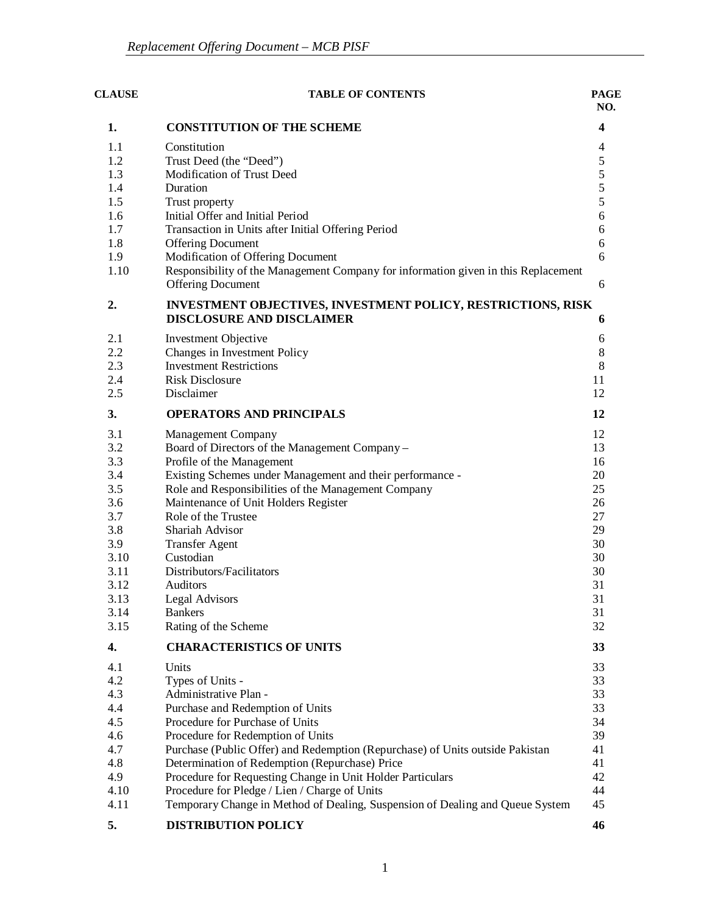| <b>CLAUSE</b><br><b>TABLE OF CONTENTS</b><br><b>PAGE</b> |                                                                                                                                 |                         |  |
|----------------------------------------------------------|---------------------------------------------------------------------------------------------------------------------------------|-------------------------|--|
| 1.                                                       | <b>CONSTITUTION OF THE SCHEME</b>                                                                                               | $\overline{\mathbf{4}}$ |  |
| 1.1                                                      | Constitution                                                                                                                    | $\overline{4}$          |  |
| 1.2                                                      | Trust Deed (the "Deed")                                                                                                         | 5                       |  |
| 1.3                                                      | Modification of Trust Deed                                                                                                      | 5                       |  |
| 1.4                                                      | Duration                                                                                                                        | 5                       |  |
| 1.5                                                      | Trust property                                                                                                                  | 5                       |  |
| 1.6                                                      | Initial Offer and Initial Period                                                                                                | 6                       |  |
| 1.7                                                      | Transaction in Units after Initial Offering Period                                                                              | 6                       |  |
| 1.8                                                      | <b>Offering Document</b>                                                                                                        | 6                       |  |
| 1.9                                                      | Modification of Offering Document                                                                                               | 6                       |  |
| 1.10                                                     | Responsibility of the Management Company for information given in this Replacement                                              |                         |  |
|                                                          | <b>Offering Document</b>                                                                                                        | 6                       |  |
| 2.                                                       | INVESTMENT OBJECTIVES, INVESTMENT POLICY, RESTRICTIONS, RISK<br><b>DISCLOSURE AND DISCLAIMER</b>                                | 6                       |  |
| 2.1                                                      | <b>Investment Objective</b>                                                                                                     | 6                       |  |
| 2.2                                                      | Changes in Investment Policy                                                                                                    | $\,8\,$                 |  |
| 2.3                                                      | <b>Investment Restrictions</b>                                                                                                  | $\,8\,$                 |  |
| 2.4                                                      | <b>Risk Disclosure</b>                                                                                                          | 11                      |  |
| 2.5                                                      | Disclaimer                                                                                                                      | 12                      |  |
| 3.                                                       | <b>OPERATORS AND PRINCIPALS</b>                                                                                                 | 12                      |  |
| 3.1                                                      | <b>Management Company</b>                                                                                                       | 12                      |  |
| 3.2                                                      | Board of Directors of the Management Company -                                                                                  | 13                      |  |
| 3.3                                                      | Profile of the Management                                                                                                       | 16                      |  |
| 3.4                                                      | Existing Schemes under Management and their performance -                                                                       | 20                      |  |
| 3.5                                                      | Role and Responsibilities of the Management Company                                                                             | 25                      |  |
| 3.6                                                      | Maintenance of Unit Holders Register                                                                                            | 26                      |  |
| 3.7                                                      | Role of the Trustee                                                                                                             | 27                      |  |
| 3.8                                                      | Shariah Advisor                                                                                                                 | 29                      |  |
| 3.9                                                      | <b>Transfer Agent</b>                                                                                                           | 30                      |  |
| 3.10                                                     | Custodian                                                                                                                       | 30                      |  |
| 3.11                                                     | Distributors/Facilitators                                                                                                       | 30                      |  |
| 3.12                                                     | Auditors                                                                                                                        | 31                      |  |
| 3.13                                                     | <b>Legal Advisors</b>                                                                                                           | 31                      |  |
| 3.14                                                     | <b>Bankers</b>                                                                                                                  | 31                      |  |
| 3.15                                                     | Rating of the Scheme                                                                                                            | 32                      |  |
| 4.                                                       | <b>CHARACTERISTICS OF UNITS</b>                                                                                                 | 33                      |  |
| 4.1                                                      | Units                                                                                                                           | 33                      |  |
| 4.2                                                      | Types of Units -                                                                                                                | 33                      |  |
| 4.3                                                      | Administrative Plan -                                                                                                           | 33                      |  |
| 4.4                                                      | Purchase and Redemption of Units                                                                                                | 33                      |  |
| 4.5                                                      | Procedure for Purchase of Units                                                                                                 | 34                      |  |
| 4.6<br>4.7                                               | Procedure for Redemption of Units                                                                                               | 39<br>41                |  |
| 4.8                                                      | Purchase (Public Offer) and Redemption (Repurchase) of Units outside Pakistan<br>Determination of Redemption (Repurchase) Price | 41                      |  |
| 4.9                                                      | Procedure for Requesting Change in Unit Holder Particulars                                                                      | 42                      |  |
| 4.10                                                     | Procedure for Pledge / Lien / Charge of Units                                                                                   | 44                      |  |
| 4.11                                                     | Temporary Change in Method of Dealing, Suspension of Dealing and Queue System                                                   | 45                      |  |
| 5.                                                       | <b>DISTRIBUTION POLICY</b>                                                                                                      | 46                      |  |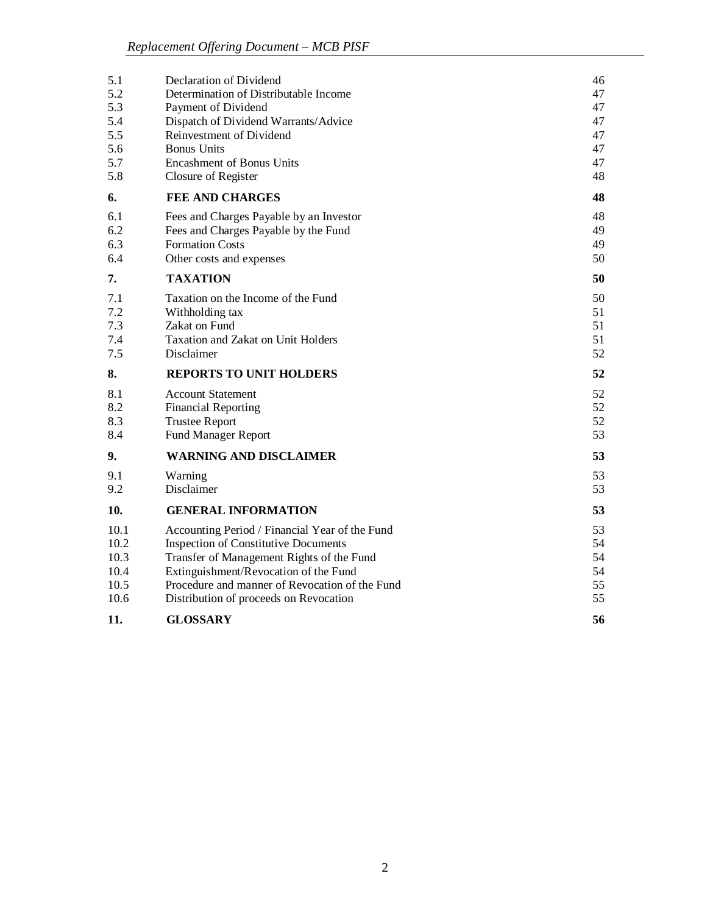| 5.1  | Declaration of Dividend                        | 46 |
|------|------------------------------------------------|----|
| 5.2  | Determination of Distributable Income          | 47 |
| 5.3  | Payment of Dividend                            | 47 |
| 5.4  | Dispatch of Dividend Warrants/Advice           | 47 |
| 5.5  | Reinvestment of Dividend                       | 47 |
| 5.6  | <b>Bonus Units</b>                             | 47 |
| 5.7  | <b>Encashment of Bonus Units</b>               | 47 |
| 5.8  | Closure of Register                            | 48 |
| 6.   | <b>FEE AND CHARGES</b>                         | 48 |
| 6.1  | Fees and Charges Payable by an Investor        | 48 |
| 6.2  | Fees and Charges Payable by the Fund           | 49 |
| 6.3  | <b>Formation Costs</b>                         | 49 |
| 6.4  | Other costs and expenses                       | 50 |
| 7.   | <b>TAXATION</b>                                | 50 |
| 7.1  | Taxation on the Income of the Fund             | 50 |
| 7.2  | Withholding tax                                | 51 |
| 7.3  | Zakat on Fund                                  | 51 |
| 7.4  | <b>Taxation and Zakat on Unit Holders</b>      | 51 |
| 7.5  | Disclaimer                                     | 52 |
| 8.   | <b>REPORTS TO UNIT HOLDERS</b>                 | 52 |
| 8.1  | <b>Account Statement</b>                       | 52 |
| 8.2  | <b>Financial Reporting</b>                     | 52 |
| 8.3  | <b>Trustee Report</b>                          | 52 |
| 8.4  | <b>Fund Manager Report</b>                     | 53 |
| 9.   | <b>WARNING AND DISCLAIMER</b>                  | 53 |
| 9.1  | Warning                                        | 53 |
| 9.2  | Disclaimer                                     | 53 |
| 10.  | <b>GENERAL INFORMATION</b>                     | 53 |
| 10.1 | Accounting Period / Financial Year of the Fund | 53 |
| 10.2 | <b>Inspection of Constitutive Documents</b>    | 54 |
| 10.3 | Transfer of Management Rights of the Fund      | 54 |
| 10.4 | Extinguishment/Revocation of the Fund          | 54 |
| 10.5 | Procedure and manner of Revocation of the Fund | 55 |
| 10.6 | Distribution of proceeds on Revocation         | 55 |
| 11.  | <b>GLOSSARY</b>                                | 56 |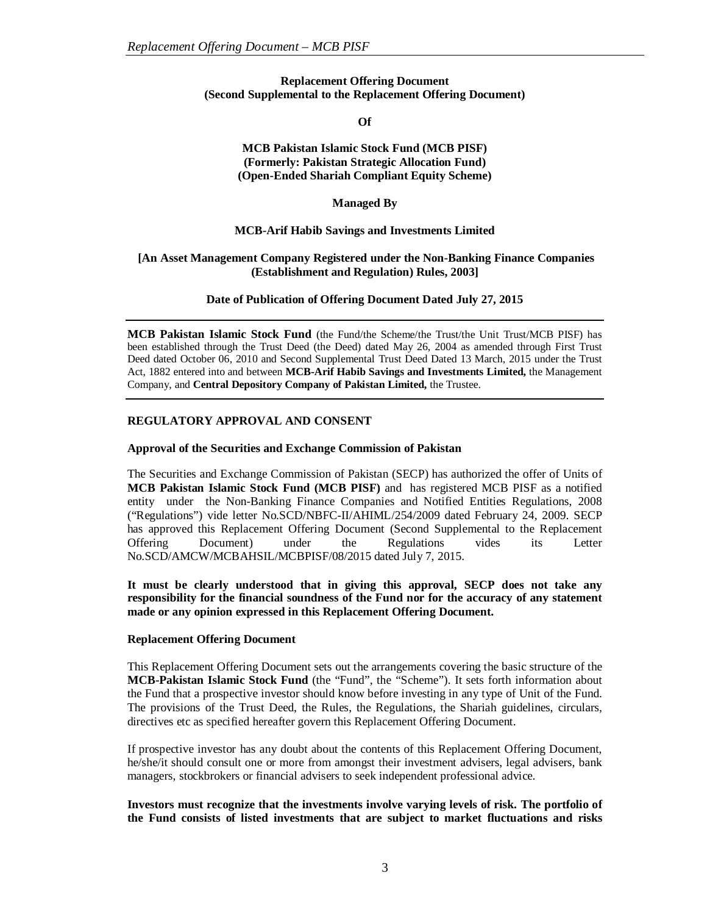## **Replacement Offering Document (Second Supplemental to the Replacement Offering Document)**

**Of**

#### **MCB Pakistan Islamic Stock Fund (MCB PISF) (Formerly: Pakistan Strategic Allocation Fund) (Open-Ended Shariah Compliant Equity Scheme)**

**Managed By**

# **MCB-Arif Habib Savings and Investments Limited**

# **[An Asset Management Company Registered under the Non-Banking Finance Companies (Establishment and Regulation) Rules, 2003]**

**Date of Publication of Offering Document Dated July 27, 2015**

**MCB Pakistan Islamic Stock Fund** (the Fund/the Scheme/the Trust/the Unit Trust/MCB PISF) has been established through the Trust Deed (the Deed) dated May 26, 2004 as amended through First Trust Deed dated October 06, 2010 and Second Supplemental Trust Deed Dated 13 March, 2015 under the Trust Act, 1882 entered into and between **MCB-Arif Habib Savings and Investments Limited,** the Management Company, and **Central Depository Company of Pakistan Limited,** the Trustee.

# **REGULATORY APPROVAL AND CONSENT**

## **Approval of the Securities and Exchange Commission of Pakistan**

The Securities and Exchange Commission of Pakistan (SECP) has authorized the offer of Units of **MCB Pakistan Islamic Stock Fund (MCB PISF)** and has registered MCB PISF as a notified entity under the Non-Banking Finance Companies and Notified Entities Regulations, 2008 ("Regulations") vide letter No.SCD/NBFC-II/AHIML/254/2009 dated February 24, 2009. SECP has approved this Replacement Offering Document (Second Supplemental to the Replacement Offering Document) under the Regulations vides its Letter No.SCD/AMCW/MCBAHSIL/MCBPISF/08/2015 dated July 7, 2015.

**It must be clearly understood that in giving this approval, SECP does not take any responsibility for the financial soundness of the Fund nor for the accuracy of any statement made or any opinion expressed in this Replacement Offering Document.**

## **Replacement Offering Document**

This Replacement Offering Document sets out the arrangements covering the basic structure of the **MCB-Pakistan Islamic Stock Fund** (the "Fund", the "Scheme"). It sets forth information about the Fund that a prospective investor should know before investing in any type of Unit of the Fund. The provisions of the Trust Deed, the Rules, the Regulations, the Shariah guidelines, circulars, directives etc as specified hereafter govern this Replacement Offering Document.

If prospective investor has any doubt about the contents of this Replacement Offering Document, he/she/it should consult one or more from amongst their investment advisers, legal advisers, bank managers, stockbrokers or financial advisers to seek independent professional advice.

**Investors must recognize that the investments involve varying levels of risk. The portfolio of the Fund consists of listed investments that are subject to market fluctuations and risks**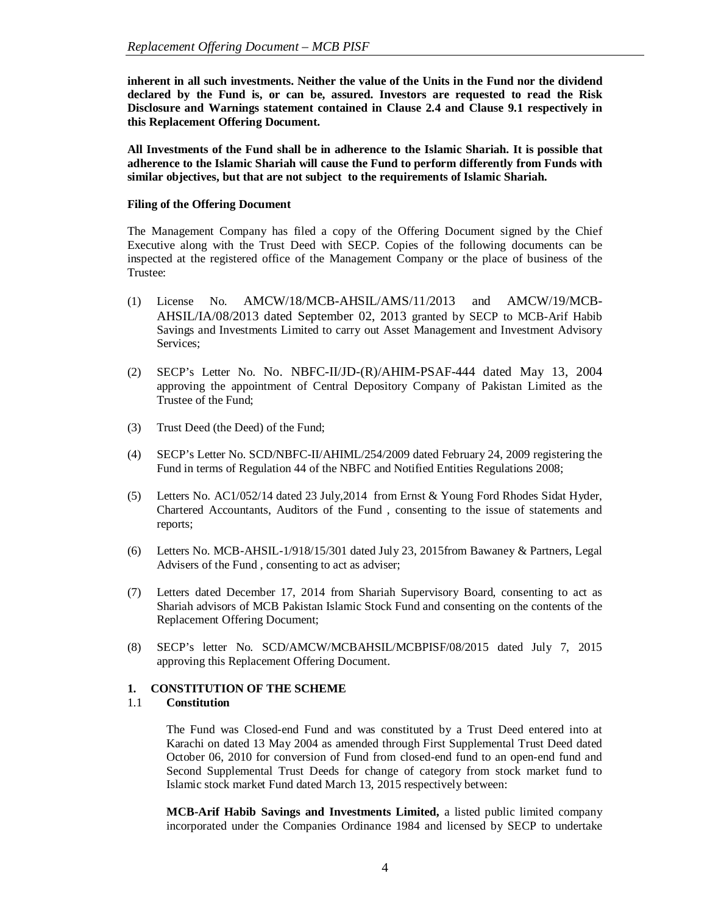**inherent in all such investments. Neither the value of the Units in the Fund nor the dividend declared by the Fund is, or can be, assured. Investors are requested to read the Risk Disclosure and Warnings statement contained in Clause 2.4 and Clause 9.1 respectively in this Replacement Offering Document.**

**All Investments of the Fund shall be in adherence to the Islamic Shariah. It is possible that adherence to the Islamic Shariah will cause the Fund to perform differently from Funds with similar objectives, but that are not subject to the requirements of Islamic Shariah.**

## **Filing of the Offering Document**

The Management Company has filed a copy of the Offering Document signed by the Chief Executive along with the Trust Deed with SECP. Copies of the following documents can be inspected at the registered office of the Management Company or the place of business of the Trustee:

- (1) License No. AMCW/18/MCB-AHSIL/AMS/11/2013 and AMCW/19/MCB-AHSIL/IA/08/2013 dated September 02, 2013 granted by SECP to MCB-Arif Habib Savings and Investments Limited to carry out Asset Management and Investment Advisory Services;
- (2) SECP's Letter No. No. NBFC-II/JD-(R)/AHIM-PSAF-444 dated May 13, 2004 approving the appointment of Central Depository Company of Pakistan Limited as the Trustee of the Fund;
- (3) Trust Deed (the Deed) of the Fund;
- (4) SECP's Letter No. SCD/NBFC-II/AHIML/254/2009 dated February 24, 2009 registering the Fund in terms of Regulation 44 of the NBFC and Notified Entities Regulations 2008;
- (5) Letters No. AC1/052/14 dated 23 July,2014 from Ernst & Young Ford Rhodes Sidat Hyder, Chartered Accountants, Auditors of the Fund , consenting to the issue of statements and reports;
- (6) Letters No. MCB-AHSIL-1/918/15/301 dated July 23, 2015from Bawaney & Partners, Legal Advisers of the Fund , consenting to act as adviser;
- (7) Letters dated December 17, 2014 from Shariah Supervisory Board, consenting to act as Shariah advisors of MCB Pakistan Islamic Stock Fund and consenting on the contents of the Replacement Offering Document;
- (8) SECP's letter No. SCD/AMCW/MCBAHSIL/MCBPISF/08/2015 dated July 7, 2015 approving this Replacement Offering Document.

## **1. CONSTITUTION OF THE SCHEME**

#### 1.1 **Constitution**

The Fund was Closed-end Fund and was constituted by a Trust Deed entered into at Karachi on dated 13 May 2004 as amended through First Supplemental Trust Deed dated October 06, 2010 for conversion of Fund from closed-end fund to an open-end fund and Second Supplemental Trust Deeds for change of category from stock market fund to Islamic stock market Fund dated March 13, 2015 respectively between:

**MCB-Arif Habib Savings and Investments Limited,** a listed public limited company incorporated under the Companies Ordinance 1984 and licensed by SECP to undertake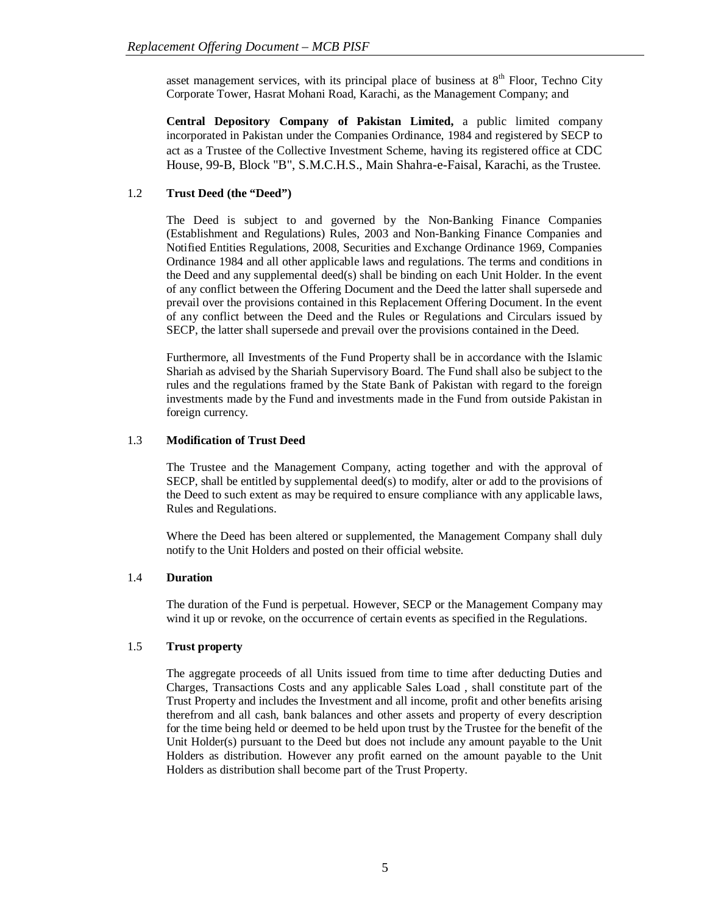asset management services, with its principal place of business at  $8<sup>th</sup>$  Floor, Techno City Corporate Tower, Hasrat Mohani Road, Karachi, as the Management Company; and

**Central Depository Company of Pakistan Limited,** a public limited company incorporated in Pakistan under the Companies Ordinance, 1984 and registered by SECP to act as a Trustee of the Collective Investment Scheme, having its registered office at CDC House, 99-B, Block "B", S.M.C.H.S., Main Shahra-e-Faisal, Karachi, as the Trustee.

# 1.2 **Trust Deed (the "Deed")**

The Deed is subject to and governed by the Non-Banking Finance Companies (Establishment and Regulations) Rules, 2003 and Non-Banking Finance Companies and Notified Entities Regulations, 2008, Securities and Exchange Ordinance 1969, Companies Ordinance 1984 and all other applicable laws and regulations. The terms and conditions in the Deed and any supplemental deed(s) shall be binding on each Unit Holder. In the event of any conflict between the Offering Document and the Deed the latter shall supersede and prevail over the provisions contained in this Replacement Offering Document. In the event of any conflict between the Deed and the Rules or Regulations and Circulars issued by SECP, the latter shall supersede and prevail over the provisions contained in the Deed.

Furthermore, all Investments of the Fund Property shall be in accordance with the Islamic Shariah as advised by the Shariah Supervisory Board. The Fund shall also be subject to the rules and the regulations framed by the State Bank of Pakistan with regard to the foreign investments made by the Fund and investments made in the Fund from outside Pakistan in foreign currency.

## 1.3 **Modification of Trust Deed**

The Trustee and the Management Company, acting together and with the approval of SECP, shall be entitled by supplemental deed(s) to modify, alter or add to the provisions of the Deed to such extent as may be required to ensure compliance with any applicable laws, Rules and Regulations.

Where the Deed has been altered or supplemented, the Management Company shall duly notify to the Unit Holders and posted on their official website.

## 1.4 **Duration**

The duration of the Fund is perpetual. However, SECP or the Management Company may wind it up or revoke, on the occurrence of certain events as specified in the Regulations.

## 1.5 **Trust property**

The aggregate proceeds of all Units issued from time to time after deducting Duties and Charges, Transactions Costs and any applicable Sales Load , shall constitute part of the Trust Property and includes the Investment and all income, profit and other benefits arising therefrom and all cash, bank balances and other assets and property of every description for the time being held or deemed to be held upon trust by the Trustee for the benefit of the Unit Holder(s) pursuant to the Deed but does not include any amount payable to the Unit Holders as distribution. However any profit earned on the amount payable to the Unit Holders as distribution shall become part of the Trust Property.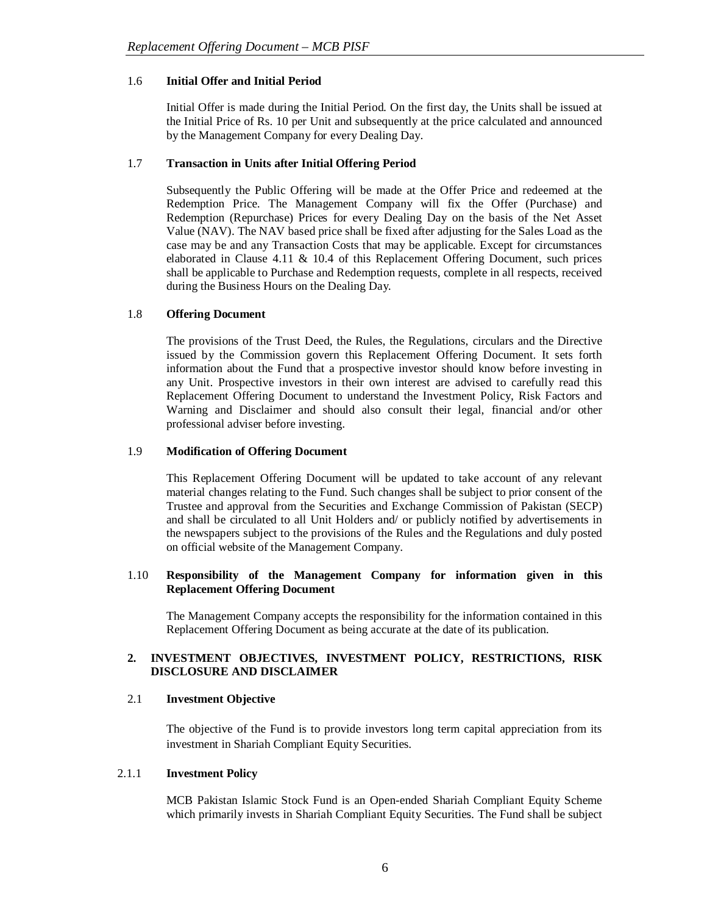## 1.6 **Initial Offer and Initial Period**

Initial Offer is made during the Initial Period. On the first day, the Units shall be issued at the Initial Price of Rs. 10 per Unit and subsequently at the price calculated and announced by the Management Company for every Dealing Day.

# 1.7 **Transaction in Units after Initial Offering Period**

Subsequently the Public Offering will be made at the Offer Price and redeemed at the Redemption Price. The Management Company will fix the Offer (Purchase) and Redemption (Repurchase) Prices for every Dealing Day on the basis of the Net Asset Value (NAV). The NAV based price shall be fixed after adjusting for the Sales Load as the case may be and any Transaction Costs that may be applicable. Except for circumstances elaborated in Clause 4.11 & 10.4 of this Replacement Offering Document, such prices shall be applicable to Purchase and Redemption requests, complete in all respects, received during the Business Hours on the Dealing Day.

# 1.8 **Offering Document**

The provisions of the Trust Deed, the Rules, the Regulations, circulars and the Directive issued by the Commission govern this Replacement Offering Document. It sets forth information about the Fund that a prospective investor should know before investing in any Unit. Prospective investors in their own interest are advised to carefully read this Replacement Offering Document to understand the Investment Policy, Risk Factors and Warning and Disclaimer and should also consult their legal, financial and/or other professional adviser before investing.

## 1.9 **Modification of Offering Document**

This Replacement Offering Document will be updated to take account of any relevant material changes relating to the Fund. Such changes shall be subject to prior consent of the Trustee and approval from the Securities and Exchange Commission of Pakistan (SECP) and shall be circulated to all Unit Holders and/ or publicly notified by advertisements in the newspapers subject to the provisions of the Rules and the Regulations and duly posted on official website of the Management Company.

# 1.10 **Responsibility of the Management Company for information given in this Replacement Offering Document**

The Management Company accepts the responsibility for the information contained in this Replacement Offering Document as being accurate at the date of its publication.

# **2. INVESTMENT OBJECTIVES, INVESTMENT POLICY, RESTRICTIONS, RISK DISCLOSURE AND DISCLAIMER**

## 2.1 **Investment Objective**

The objective of the Fund is to provide investors long term capital appreciation from its investment in Shariah Compliant Equity Securities.

## 2.1.1 **Investment Policy**

MCB Pakistan Islamic Stock Fund is an Open-ended Shariah Compliant Equity Scheme which primarily invests in Shariah Compliant Equity Securities. The Fund shall be subject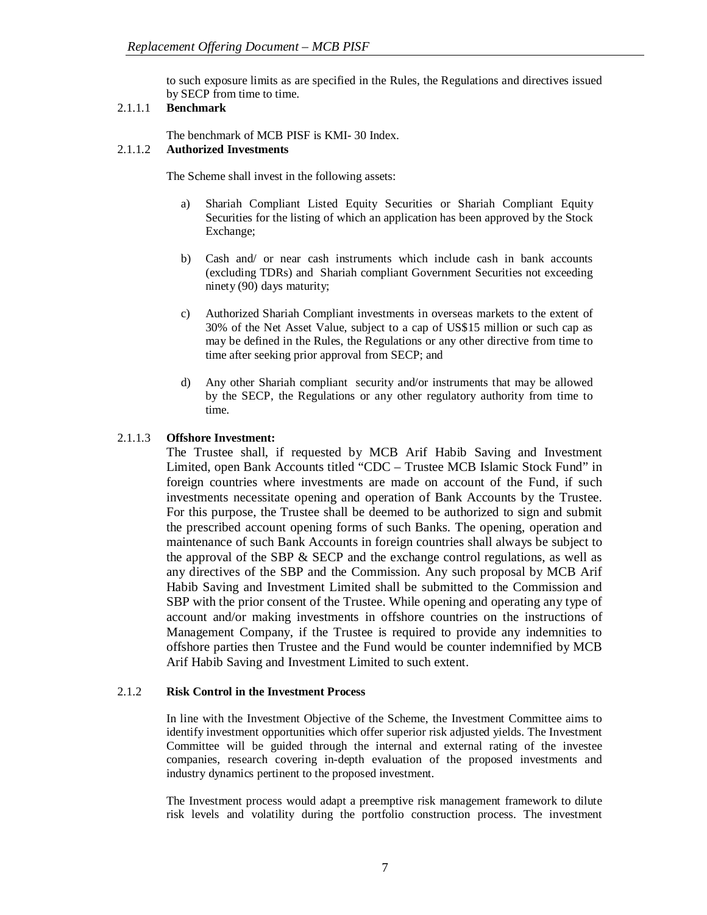to such exposure limits as are specified in the Rules, the Regulations and directives issued by SECP from time to time.

# 2.1.1.1 **Benchmark**

The benchmark of MCB PISF is KMI- 30 Index.

# 2.1.1.2 **Authorized Investments**

The Scheme shall invest in the following assets:

- a) Shariah Compliant Listed Equity Securities or Shariah Compliant Equity Securities for the listing of which an application has been approved by the Stock Exchange;
- b) Cash and/ or near cash instruments which include cash in bank accounts (excluding TDRs) and Shariah compliant Government Securities not exceeding ninety (90) days maturity;
- c) Authorized Shariah Compliant investments in overseas markets to the extent of 30% of the Net Asset Value, subject to a cap of US\$15 million or such cap as may be defined in the Rules, the Regulations or any other directive from time to time after seeking prior approval from SECP; and
- d) Any other Shariah compliant security and/or instruments that may be allowed by the SECP, the Regulations or any other regulatory authority from time to time.

# 2.1.1.3 **Offshore Investment:**

The Trustee shall, if requested by MCB Arif Habib Saving and Investment Limited, open Bank Accounts titled "CDC – Trustee MCB Islamic Stock Fund" in foreign countries where investments are made on account of the Fund, if such investments necessitate opening and operation of Bank Accounts by the Trustee. For this purpose, the Trustee shall be deemed to be authorized to sign and submit the prescribed account opening forms of such Banks. The opening, operation and maintenance of such Bank Accounts in foreign countries shall always be subject to the approval of the SBP  $\&$  SECP and the exchange control regulations, as well as any directives of the SBP and the Commission. Any such proposal by MCB Arif Habib Saving and Investment Limited shall be submitted to the Commission and SBP with the prior consent of the Trustee. While opening and operating any type of account and/or making investments in offshore countries on the instructions of Management Company, if the Trustee is required to provide any indemnities to offshore parties then Trustee and the Fund would be counter indemnified by MCB Arif Habib Saving and Investment Limited to such extent.

## 2.1.2 **Risk Control in the Investment Process**

In line with the Investment Objective of the Scheme, the Investment Committee aims to identify investment opportunities which offer superior risk adjusted yields. The Investment Committee will be guided through the internal and external rating of the investee companies, research covering in-depth evaluation of the proposed investments and industry dynamics pertinent to the proposed investment.

The Investment process would adapt a preemptive risk management framework to dilute risk levels and volatility during the portfolio construction process. The investment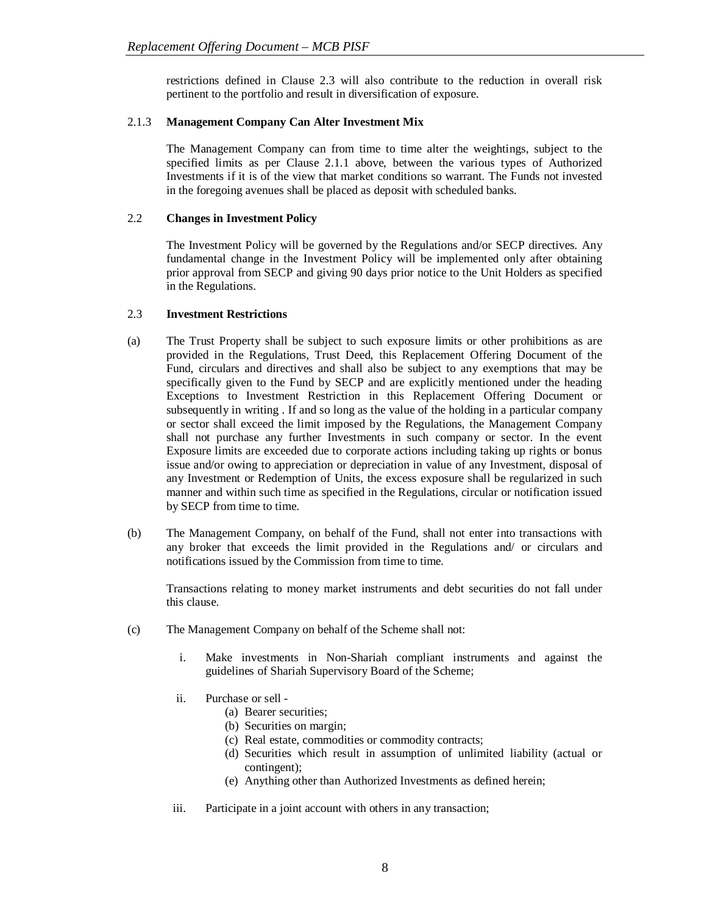restrictions defined in Clause 2.3 will also contribute to the reduction in overall risk pertinent to the portfolio and result in diversification of exposure.

## 2.1.3 **Management Company Can Alter Investment Mix**

The Management Company can from time to time alter the weightings, subject to the specified limits as per Clause 2.1.1 above, between the various types of Authorized Investments if it is of the view that market conditions so warrant. The Funds not invested in the foregoing avenues shall be placed as deposit with scheduled banks.

# 2.2 **Changes in Investment Policy**

The Investment Policy will be governed by the Regulations and/or SECP directives. Any fundamental change in the Investment Policy will be implemented only after obtaining prior approval from SECP and giving 90 days prior notice to the Unit Holders as specified in the Regulations.

# 2.3 **Investment Restrictions**

- (a) The Trust Property shall be subject to such exposure limits or other prohibitions as are provided in the Regulations, Trust Deed, this Replacement Offering Document of the Fund, circulars and directives and shall also be subject to any exemptions that may be specifically given to the Fund by SECP and are explicitly mentioned under the heading Exceptions to Investment Restriction in this Replacement Offering Document or subsequently in writing . If and so long as the value of the holding in a particular company or sector shall exceed the limit imposed by the Regulations, the Management Company shall not purchase any further Investments in such company or sector. In the event Exposure limits are exceeded due to corporate actions including taking up rights or bonus issue and/or owing to appreciation or depreciation in value of any Investment, disposal of any Investment or Redemption of Units, the excess exposure shall be regularized in such manner and within such time as specified in the Regulations, circular or notification issued by SECP from time to time.
- (b) The Management Company, on behalf of the Fund, shall not enter into transactions with any broker that exceeds the limit provided in the Regulations and/ or circulars and notifications issued by the Commission from time to time.

Transactions relating to money market instruments and debt securities do not fall under this clause.

- (c) The Management Company on behalf of the Scheme shall not:
	- i. Make investments in Non-Shariah compliant instruments and against the guidelines of Shariah Supervisory Board of the Scheme;
	- ii. Purchase or sell
		- (a) Bearer securities;
		- (b) Securities on margin;
		- (c) Real estate, commodities or commodity contracts;
		- (d) Securities which result in assumption of unlimited liability (actual or contingent);
		- (e) Anything other than Authorized Investments as defined herein;
	- iii. Participate in a joint account with others in any transaction;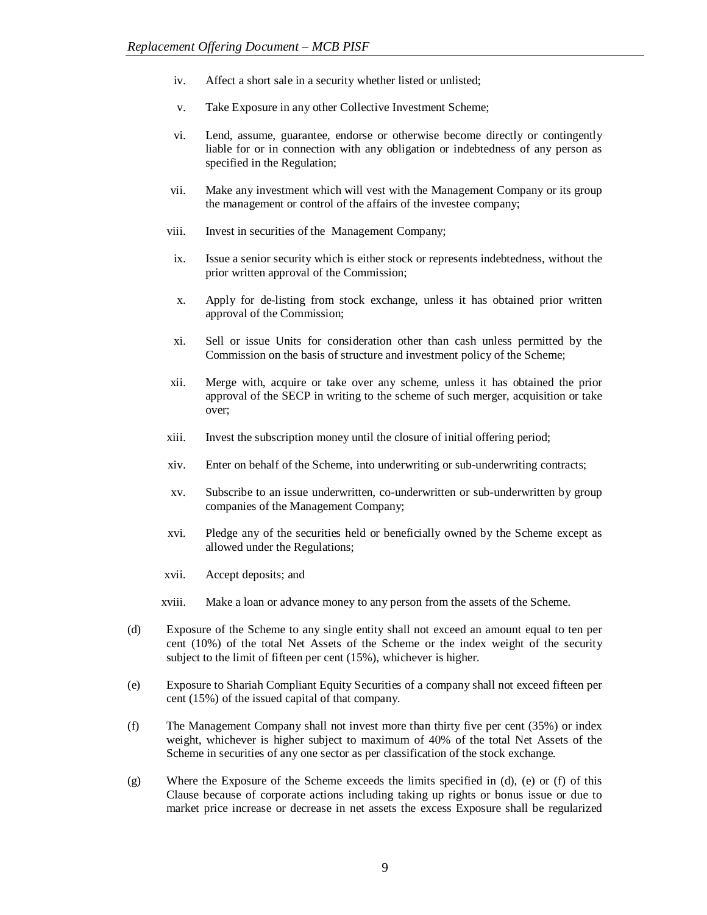- iv. Affect a short sale in a security whether listed or unlisted;
- v. Take Exposure in any other Collective Investment Scheme;
- vi. Lend, assume, guarantee, endorse or otherwise become directly or contingently liable for or in connection with any obligation or indebtedness of any person as specified in the Regulation;
- vii. Make any investment which will vest with the Management Company or its group the management or control of the affairs of the investee company;
- viii. Invest in securities of the Management Company;
- ix. Issue a senior security which is either stock or represents indebtedness, without the prior written approval of the Commission;
- x. Apply for de-listing from stock exchange, unless it has obtained prior written approval of the Commission;
- xi. Sell or issue Units for consideration other than cash unless permitted by the Commission on the basis of structure and investment policy of the Scheme;
- xii. Merge with, acquire or take over any scheme, unless it has obtained the prior approval of the SECP in writing to the scheme of such merger, acquisition or take over;
- xiii. Invest the subscription money until the closure of initial offering period;
- xiv. Enter on behalf of the Scheme, into underwriting or sub-underwriting contracts;
- xv. Subscribe to an issue underwritten, co-underwritten or sub-underwritten by group companies of the Management Company;
- xvi. Pledge any of the securities held or beneficially owned by the Scheme except as allowed under the Regulations;
- xvii. Accept deposits; and
- xviii. Make a loan or advance money to any person from the assets of the Scheme.
- (d) Exposure of the Scheme to any single entity shall not exceed an amount equal to ten per cent (10%) of the total Net Assets of the Scheme or the index weight of the security subject to the limit of fifteen per cent (15%), whichever is higher.
- (e) Exposure to Shariah Compliant Equity Securities of a company shall not exceed fifteen per cent (15%) of the issued capital of that company.
- (f) The Management Company shall not invest more than thirty five per cent (35%) or index weight, whichever is higher subject to maximum of 40% of the total Net Assets of the Scheme in securities of any one sector as per classification of the stock exchange.
- (g) Where the Exposure of the Scheme exceeds the limits specified in (d), (e) or (f) of this Clause because of corporate actions including taking up rights or bonus issue or due to market price increase or decrease in net assets the excess Exposure shall be regularized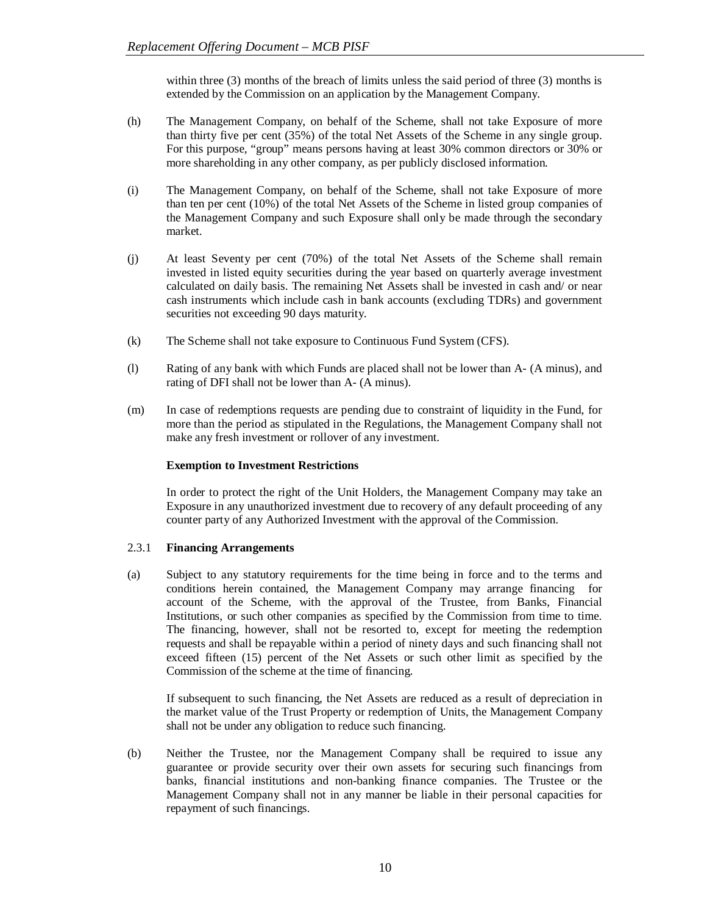within three (3) months of the breach of limits unless the said period of three (3) months is extended by the Commission on an application by the Management Company.

- (h) The Management Company, on behalf of the Scheme, shall not take Exposure of more than thirty five per cent (35%) of the total Net Assets of the Scheme in any single group. For this purpose, "group" means persons having at least 30% common directors or 30% or more shareholding in any other company, as per publicly disclosed information.
- (i) The Management Company, on behalf of the Scheme, shall not take Exposure of more than ten per cent (10%) of the total Net Assets of the Scheme in listed group companies of the Management Company and such Exposure shall only be made through the secondary market.
- (j) At least Seventy per cent (70%) of the total Net Assets of the Scheme shall remain invested in listed equity securities during the year based on quarterly average investment calculated on daily basis. The remaining Net Assets shall be invested in cash and/ or near cash instruments which include cash in bank accounts (excluding TDRs) and government securities not exceeding 90 days maturity.
- (k) The Scheme shall not take exposure to Continuous Fund System (CFS).
- (l) Rating of any bank with which Funds are placed shall not be lower than A- (A minus), and rating of DFI shall not be lower than A- (A minus).
- (m) In case of redemptions requests are pending due to constraint of liquidity in the Fund, for more than the period as stipulated in the Regulations, the Management Company shall not make any fresh investment or rollover of any investment.

## **Exemption to Investment Restrictions**

In order to protect the right of the Unit Holders, the Management Company may take an Exposure in any unauthorized investment due to recovery of any default proceeding of any counter party of any Authorized Investment with the approval of the Commission.

## 2.3.1 **Financing Arrangements**

(a) Subject to any statutory requirements for the time being in force and to the terms and conditions herein contained, the Management Company may arrange financing for account of the Scheme, with the approval of the Trustee, from Banks, Financial Institutions, or such other companies as specified by the Commission from time to time. The financing, however, shall not be resorted to, except for meeting the redemption requests and shall be repayable within a period of ninety days and such financing shall not exceed fifteen (15) percent of the Net Assets or such other limit as specified by the Commission of the scheme at the time of financing.

If subsequent to such financing, the Net Assets are reduced as a result of depreciation in the market value of the Trust Property or redemption of Units, the Management Company shall not be under any obligation to reduce such financing.

(b) Neither the Trustee, nor the Management Company shall be required to issue any guarantee or provide security over their own assets for securing such financings from banks, financial institutions and non-banking finance companies. The Trustee or the Management Company shall not in any manner be liable in their personal capacities for repayment of such financings.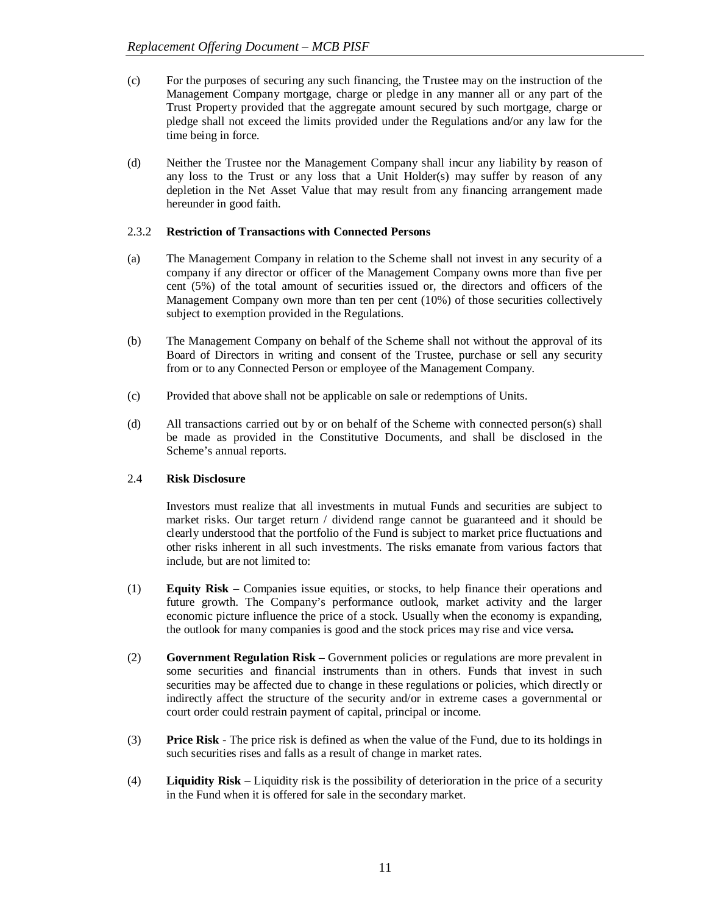- (c) For the purposes of securing any such financing, the Trustee may on the instruction of the Management Company mortgage, charge or pledge in any manner all or any part of the Trust Property provided that the aggregate amount secured by such mortgage, charge or pledge shall not exceed the limits provided under the Regulations and/or any law for the time being in force.
- (d) Neither the Trustee nor the Management Company shall incur any liability by reason of any loss to the Trust or any loss that a Unit Holder(s) may suffer by reason of any depletion in the Net Asset Value that may result from any financing arrangement made hereunder in good faith.

## 2.3.2 **Restriction of Transactions with Connected Persons**

- (a) The Management Company in relation to the Scheme shall not invest in any security of a company if any director or officer of the Management Company owns more than five per cent (5%) of the total amount of securities issued or, the directors and officers of the Management Company own more than ten per cent (10%) of those securities collectively subject to exemption provided in the Regulations.
- (b) The Management Company on behalf of the Scheme shall not without the approval of its Board of Directors in writing and consent of the Trustee, purchase or sell any security from or to any Connected Person or employee of the Management Company.
- (c) Provided that above shall not be applicable on sale or redemptions of Units.
- (d) All transactions carried out by or on behalf of the Scheme with connected person(s) shall be made as provided in the Constitutive Documents, and shall be disclosed in the Scheme's annual reports.

# 2.4 **Risk Disclosure**

Investors must realize that all investments in mutual Funds and securities are subject to market risks. Our target return / dividend range cannot be guaranteed and it should be clearly understood that the portfolio of the Fund is subject to market price fluctuations and other risks inherent in all such investments. The risks emanate from various factors that include, but are not limited to:

- (1) **Equity Risk**  Companies issue equities, or stocks, to help finance their operations and future growth. The Company's performance outlook, market activity and the larger economic picture influence the price of a stock. Usually when the economy is expanding, the outlook for many companies is good and the stock prices may rise and vice versa**.**
- (2) **Government Regulation Risk**  Government policies or regulations are more prevalent in some securities and financial instruments than in others. Funds that invest in such securities may be affected due to change in these regulations or policies, which directly or indirectly affect the structure of the security and/or in extreme cases a governmental or court order could restrain payment of capital, principal or income.
- (3) **Price Risk**  The price risk is defined as when the value of the Fund, due to its holdings in such securities rises and falls as a result of change in market rates.
- (4) **Liquidity Risk**  Liquidity risk is the possibility of deterioration in the price of a security in the Fund when it is offered for sale in the secondary market.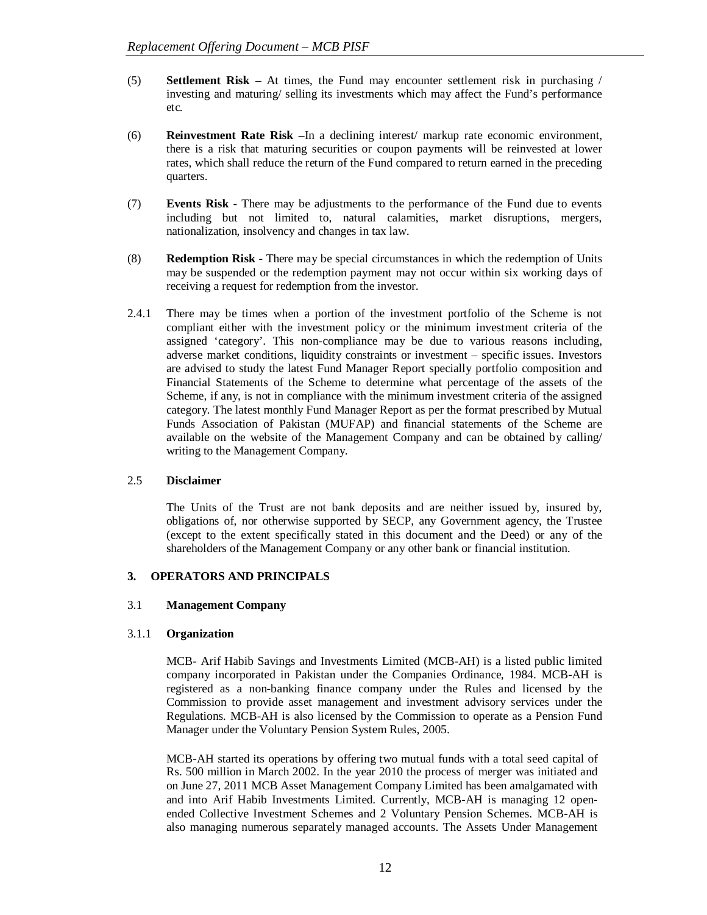- (5) **Settlement Risk**  At times, the Fund may encounter settlement risk in purchasing / investing and maturing/ selling its investments which may affect the Fund's performance etc.
- (6) **Reinvestment Rate Risk** –In a declining interest/ markup rate economic environment, there is a risk that maturing securities or coupon payments will be reinvested at lower rates, which shall reduce the return of the Fund compared to return earned in the preceding quarters.
- (7) **Events Risk -** There may be adjustments to the performance of the Fund due to events including but not limited to, natural calamities, market disruptions, mergers, nationalization, insolvency and changes in tax law.
- (8) **Redemption Risk** There may be special circumstances in which the redemption of Units may be suspended or the redemption payment may not occur within six working days of receiving a request for redemption from the investor.
- 2.4.1 There may be times when a portion of the investment portfolio of the Scheme is not compliant either with the investment policy or the minimum investment criteria of the assigned 'category'. This non-compliance may be due to various reasons including, adverse market conditions, liquidity constraints or investment – specific issues. Investors are advised to study the latest Fund Manager Report specially portfolio composition and Financial Statements of the Scheme to determine what percentage of the assets of the Scheme, if any, is not in compliance with the minimum investment criteria of the assigned category. The latest monthly Fund Manager Report as per the format prescribed by Mutual Funds Association of Pakistan (MUFAP) and financial statements of the Scheme are available on the website of the Management Company and can be obtained by calling/ writing to the Management Company.

## 2.5 **Disclaimer**

The Units of the Trust are not bank deposits and are neither issued by, insured by, obligations of, nor otherwise supported by SECP, any Government agency, the Trustee (except to the extent specifically stated in this document and the Deed) or any of the shareholders of the Management Company or any other bank or financial institution.

## **3. OPERATORS AND PRINCIPALS**

# 3.1 **Management Company**

# 3.1.1 **Organization**

MCB- Arif Habib Savings and Investments Limited (MCB-AH) is a listed public limited company incorporated in Pakistan under the Companies Ordinance, 1984. MCB-AH is registered as a non-banking finance company under the Rules and licensed by the Commission to provide asset management and investment advisory services under the Regulations. MCB-AH is also licensed by the Commission to operate as a Pension Fund Manager under the Voluntary Pension System Rules, 2005.

MCB-AH started its operations by offering two mutual funds with a total seed capital of Rs. 500 million in March 2002. In the year 2010 the process of merger was initiated and on June 27, 2011 MCB Asset Management Company Limited has been amalgamated with and into Arif Habib Investments Limited. Currently, MCB-AH is managing 12 openended Collective Investment Schemes and 2 Voluntary Pension Schemes. MCB-AH is also managing numerous separately managed accounts. The Assets Under Management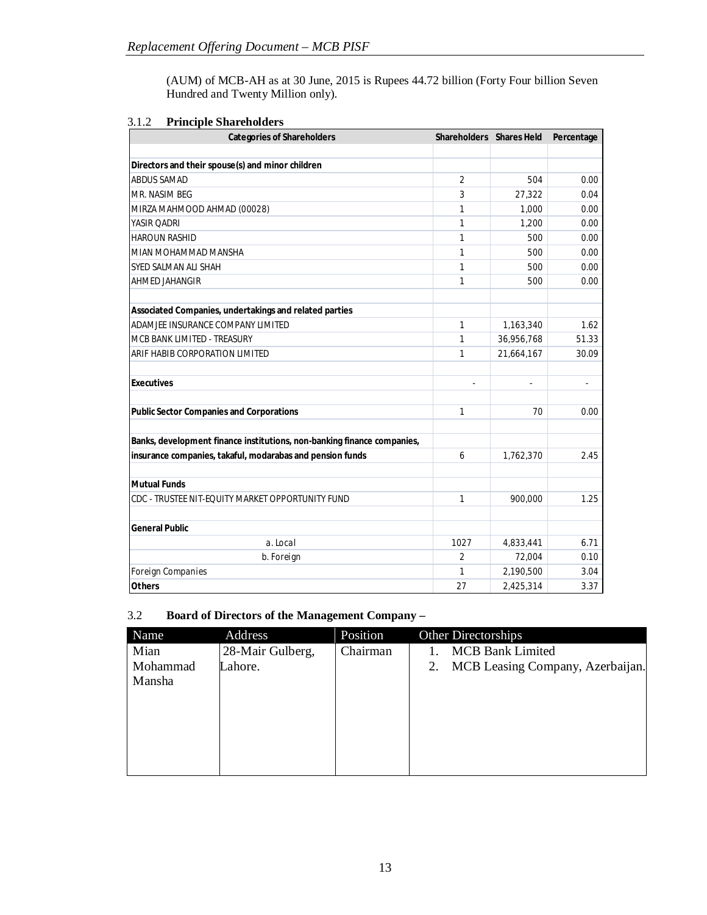(AUM) of MCB-AH as at 30 June, 2015 is Rupees 44.72 billion (Forty Four billion Seven Hundred and Twenty Million only).

| <b>Categories of Shareholders</b>                                       | Shareholders Shares Held |            | Percentage               |
|-------------------------------------------------------------------------|--------------------------|------------|--------------------------|
|                                                                         |                          |            |                          |
| Directors and their spouse(s) and minor children                        |                          |            |                          |
| <b>ABDUS SAMAD</b>                                                      | 2                        | 504        | 0.00                     |
| MR. NASIM BEG                                                           | 3                        | 27.322     | 0.04                     |
| MIRZA MAHMOOD AHMAD (00028)                                             | $\mathbf{1}$             | 1.000      | 0.00                     |
| YASIR OADRI                                                             | $\mathbf{1}$             | 1,200      | 0.00                     |
| <b>HAROUN RASHID</b>                                                    | $\mathbf{1}$             | 500        | 0.00                     |
| MIAN MOHAMMAD MANSHA                                                    | $\mathbf{1}$             | 500        | 0.00                     |
| SYED SALMAN ALI SHAH                                                    | $\mathbf{1}$             | 500        | 0.00                     |
| AHMED JAHANGIR                                                          | 1                        | 500        | 0.00                     |
| Associated Companies, undertakings and related parties                  |                          |            |                          |
| ADAMJEE INSURANCE COMPANY LIMITED                                       | $\mathbf{1}$             | 1,163,340  | 1.62                     |
| MCB BANK LIMITED - TREASURY                                             | $\mathbf{1}$             | 36,956,768 | 51.33                    |
| ARIF HABIB CORPORATION LIMITED                                          | 1                        | 21,664,167 | 30.09                    |
| <b>Executives</b>                                                       |                          |            | $\overline{\phantom{a}}$ |
| <b>Public Sector Companies and Corporations</b>                         | $\mathbf{1}$             | 70         | 0.00                     |
| Banks, development finance institutions, non-banking finance companies, |                          |            |                          |
| insurance companies, takaful, modarabas and pension funds               | 6                        | 1,762,370  | 2.45                     |
| <b>Mutual Funds</b>                                                     |                          |            |                          |
| CDC - TRUSTEE NIT-EQUITY MARKET OPPORTUNITY FUND                        | $\mathbf{1}$             | 900,000    | 1.25                     |
| <b>General Public</b>                                                   |                          |            |                          |
| a. Local                                                                | 1027                     | 4,833,441  | 6.71                     |
| b. Foreign                                                              | $\overline{2}$           | 72,004     | 0.10                     |
| Foreign Companies                                                       | 1                        | 2,190,500  | 3.04                     |
| <b>Others</b>                                                           | 27                       | 2,425,314  | 3.37                     |

# 3.1.2 **Principle Shareholders**

# 3.2 **Board of Directors of the Management Company –**

| Name     | <b>Address</b>   | Position | Other Directorships                    |
|----------|------------------|----------|----------------------------------------|
| Mian     | 28-Mair Gulberg, | Chairman | <b>MCB Bank Limited</b>                |
| Mohammad | Lahore.          |          | MCB Leasing Company, Azerbaijan.<br>2. |
| Mansha   |                  |          |                                        |
|          |                  |          |                                        |
|          |                  |          |                                        |
|          |                  |          |                                        |
|          |                  |          |                                        |
|          |                  |          |                                        |
|          |                  |          |                                        |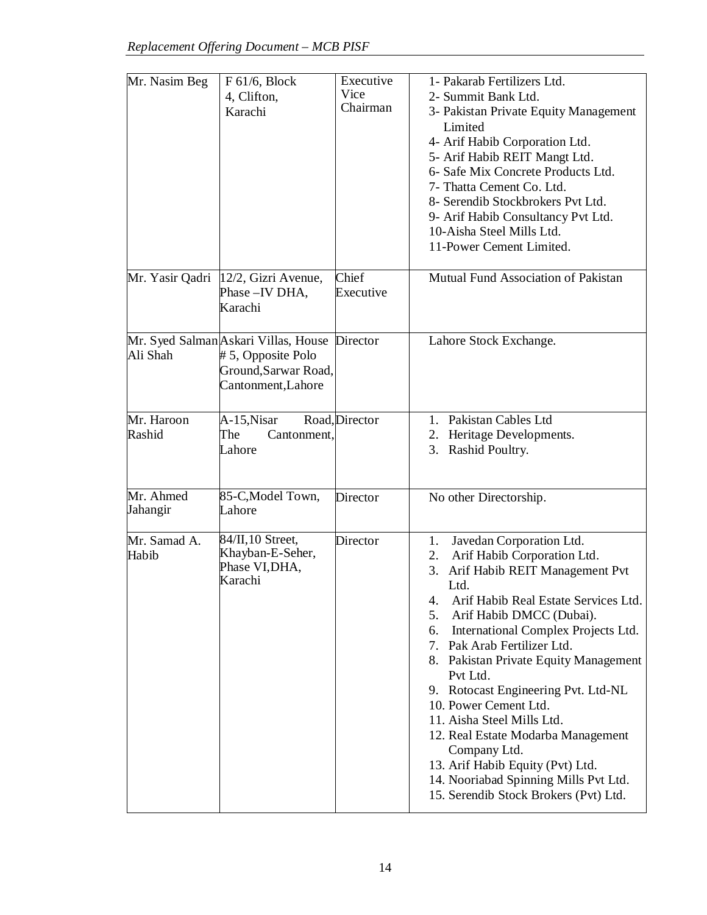| Mr. Nasim Beg         | $F 61/6$ , Block<br>4, Clifton,<br>Karachi                                                              | Executive<br>Vice<br>Chairman | 1- Pakarab Fertilizers Ltd.<br>2- Summit Bank Ltd.<br>3- Pakistan Private Equity Management<br>Limited<br>4- Arif Habib Corporation Ltd.<br>5- Arif Habib REIT Mangt Ltd.<br>6- Safe Mix Concrete Products Ltd.<br>7- Thatta Cement Co. Ltd.<br>8- Serendib Stockbrokers Pvt Ltd.<br>9- Arif Habib Consultancy Pvt Ltd.<br>10-Aisha Steel Mills Ltd.<br>11-Power Cement Limited.                                                                                                                                                                                                                               |
|-----------------------|---------------------------------------------------------------------------------------------------------|-------------------------------|----------------------------------------------------------------------------------------------------------------------------------------------------------------------------------------------------------------------------------------------------------------------------------------------------------------------------------------------------------------------------------------------------------------------------------------------------------------------------------------------------------------------------------------------------------------------------------------------------------------|
| Mr. Yasir Qadri       | 12/2, Gizri Avenue,<br>Phase - IV DHA,<br>Karachi                                                       | Chief<br>Executive            | Mutual Fund Association of Pakistan                                                                                                                                                                                                                                                                                                                                                                                                                                                                                                                                                                            |
| Ali Shah              | Mr. Syed Salman Askari Villas, House<br>#5, Opposite Polo<br>Ground, Sarwar Road,<br>Cantonment, Lahore | Director                      | Lahore Stock Exchange.                                                                                                                                                                                                                                                                                                                                                                                                                                                                                                                                                                                         |
| Mr. Haroon<br>Rashid  | A-15, Nisar<br>The<br>Cantonment,<br>Lahore                                                             | Road, Director                | 1. Pakistan Cables Ltd<br>2. Heritage Developments.<br>Rashid Poultry.<br>3.                                                                                                                                                                                                                                                                                                                                                                                                                                                                                                                                   |
| Mr. Ahmed<br>Jahangir | 85-C, Model Town,<br>Lahore                                                                             | Director                      | No other Directorship.                                                                                                                                                                                                                                                                                                                                                                                                                                                                                                                                                                                         |
| Mr. Samad A.<br>Habib | 84/II, 10 Street,<br>Khayban-E-Seher,<br>Phase VI, DHA,<br>Karachi                                      | Director                      | Javedan Corporation Ltd.<br>1.<br>Arif Habib Corporation Ltd.<br>2.<br>Arif Habib REIT Management Pvt<br>3.<br>Ltd.<br>Arif Habib Real Estate Services Ltd.<br>4.<br>Arif Habib DMCC (Dubai).<br>5.<br>International Complex Projects Ltd.<br>6.<br>7. Pak Arab Fertilizer Ltd.<br>8. Pakistan Private Equity Management<br>Pvt Ltd.<br>9. Rotocast Engineering Pvt. Ltd-NL<br>10. Power Cement Ltd.<br>11. Aisha Steel Mills Ltd.<br>12. Real Estate Modarba Management<br>Company Ltd.<br>13. Arif Habib Equity (Pvt) Ltd.<br>14. Nooriabad Spinning Mills Pvt Ltd.<br>15. Serendib Stock Brokers (Pvt) Ltd. |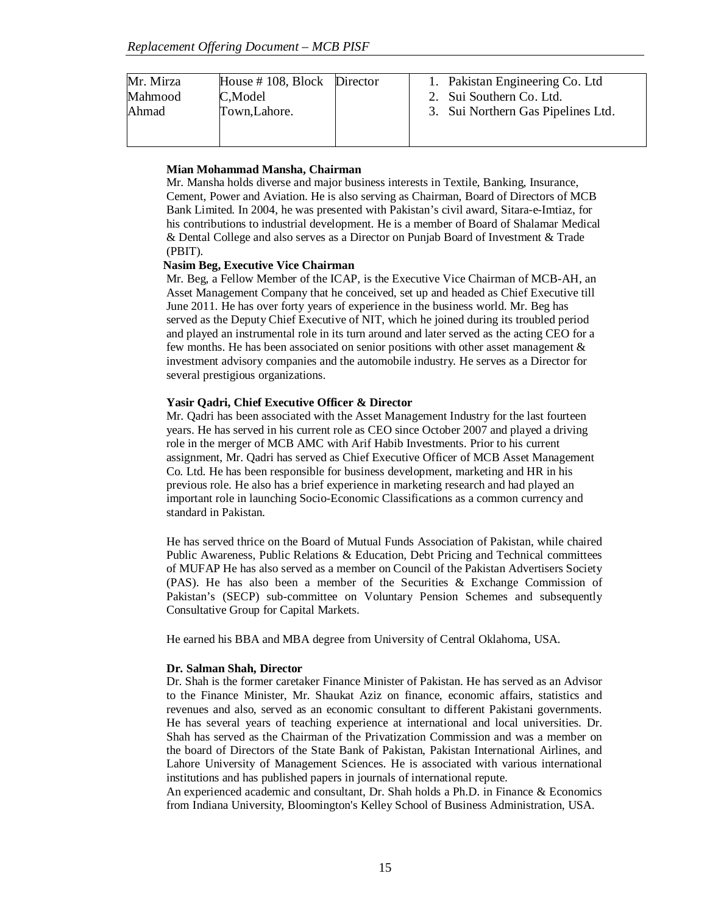| Mr. Mirza | House $\#$ 108, Block Director |  | 1. Pakistan Engineering Co. Ltd.   |
|-----------|--------------------------------|--|------------------------------------|
| Mahmood   | C,Model                        |  | 2. Sui Southern Co. Ltd.           |
| Ahmad     | Town, Lahore.                  |  | 3. Sui Northern Gas Pipelines Ltd. |
|           |                                |  |                                    |
|           |                                |  |                                    |

#### **Mian Mohammad Mansha, Chairman**

Mr. Mansha holds diverse and major business interests in Textile, Banking, Insurance, Cement, Power and Aviation. He is also serving as Chairman, Board of Directors of MCB Bank Limited. In 2004, he was presented with Pakistan's civil award, Sitara-e-Imtiaz, for his contributions to industrial development. He is a member of Board of Shalamar Medical & Dental College and also serves as a Director on Punjab Board of Investment & Trade (PBIT).

## **Nasim Beg, Executive Vice Chairman**

Mr. Beg, a Fellow Member of the ICAP, is the Executive Vice Chairman of MCB-AH, an Asset Management Company that he conceived, set up and headed as Chief Executive till June 2011. He has over forty years of experience in the business world. Mr. Beg has served as the Deputy Chief Executive of NIT, which he joined during its troubled period and played an instrumental role in its turn around and later served as the acting CEO for a few months. He has been associated on senior positions with other asset management & investment advisory companies and the automobile industry. He serves as a Director for several prestigious organizations.

#### **Yasir Qadri, Chief Executive Officer & Director**

Mr. Qadri has been associated with the Asset Management Industry for the last fourteen years. He has served in his current role as CEO since October 2007 and played a driving role in the merger of MCB AMC with Arif Habib Investments. Prior to his current assignment, Mr. Qadri has served as Chief Executive Officer of MCB Asset Management Co. Ltd. He has been responsible for business development, marketing and HR in his previous role. He also has a brief experience in marketing research and had played an important role in launching Socio-Economic Classifications as a common currency and standard in Pakistan.

He has served thrice on the Board of Mutual Funds Association of Pakistan, while chaired Public Awareness, Public Relations & Education, Debt Pricing and Technical committees of MUFAP He has also served as a member on Council of the Pakistan Advertisers Society (PAS). He has also been a member of the Securities & Exchange Commission of Pakistan's (SECP) sub-committee on Voluntary Pension Schemes and subsequently Consultative Group for Capital Markets.

He earned his BBA and MBA degree from University of Central Oklahoma, USA.

#### **Dr. Salman Shah, Director**

Dr. Shah is the former caretaker Finance Minister of Pakistan. He has served as an Advisor to the Finance Minister, Mr. Shaukat Aziz on finance, economic affairs, statistics and revenues and also, served as an economic consultant to different Pakistani governments. He has several years of teaching experience at international and local universities. Dr. Shah has served as the Chairman of the Privatization Commission and was a member on the board of Directors of the State Bank of Pakistan, Pakistan International Airlines, and Lahore University of Management Sciences. He is associated with various international institutions and has published papers in journals of international repute.

An experienced academic and consultant, Dr. Shah holds a Ph.D. in Finance & Economics from Indiana University, Bloomington's Kelley School of Business Administration, USA.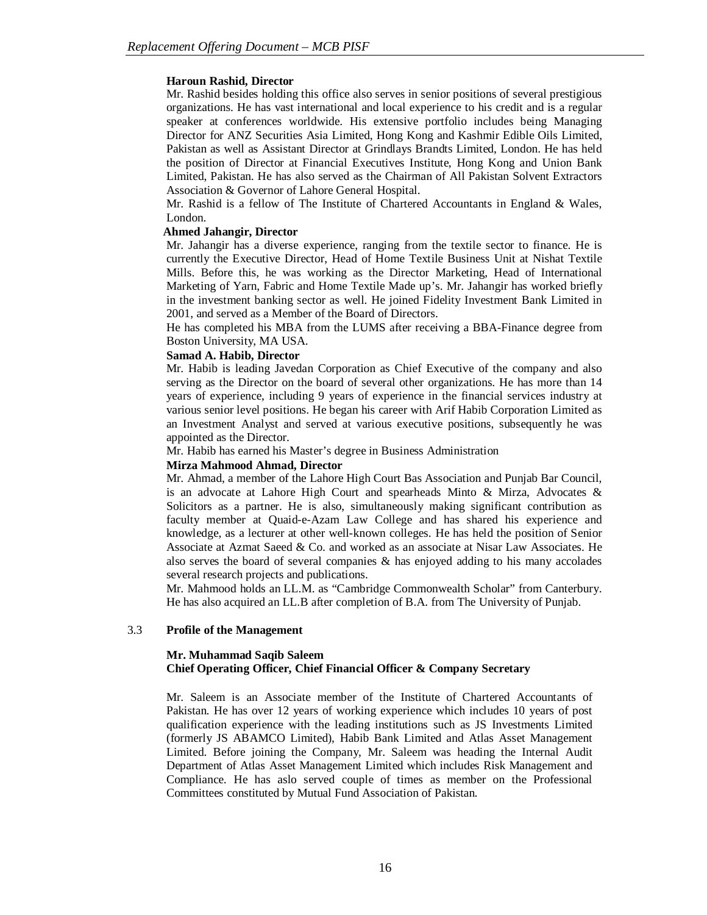## **Haroun Rashid, Director**

Mr. Rashid besides holding this office also serves in senior positions of several prestigious organizations. He has vast international and local experience to his credit and is a regular speaker at conferences worldwide. His extensive portfolio includes being Managing Director for ANZ Securities Asia Limited, Hong Kong and Kashmir Edible Oils Limited, Pakistan as well as Assistant Director at Grindlays Brandts Limited, London. He has held the position of Director at Financial Executives Institute, Hong Kong and Union Bank Limited, Pakistan. He has also served as the Chairman of All Pakistan Solvent Extractors Association & Governor of Lahore General Hospital.

Mr. Rashid is a fellow of The Institute of Chartered Accountants in England & Wales, London.

# **Ahmed Jahangir, Director**

Mr. Jahangir has a diverse experience, ranging from the textile sector to finance. He is currently the Executive Director, Head of Home Textile Business Unit at Nishat Textile Mills. Before this, he was working as the Director Marketing, Head of International Marketing of Yarn, Fabric and Home Textile Made up's. Mr. Jahangir has worked briefly in the investment banking sector as well. He joined Fidelity Investment Bank Limited in 2001, and served as a Member of the Board of Directors.

He has completed his MBA from the LUMS after receiving a BBA-Finance degree from Boston University, MA USA.

# **Samad A. Habib, Director**

Mr. Habib is leading Javedan Corporation as Chief Executive of the company and also serving as the Director on the board of several other organizations. He has more than 14 years of experience, including 9 years of experience in the financial services industry at various senior level positions. He began his career with Arif Habib Corporation Limited as an Investment Analyst and served at various executive positions, subsequently he was appointed as the Director.

Mr. Habib has earned his Master's degree in Business Administration

## **Mirza Mahmood Ahmad, Director**

Mr. Ahmad, a member of the Lahore High Court Bas Association and Punjab Bar Council, is an advocate at Lahore High Court and spearheads Minto & Mirza, Advocates & Solicitors as a partner. He is also, simultaneously making significant contribution as faculty member at Quaid-e-Azam Law College and has shared his experience and knowledge, as a lecturer at other well-known colleges. He has held the position of Senior Associate at Azmat Saeed & Co. and worked as an associate at Nisar Law Associates. He also serves the board of several companies & has enjoyed adding to his many accolades several research projects and publications.

Mr. Mahmood holds an LL.M. as "Cambridge Commonwealth Scholar" from Canterbury. He has also acquired an LL.B after completion of B.A. from The University of Punjab.

## 3.3 **Profile of the Management**

# **Mr. Muhammad Saqib Saleem Chief Operating Officer, Chief Financial Officer & Company Secretary**

Mr. Saleem is an Associate member of the Institute of Chartered Accountants of Pakistan. He has over 12 years of working experience which includes 10 years of post qualification experience with the leading institutions such as JS Investments Limited (formerly JS ABAMCO Limited), Habib Bank Limited and Atlas Asset Management Limited. Before joining the Company, Mr. Saleem was heading the Internal Audit Department of Atlas Asset Management Limited which includes Risk Management and Compliance. He has aslo served couple of times as member on the Professional Committees constituted by Mutual Fund Association of Pakistan.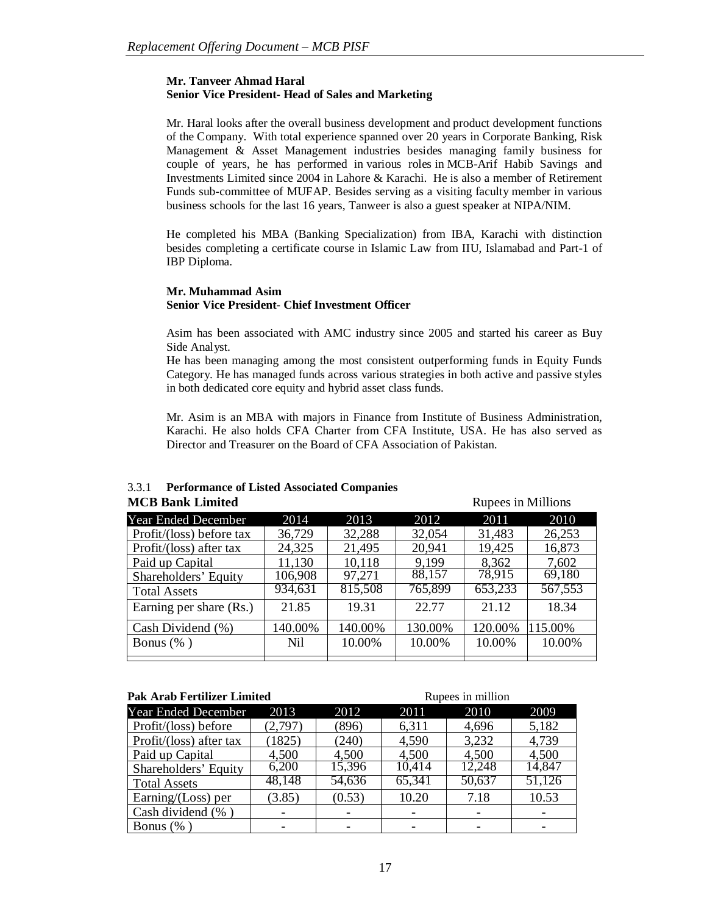# **Mr. Tanveer Ahmad Haral Senior Vice President- Head of Sales and Marketing**

Mr. Haral looks after the overall business development and product development functions of the Company. With total experience spanned over 20 years in Corporate Banking, Risk Management & Asset Management industries besides managing family business for couple of years, he has performed in various roles in MCB-Arif Habib Savings and Investments Limited since 2004 in Lahore & Karachi. He is also a member of Retirement Funds sub-committee of MUFAP. Besides serving as a visiting faculty member in various business schools for the last 16 years, Tanweer is also a guest speaker at NIPA/NIM.

He completed his MBA (Banking Specialization) from IBA, Karachi with distinction besides completing a certificate course in Islamic Law from IIU, Islamabad and Part-1 of IBP Diploma.

# **Mr. Muhammad Asim Senior Vice President- Chief Investment Officer**

Asim has been associated with AMC industry since 2005 and started his career as Buy Side Analyst.

He has been managing among the most consistent outperforming funds in Equity Funds Category. He has managed funds across various strategies in both active and passive styles in both dedicated core equity and hybrid asset class funds.

Mr. Asim is an MBA with majors in Finance from Institute of Business Administration, Karachi. He also holds CFA Charter from CFA Institute, USA. He has also served as Director and Treasurer on the Board of CFA Association of Pakistan.

| MCD DAIR LIMITED           |         |         |         | Rupees in Millions |         |
|----------------------------|---------|---------|---------|--------------------|---------|
| <b>Year Ended December</b> | 2014    | 2013    | 2012    | 2011               | 2010    |
| Profit/(loss) before tax   | 36,729  | 32,288  | 32,054  | 31,483             | 26,253  |
| Profit/(loss) after tax    | 24,325  | 21,495  | 20,941  | 19,425             | 16,873  |
| Paid up Capital            | 11,130  | 10,118  | 9.199   | 8,362              | 7,602   |
| Shareholders' Equity       | 106,908 | 97,271  | 88,157  | 78,915             | 69,180  |
| <b>Total Assets</b>        | 934,631 | 815,508 | 765,899 | 653,233            | 567,553 |
| Earning per share (Rs.)    | 21.85   | 19.31   | 22.77   | 21.12              | 18.34   |
| Cash Dividend (%)          | 140.00% | 140.00% | 130.00% | 120.00%            | 115.00% |
| Bonus $(\% )$              | Nil     | 10.00%  | 10.00%  | 10.00%             | 10.00%  |
|                            |         |         |         |                    |         |

#### 3.3.1 **Performance of Listed Associated Companies MCB Bank Limited** <br>Rupees in Millions

| <b>Pak Arab Fertilizer Limited</b> |         | Rupees in million |        |        |        |
|------------------------------------|---------|-------------------|--------|--------|--------|
| <b>Year Ended December</b>         | 2013    | 2012              | 2011   | 2010   | 2009   |
| Profit/(loss) before               | (2,797) | (896)             | 6,311  | 4,696  | 5,182  |
| Profit/(loss) after tax            | (1825)  | (240)             | 4,590  | 3,232  | 4,739  |
| Paid up Capital                    | 4,500   | 4,500             | 4,500  | 4,500  | 4,500  |
| Shareholders' Equity               | 6,200   | 15,396            | 10,414 | 12,248 | 14,847 |
| <b>Total Assets</b>                | 48,148  | 54,636            | 65,341 | 50,637 | 51,126 |
| Earning/ $(Loss)$ per              | (3.85)  | (0.53)            | 10.20  | 7.18   | 10.53  |
| Cash dividend (%)                  |         |                   |        |        |        |
| Bonus $(\%$ )                      |         |                   |        |        |        |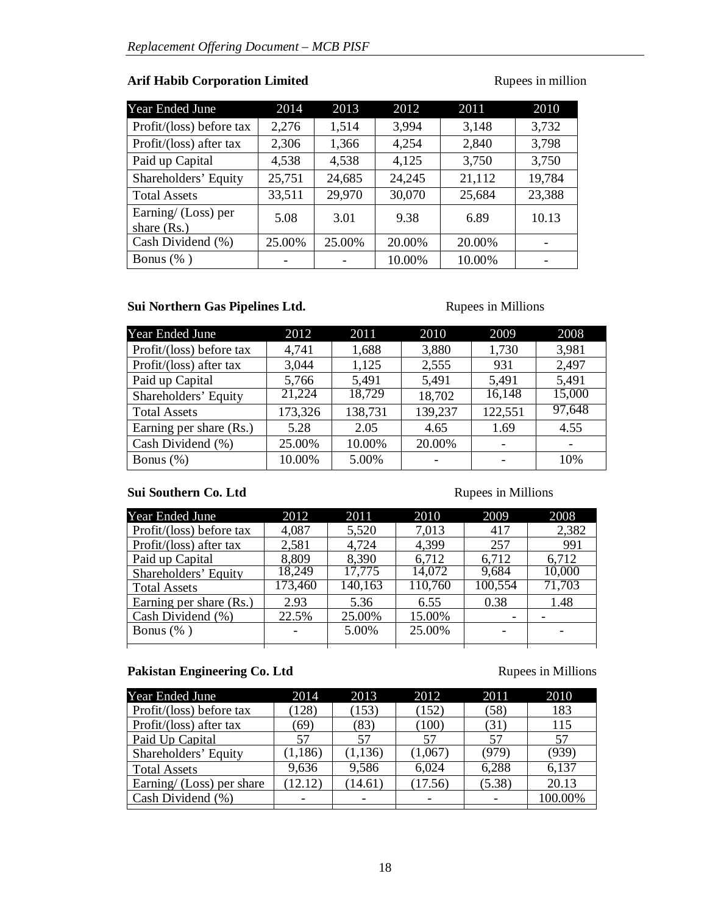# **Arif Habib Corporation Limited Rupees in million**

| Year Ended June                      | 2014   | 2013   | 2012   | 2011   | 2010   |
|--------------------------------------|--------|--------|--------|--------|--------|
| Profit/(loss) before tax             | 2,276  | 1,514  | 3,994  | 3,148  | 3,732  |
| Profit/(loss) after tax              | 2,306  | 1,366  | 4,254  | 2,840  | 3,798  |
| Paid up Capital                      | 4,538  | 4,538  | 4,125  | 3,750  | 3,750  |
| Shareholders' Equity                 | 25,751 | 24,685 | 24,245 | 21,112 | 19,784 |
| <b>Total Assets</b>                  | 33,511 | 29,970 | 30,070 | 25,684 | 23,388 |
| Earning/ (Loss) per<br>share $(Rs.)$ | 5.08   | 3.01   | 9.38   | 6.89   | 10.13  |
| Cash Dividend (%)                    | 25.00% | 25.00% | 20.00% | 20.00% |        |
| Bonus $(\% )$                        |        |        | 10.00% | 10.00% |        |

# **Sui Northern Gas Pipelines Ltd. Rupees in Millions**

| Year Ended June          | 2012    | 2011    | 2010    | 2009    | 2008   |
|--------------------------|---------|---------|---------|---------|--------|
| Profit/(loss) before tax | 4,741   | 1,688   | 3,880   | 1,730   | 3,981  |
| Profit/(loss) after tax  | 3,044   | 1,125   | 2,555   | 931     | 2,497  |
| Paid up Capital          | 5,766   | 5,491   | 5,491   | 5,491   | 5,491  |
| Shareholders' Equity     | 21,224  | 18,729  | 18,702  | 16,148  | 15,000 |
| <b>Total Assets</b>      | 173,326 | 138,731 | 139,237 | 122,551 | 97,648 |
| Earning per share (Rs.)  | 5.28    | 2.05    | 4.65    | 1.69    | 4.55   |
| Cash Dividend (%)        | 25.00%  | 10.00%  | 20.00%  |         |        |
| Bonus $(\%)$             | 10.00%  | 5.00%   | -       |         | 10%    |

# **Sui Southern Co. Ltd** Rupees in Millions

| 2012    | 2011    | 2010    | 2009                     | 2008   |
|---------|---------|---------|--------------------------|--------|
| 4,087   | 5,520   | 7,013   | 417                      | 2,382  |
| 2,581   | 4,724   | 4,399   | 257                      | 991    |
| 8,809   | 8,390   | 6,712   | 6,712                    | 6,712  |
| 18,249  |         | 14,072  | 9,684                    | 10,000 |
| 173,460 | 140,163 | 110,760 | 100,554                  | 71,703 |
| 2.93    | 5.36    | 6.55    | 0.38                     | 1.48   |
| 22.5%   | 25.00%  | 15.00%  | $\overline{\phantom{a}}$ |        |
|         | 5.00%   | 25.00%  |                          |        |
|         |         | 17,775  |                          |        |

# Pakistan Engineering Co. Ltd Rupees in Millions

| 2014     | 2013     | 2012    | 2011   | 2010    |
|----------|----------|---------|--------|---------|
| (128)    | (153)    | (152)   | (58)   | 183     |
| 69)      | (83)     | (100)   | (31)   | 115     |
| 57       | 57       | 57      | 57     | 57      |
| (1, 186) | (1, 136) | (1,067) | (979)  | (939)   |
| 9,636    | 9,586    | 6,024   | 6,288  | 6,137   |
| (12.12)  | (14.61)  | (17.56) | (5.38) | 20.13   |
|          |          |         |        | 100.00% |
|          |          |         |        |         |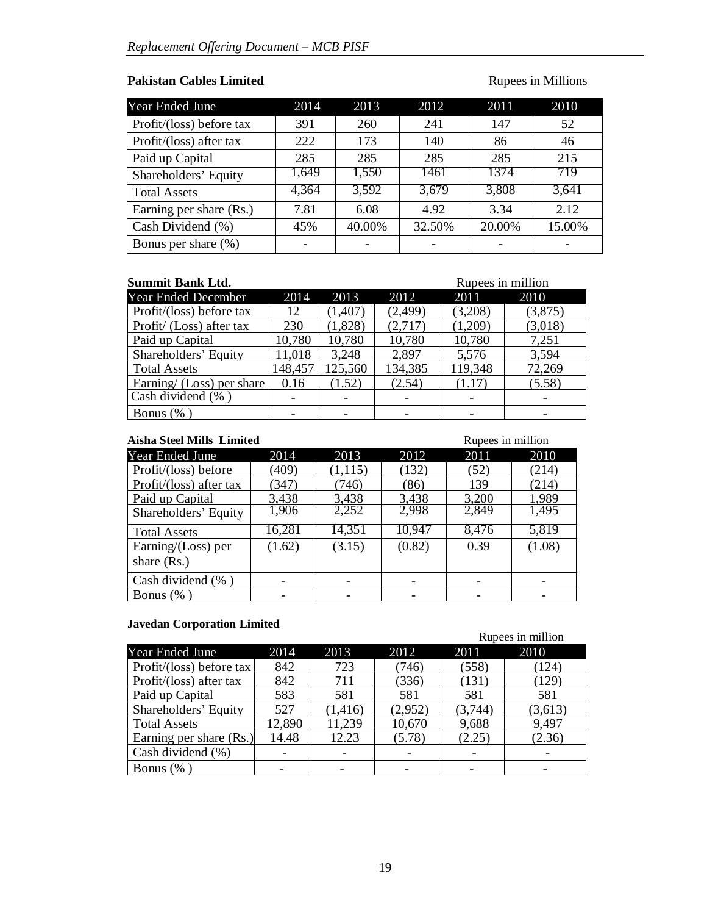# Pakistan Cables Limited **Rupees** in Millions

| Year Ended June          | 2014  | 2013   | 2012   | 2011   | 2010   |
|--------------------------|-------|--------|--------|--------|--------|
| Profit/(loss) before tax | 391   | 260    | 241    | 147    | 52     |
| Profit/(loss) after tax  | 222   | 173    | 140    | 86     | 46     |
| Paid up Capital          | 285   | 285    | 285    | 285    | 215    |
| Shareholders' Equity     | 1,649 | 1,550  | 1461   | 1374   | 719    |
| <b>Total Assets</b>      | 4,364 | 3,592  | 3,679  | 3,808  | 3,641  |
| Earning per share (Rs.)  | 7.81  | 6.08   | 4.92   | 3.34   | 2.12   |
| Cash Dividend (%)        | 45%   | 40.00% | 32.50% | 20.00% | 15.00% |
| Bonus per share (%)      |       |        |        |        |        |

| <b>Summit Bank Ltd.</b>   | Rupees in million |          |          |         |         |
|---------------------------|-------------------|----------|----------|---------|---------|
| Year Ended December       | 2014              | 2013     | 2012     | 2011    | 2010    |
| Profit/(loss) before tax  | 12                | (1, 407) | (2, 499) | (3,208) | (3,875) |
| Profit/ (Loss) after tax  | 230               | (1,828)  | (2,717)  | (1,209) | (3,018) |
| Paid up Capital           | 10,780            | 10,780   | 10,780   | 10,780  | 7,251   |
| Shareholders' Equity      | 11,018            | 3,248    | 2,897    | 5,576   | 3,594   |
| <b>Total Assets</b>       | 148,457           | 125,560  | 134,385  | 119,348 | 72,269  |
| Earning/ (Loss) per share | 0.16              | (1.52)   | (2.54)   | (1.17)  | (5.58)  |
| Cash dividend (%)         |                   |          |          |         |         |
| Bonus $(\%$               |                   |          |          |         |         |

| Rupees in million<br><b>Aisha Steel Mills Limited</b> |        |          |        |       |        |
|-------------------------------------------------------|--------|----------|--------|-------|--------|
| Year Ended June                                       | 2014   | 2013     | 2012   | 2011  | 2010   |
| Profit/(loss) before                                  | (409)  | (1, 115) | (132)  | (52)  | (214)  |
| Profit/(loss) after tax                               | (347)  | (746)    | (86)   | 139   | (214)  |
| Paid up Capital                                       | 3,438  | 3,438    | 3,438  | 3,200 | 1,989  |
| Shareholders' Equity                                  | 1,906  | 2,252    | 2,998  | 2,849 | 1,495  |
| <b>Total Assets</b>                                   | 16,281 | 14,351   | 10,947 | 8,476 | 5,819  |
| Earning/ $(Loss)$ per                                 | (1.62) | (3.15)   | (0.82) | 0.39  | (1.08) |
| share $(Rs.)$                                         |        |          |        |       |        |
| Cash dividend (%)                                     |        |          |        |       |        |
| Bonus $(\%$ )                                         |        |          |        |       |        |

# **Javedan Corporation Limited**

|                          |        |          |         |         | Rupees in million |
|--------------------------|--------|----------|---------|---------|-------------------|
| Year Ended June          | 2014   | 2013     | 2012    | 2011    | 2010              |
| Profit/(loss) before tax | 842    | 723      | (746)   | (558)   | (124)             |
| Profit/(loss) after tax  | 842    | 711      | (336)   | (131)   | (129)             |
| Paid up Capital          | 583    | 581      | 581     | 581     | 581               |
| Shareholders' Equity     | 527    | (1, 416) | (2,952) | (3,744) | (3,613)           |
| <b>Total Assets</b>      | 12,890 | 11,239   | 10,670  | 9,688   | 9,497             |
| Earning per share (Rs.)  | 14.48  | 12.23    | (5.78)  | (2.25)  | (2.36)            |
| Cash dividend $(\% )$    |        |          |         |         |                   |
| Bonus $(\%$              |        |          |         |         |                   |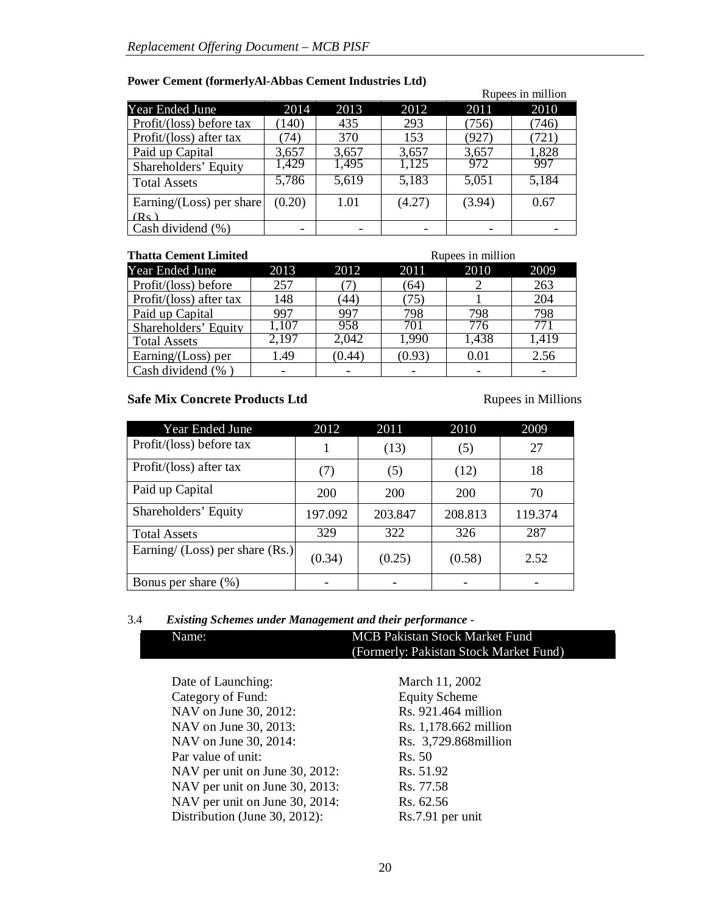|                             |                          |       |        |        | Rupees in million |
|-----------------------------|--------------------------|-------|--------|--------|-------------------|
| Year Ended June             | 2014                     | 2013  | 2012   | 2011   | 2010              |
| Profit/(loss) before tax    | (140)                    | 435   | 293    | (756)  | (746)             |
| Profit/(loss) after tax     | 74)                      | 370   | 153    | (927)  | (721)             |
| Paid up Capital             | 3,657                    | 3,657 | 3,657  | 3,657  | 1,828             |
| Shareholders' Equity        | 1,429                    | 1,495 | 1,125  | 972    | 997               |
| <b>Total Assets</b>         | 5,786                    | 5,619 | 5,183  | 5,051  | 5,184             |
| Earning/ $(Loss)$ per share | (0.20)                   | 1.01  | (4.27) | (3.94) | 0.67              |
| (Rs)                        |                          |       |        |        |                   |
| Cash dividend (%)           | $\overline{\phantom{a}}$ |       |        |        |                   |

# **Power Cement (formerlyAl-Abbas Cement Industries Ltd)**

| <b>Thatta Cement Limited</b> | Rupees in million |        |        |       |       |
|------------------------------|-------------------|--------|--------|-------|-------|
| <b>Year Ended June</b>       | 2013              | 2012   | 2011   | 2010  | 2009  |
| Profit/(loss) before         | 257               |        | (64)   |       | 263   |
| Profit/(loss) after tax      | 148               | 44`    | 75     |       | 204   |
| Paid up Capital              | 997               | 997    | 798    | 798   | 798   |
| Shareholders' Equity         | 1,107             | 958    | 701    | 776   | 771   |
| <b>Total Assets</b>          | 2,197             | 2,042  | 1,990  | 1,438 | 1,419 |
| Earning/ $(Loss)$ per        | 1.49              | (0.44) | (0.93) | 0.01  | 2.56  |
| Cash dividend (%)            |                   |        |        |       |       |

# **Safe Mix Concrete Products Ltd** Rupees in Millions

ı

| Year Ended June                   | 2012    | 2011    | 2010       | 2009    |
|-----------------------------------|---------|---------|------------|---------|
| Profit/(loss) before tax          |         | (13)    | (5)        | 27      |
| Profit/(loss) after tax           | (7)     | (5)     | (12)       | 18      |
| Paid up Capital                   | 200     | 200     | <b>200</b> | 70      |
| Shareholders' Equity              | 197.092 | 203.847 | 208.813    | 119.374 |
| <b>Total Assets</b>               | 329     | 322     | 326        | 287     |
| Earning/ (Loss) per share $(Rs.)$ | (0.34)  | (0.25)  | (0.58)     | 2.52    |
| Bonus per share (%)               |         |         |            |         |

# 3.4 *Existing Schemes under Management and their performance -*

|                                | March 11, 2002        |
|--------------------------------|-----------------------|
|                                |                       |
| Date of Launching:             |                       |
| Category of Fund:              | <b>Equity Scheme</b>  |
| NAV on June 30, 2012:          | Rs. 921.464 million   |
| NAV on June 30, 2013:          | Rs. 1,178.662 million |
| NAV on June 30, 2014:          | Rs. 3,729.868 million |
| Par value of unit:             | Rs. 50                |
| NAV per unit on June 30, 2012: | Rs. 51.92             |
| NAV per unit on June 30, 2013: | Rs. 77.58             |
| NAV per unit on June 30, 2014: | Rs. 62.56             |
| Distribution (June 30, 2012):  | Rs.7.91 per unit      |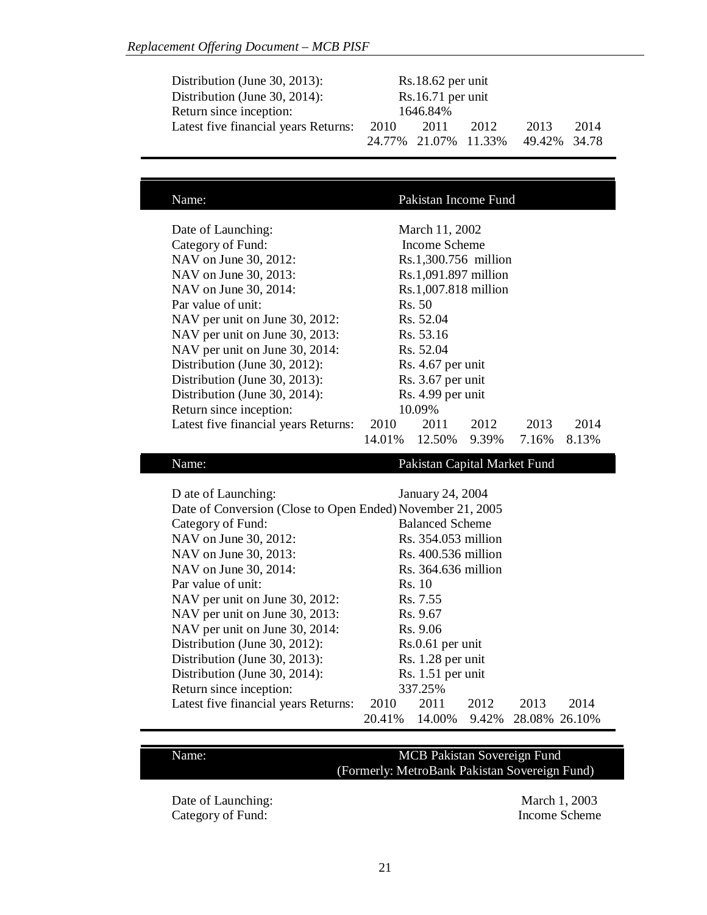| Distribution (June 30, 2013):        |      | $Rs.18.62$ per unit |                      |               |      |
|--------------------------------------|------|---------------------|----------------------|---------------|------|
| Distribution (June 30, 2014):        |      | $Rs.16.71$ per unit |                      |               |      |
| Return since inception:              |      | 1646.84%            |                      |               |      |
| Latest five financial years Returns: | 2010 | 2011                | 2012                 | 2013          | 2014 |
|                                      |      |                     | 24.77% 21.07% 11.33% | 49.42\% 34.78 |      |

| Name:                                                                                                                                                                                                                                                                                                                                                                                                                | Pakistan Income Fund                                                                                                                                                                                                                                                                                                     |
|----------------------------------------------------------------------------------------------------------------------------------------------------------------------------------------------------------------------------------------------------------------------------------------------------------------------------------------------------------------------------------------------------------------------|--------------------------------------------------------------------------------------------------------------------------------------------------------------------------------------------------------------------------------------------------------------------------------------------------------------------------|
| Date of Launching:<br>Category of Fund:<br>NAV on June 30, 2012:<br>NAV on June 30, 2013:<br>NAV on June 30, 2014:<br>Par value of unit:<br>NAV per unit on June 30, 2012:<br>NAV per unit on June 30, 2013:<br>NAV per unit on June 30, 2014:<br>Distribution (June 30, 2012):<br>Distribution (June 30, 2013):<br>Distribution (June 30, 2014):<br>Return since inception:<br>Latest five financial years Returns: | March 11, 2002<br>Income Scheme<br>Rs.1,300.756 million<br>Rs.1,091.897 million<br>Rs.1,007.818 million<br>Rs. 50<br>Rs. 52.04<br>Rs. 53.16<br>Rs. 52.04<br>Rs. 4.67 per unit<br>Rs. 3.67 per unit<br>Rs. 4.99 per unit<br>10.09%<br>2010<br>2011<br>2012<br>2013<br>2014<br>14.01%<br>9.39%<br>12.50%<br>7.16%<br>8.13% |

# Name: Pakistan Capital Market Fund

| D ate of Launching:                                        | January 24, 2004    |                        |      |                     |      |
|------------------------------------------------------------|---------------------|------------------------|------|---------------------|------|
| Date of Conversion (Close to Open Ended) November 21, 2005 |                     |                        |      |                     |      |
| Category of Fund:                                          |                     | <b>Balanced Scheme</b> |      |                     |      |
| NAV on June 30, 2012:                                      |                     | Rs. 354.053 million    |      |                     |      |
| NAV on June 30, 2013:                                      |                     | Rs. 400.536 million    |      |                     |      |
| NAV on June 30, 2014:                                      | Rs. 364.636 million |                        |      |                     |      |
| Par value of unit:                                         |                     | Rs. 10                 |      |                     |      |
| NAV per unit on June 30, 2012:                             |                     | Rs. 7.55               |      |                     |      |
| NAV per unit on June 30, 2013:                             |                     | Rs. 9.67               |      |                     |      |
| NAV per unit on June 30, 2014:                             |                     | Rs. 9.06               |      |                     |      |
| Distribution (June 30, 2012):                              |                     | $Rs.0.61$ per unit     |      |                     |      |
| Distribution (June 30, 2013):                              |                     | Rs. 1.28 per unit      |      |                     |      |
| Distribution (June 30, 2014):                              | $Rs. 1.51$ per unit |                        |      |                     |      |
| Return since inception:                                    | 337.25%             |                        |      |                     |      |
| Latest five financial years Returns:                       | 2010                | 2011                   | 2012 | 2013                | 2014 |
|                                                            | 20.41\%             | 14.00%                 |      | 9.42% 28.08% 26.10% |      |

# Name: MCB Pakistan Sovereign Fund (Formerly: MetroBank Pakistan Sovereign Fund)

Date of Launching: March 1, 2003 Category of Fund: Income Scheme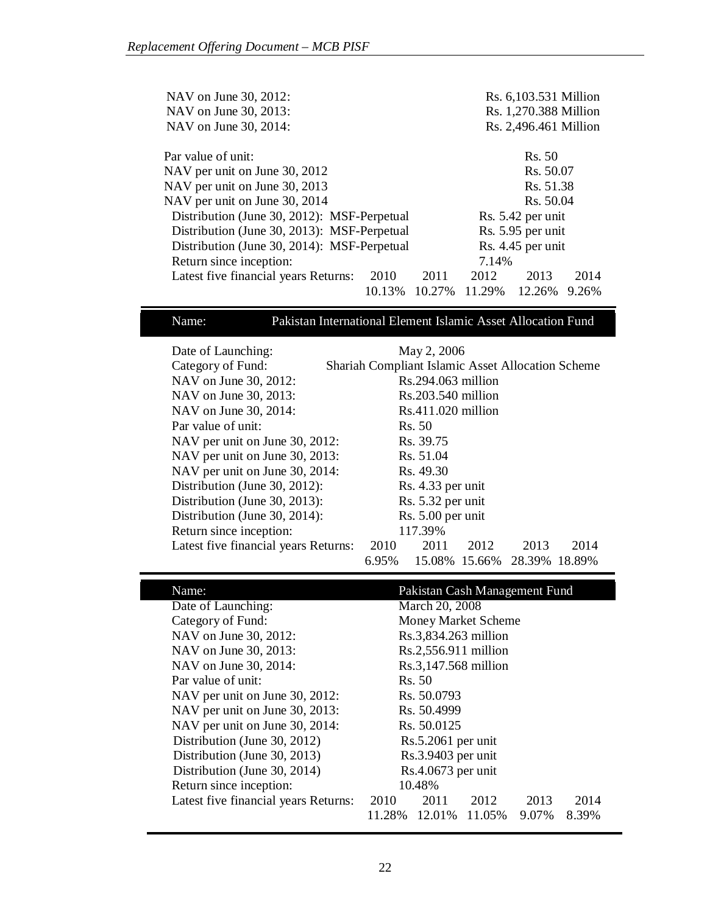| NAV on June 30, 2012:                                | Rs. 6,103.531 Million     |  |  |  |
|------------------------------------------------------|---------------------------|--|--|--|
| NAV on June 30, 2013:                                | Rs. 1,270.388 Million     |  |  |  |
| NAV on June 30, 2014:                                | Rs. 2,496.461 Million     |  |  |  |
| Par value of unit:                                   | Rs. 50                    |  |  |  |
| NAV per unit on June 30, 2012                        | Rs. 50.07                 |  |  |  |
| NAV per unit on June 30, 2013                        | Rs. 51.38                 |  |  |  |
| NAV per unit on June 30, 2014                        | Rs. 50.04                 |  |  |  |
| Distribution (June 30, 2012): MSF-Perpetual          | Rs. 5.42 per unit         |  |  |  |
| Distribution (June 30, 2013): MSF-Perpetual          | Rs. 5.95 per unit         |  |  |  |
| Distribution (June 30, 2014): MSF-Perpetual          | Rs. 4.45 per unit         |  |  |  |
| Return since inception:                              | 7.14%                     |  |  |  |
| 2010<br>Latest five financial years Returns:<br>2011 | 2012<br>2014<br>2013      |  |  |  |
| 10.27%<br>10.13%                                     | 11.29%<br>12.26%<br>9.26% |  |  |  |

# Name: Pakistan International Element Islamic Asset Allocation Fund

| Date of Launching:                   | May 2, 2006                                              |                      |      |               |      |
|--------------------------------------|----------------------------------------------------------|----------------------|------|---------------|------|
| Category of Fund:                    | <b>Shariah Compliant Islamic Asset Allocation Scheme</b> |                      |      |               |      |
| NAV on June 30, 2012:                |                                                          | $Rs.294.063$ million |      |               |      |
| NAV on June 30, 2013:                |                                                          | Rs.203.540 million   |      |               |      |
| NAV on June 30, 2014:                |                                                          | $Rs.411.020$ million |      |               |      |
| Par value of unit:                   |                                                          | Rs. 50               |      |               |      |
| NAV per unit on June 30, 2012:       | Rs. 39.75                                                |                      |      |               |      |
| NAV per unit on June 30, 2013:       | Rs. 51.04                                                |                      |      |               |      |
| NAV per unit on June 30, 2014:       | Rs. 49.30                                                |                      |      |               |      |
| Distribution (June 30, 2012):        | Rs. 4.33 per unit                                        |                      |      |               |      |
| Distribution (June 30, 2013):        | Rs. 5.32 per unit                                        |                      |      |               |      |
| Distribution (June 30, 2014):        | Rs. 5.00 per unit                                        |                      |      |               |      |
| Return since inception:              | 117.39%                                                  |                      |      |               |      |
| Latest five financial years Returns: | 2010                                                     | 2011                 | 2012 | 2013          | 2014 |
|                                      | 6.95%                                                    | 15.08% 15.66%        |      | 28.39% 18.89% |      |

| Name:                                | Pakistan Cash Management Fund |                      |                     |       |       |
|--------------------------------------|-------------------------------|----------------------|---------------------|-------|-------|
| Date of Launching:                   |                               | March 20, 2008       |                     |       |       |
| Category of Fund:                    |                               |                      | Money Market Scheme |       |       |
| NAV on June 30, 2012:                |                               | Rs.3,834.263 million |                     |       |       |
| NAV on June 30, 2013:                |                               | Rs.2,556.911 million |                     |       |       |
| NAV on June 30, 2014:                |                               | Rs.3,147.568 million |                     |       |       |
| Par value of unit:                   | Rs. 50                        |                      |                     |       |       |
| NAV per unit on June 30, 2012:       | Rs. 50.0793                   |                      |                     |       |       |
| NAV per unit on June 30, 2013:       | Rs. 50.4999                   |                      |                     |       |       |
| NAV per unit on June 30, 2014:       | Rs. 50.0125                   |                      |                     |       |       |
| Distribution (June 30, 2012)         | $Rs.5.2061$ per unit          |                      |                     |       |       |
| Distribution (June 30, 2013)         | Rs.3.9403 per unit            |                      |                     |       |       |
| Distribution (June 30, 2014)         | Rs.4.0673 per unit            |                      |                     |       |       |
| Return since inception:              | 10.48%                        |                      |                     |       |       |
| Latest five financial years Returns: | 2010                          | 2011                 | 2012                | 2013  | 2014  |
|                                      | 11.28%                        | 12.01%               | 11.05%              | 9.07% | 8.39% |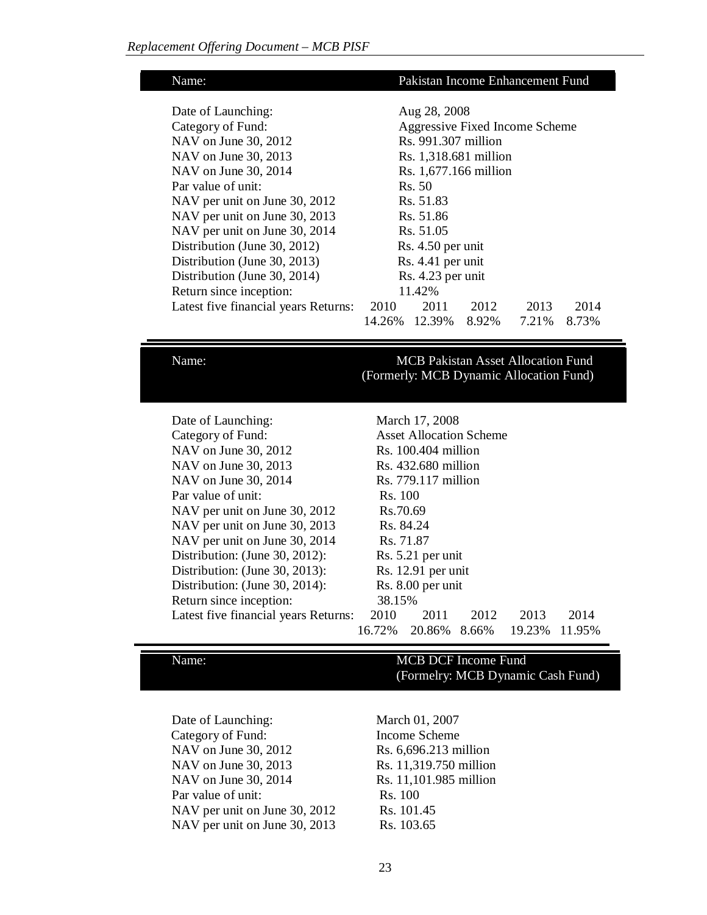| Name:                                | Pakistan Income Enhancement Fund |                                |       |       |       |
|--------------------------------------|----------------------------------|--------------------------------|-------|-------|-------|
|                                      |                                  |                                |       |       |       |
| Date of Launching:                   |                                  | Aug 28, 2008                   |       |       |       |
| Category of Fund:                    |                                  | Aggressive Fixed Income Scheme |       |       |       |
| NAV on June 30, 2012                 |                                  | Rs. 991.307 million            |       |       |       |
| NAV on June 30, 2013                 |                                  | Rs. 1,318.681 million          |       |       |       |
| NAV on June 30, 2014                 |                                  | Rs. 1,677.166 million          |       |       |       |
| Par value of unit:                   | Rs. 50                           |                                |       |       |       |
| NAV per unit on June 30, 2012        | Rs. 51.83                        |                                |       |       |       |
| NAV per unit on June 30, 2013        | Rs. 51.86                        |                                |       |       |       |
| NAV per unit on June 30, 2014        | Rs. 51.05                        |                                |       |       |       |
| Distribution (June 30, 2012)         | Rs. 4.50 per unit                |                                |       |       |       |
| Distribution (June 30, 2013)         | Rs. 4.41 per unit                |                                |       |       |       |
| Distribution (June 30, 2014)         | Rs. 4.23 per unit                |                                |       |       |       |
| Return since inception:              | 11.42%                           |                                |       |       |       |
| Latest five financial years Returns: | 2010                             | 2011                           | 2012  | 2013  | 2014  |
|                                      | 14.26%                           | 12.39%                         | 8.92% | 7.21% | 8.73% |

# Name: MCB Pakistan Asset Allocation Fund (Formerly: MCB Dynamic Allocation Fund)

| Date of Launching:                   | March 17, 2008                       |                                |       |        |        |
|--------------------------------------|--------------------------------------|--------------------------------|-------|--------|--------|
| Category of Fund:                    |                                      | <b>Asset Allocation Scheme</b> |       |        |        |
| NAV on June 30, 2012                 |                                      | $Rs. 100.404$ million          |       |        |        |
| NAV on June 30, 2013                 |                                      | Rs. 432.680 million            |       |        |        |
| NAV on June 30, 2014                 |                                      | Rs. 779.117 million            |       |        |        |
| Par value of unit:                   | Rs. 100                              |                                |       |        |        |
| NAV per unit on June 30, 2012        |                                      | Rs.70.69                       |       |        |        |
| NAV per unit on June 30, 2013        |                                      | Rs. 84.24                      |       |        |        |
| NAV per unit on June 30, 2014        | Rs. 71.87                            |                                |       |        |        |
| Distribution: (June 30, 2012):       | Rs. 5.21 per unit                    |                                |       |        |        |
| Distribution: (June 30, 2013):       | $Rs. 12.91$ per unit                 |                                |       |        |        |
| Distribution: (June 30, 2014):       | Rs. 8.00 per unit                    |                                |       |        |        |
| Return since inception:              | 38.15%                               |                                |       |        |        |
| Latest five financial years Returns: | 2010<br>2013<br>2014<br>2011<br>2012 |                                |       |        |        |
|                                      | 16.72%                               | 20.86%                         | 8.66% | 19.23% | 11.95% |

# Name: MCB DCF Income Fund (Formelry: MCB Dynamic Cash Fund)

Date of Launching: March 01, 2007 Category of Fund: Income Scheme NAV on June 30, 2012 Rs. 6,696.213 million NAV on June 30, 2013 Rs. 11,319.750 million NAV on June 30, 2014 Rs. 11,101.985 million Par value of unit: Rs. 100 NAV per unit on June 30, 2012 Rs. 101.45 NAV per unit on June 30, 2013 Rs. 103.65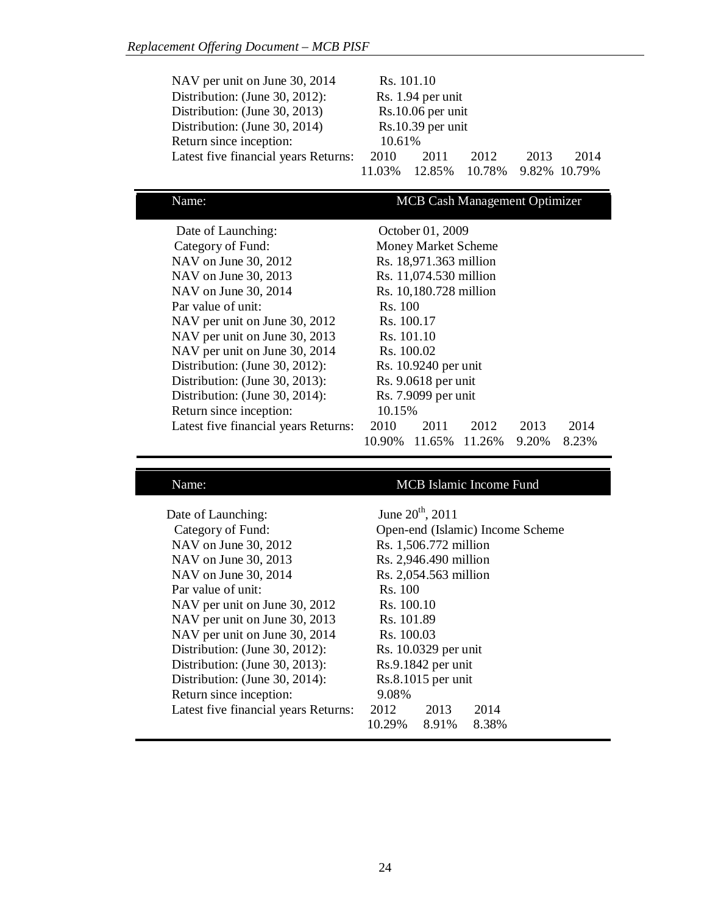| NAV per unit on June 30, 2014        |                     | Rs. 101.10        |        |      |              |
|--------------------------------------|---------------------|-------------------|--------|------|--------------|
| Distribution: (June 30, 2012):       |                     | Rs. 1.94 per unit |        |      |              |
| Distribution: (June 30, 2013)        |                     | Rs.10.06 per unit |        |      |              |
| Distribution: (June 30, 2014)        | $Rs.10.39$ per unit |                   |        |      |              |
| Return since inception:              | 10.61%              |                   |        |      |              |
| Latest five financial years Returns: | 2010                | 2011              | 2012   | 2013 | 2014         |
|                                      | 11 03%              | 12.85%            | 10.78% |      | 9.82% 10.79% |

Name: MCB Cash Management Optimizer

| Date of Launching:                   | October 01, 2009     |                            |        |       |       |
|--------------------------------------|----------------------|----------------------------|--------|-------|-------|
| Category of Fund:                    |                      | <b>Money Market Scheme</b> |        |       |       |
| NAV on June 30, 2012                 |                      | Rs. 18,971.363 million     |        |       |       |
| NAV on June 30, 2013                 |                      | Rs. 11,074.530 million     |        |       |       |
| NAV on June 30, 2014                 |                      | Rs. 10,180.728 million     |        |       |       |
| Par value of unit:                   | Rs. 100              |                            |        |       |       |
| NAV per unit on June 30, 2012        | Rs. 100.17           |                            |        |       |       |
| NAV per unit on June 30, 2013        | Rs. 101.10           |                            |        |       |       |
| NAV per unit on June 30, 2014        | Rs. 100.02           |                            |        |       |       |
| Distribution: (June 30, 2012):       | Rs. 10.9240 per unit |                            |        |       |       |
| Distribution: (June 30, 2013):       | Rs. 9.0618 per unit  |                            |        |       |       |
| Distribution: (June 30, 2014):       | Rs. 7.9099 per unit  |                            |        |       |       |
| Return since inception:              | 10.15%               |                            |        |       |       |
| Latest five financial years Returns: | 2010                 | 2011                       | 2012   | 2013  | 2014  |
|                                      | 10.90%               | 11.65%                     | 11.26% | 9.20% | 8.23% |

# Name: MCB Islamic Income Fund

| Date of Launching:                   |            | June $20^{th}$ , $2011$ |                                  |  |
|--------------------------------------|------------|-------------------------|----------------------------------|--|
| Category of Fund:                    |            |                         | Open-end (Islamic) Income Scheme |  |
| NAV on June 30, 2012                 |            | Rs. 1,506.772 million   |                                  |  |
| NAV on June 30, 2013                 |            | Rs. 2,946.490 million   |                                  |  |
| NAV on June 30, 2014                 |            | Rs. 2,054.563 million   |                                  |  |
| Par value of unit:                   | Rs. 100    |                         |                                  |  |
| NAV per unit on June 30, 2012        | Rs. 100.10 |                         |                                  |  |
| NAV per unit on June 30, 2013        | Rs. 101.89 |                         |                                  |  |
| NAV per unit on June 30, 2014        | Rs. 100.03 |                         |                                  |  |
| Distribution: (June 30, 2012):       |            | Rs. 10.0329 per unit    |                                  |  |
| Distribution: (June 30, 2013):       |            | Rs.9.1842 per unit      |                                  |  |
| Distribution: (June 30, 2014):       |            | Rs.8.1015 per unit      |                                  |  |
| Return since inception:              | 9.08%      |                         |                                  |  |
| Latest five financial years Returns: | 2012       | 2013                    | 2014                             |  |
|                                      | 10.29%     | 8.91%                   | 8.38%                            |  |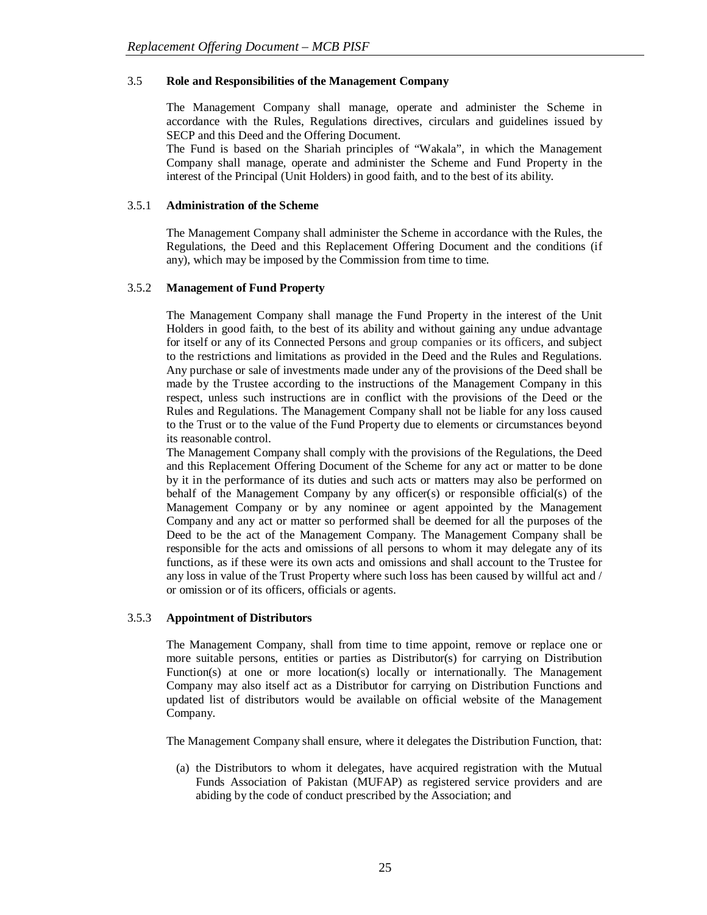## 3.5 **Role and Responsibilities of the Management Company**

The Management Company shall manage, operate and administer the Scheme in accordance with the Rules, Regulations directives, circulars and guidelines issued by SECP and this Deed and the Offering Document.

The Fund is based on the Shariah principles of "Wakala", in which the Management Company shall manage, operate and administer the Scheme and Fund Property in the interest of the Principal (Unit Holders) in good faith, and to the best of its ability.

## 3.5.1 **Administration of the Scheme**

The Management Company shall administer the Scheme in accordance with the Rules, the Regulations, the Deed and this Replacement Offering Document and the conditions (if any), which may be imposed by the Commission from time to time.

#### 3.5.2 **Management of Fund Property**

The Management Company shall manage the Fund Property in the interest of the Unit Holders in good faith, to the best of its ability and without gaining any undue advantage for itself or any of its Connected Persons and group companies or its officers, and subject to the restrictions and limitations as provided in the Deed and the Rules and Regulations. Any purchase or sale of investments made under any of the provisions of the Deed shall be made by the Trustee according to the instructions of the Management Company in this respect, unless such instructions are in conflict with the provisions of the Deed or the Rules and Regulations. The Management Company shall not be liable for any loss caused to the Trust or to the value of the Fund Property due to elements or circumstances beyond its reasonable control.

The Management Company shall comply with the provisions of the Regulations, the Deed and this Replacement Offering Document of the Scheme for any act or matter to be done by it in the performance of its duties and such acts or matters may also be performed on behalf of the Management Company by any officer(s) or responsible official(s) of the Management Company or by any nominee or agent appointed by the Management Company and any act or matter so performed shall be deemed for all the purposes of the Deed to be the act of the Management Company. The Management Company shall be responsible for the acts and omissions of all persons to whom it may delegate any of its functions, as if these were its own acts and omissions and shall account to the Trustee for any loss in value of the Trust Property where such loss has been caused by willful act and / or omission or of its officers, officials or agents.

## 3.5.3 **Appointment of Distributors**

The Management Company, shall from time to time appoint, remove or replace one or more suitable persons, entities or parties as Distributor(s) for carrying on Distribution Function(s) at one or more location(s) locally or internationally. The Management Company may also itself act as a Distributor for carrying on Distribution Functions and updated list of distributors would be available on official website of the Management Company.

The Management Company shall ensure, where it delegates the Distribution Function, that:

(a) the Distributors to whom it delegates, have acquired registration with the Mutual Funds Association of Pakistan (MUFAP) as registered service providers and are abiding by the code of conduct prescribed by the Association; and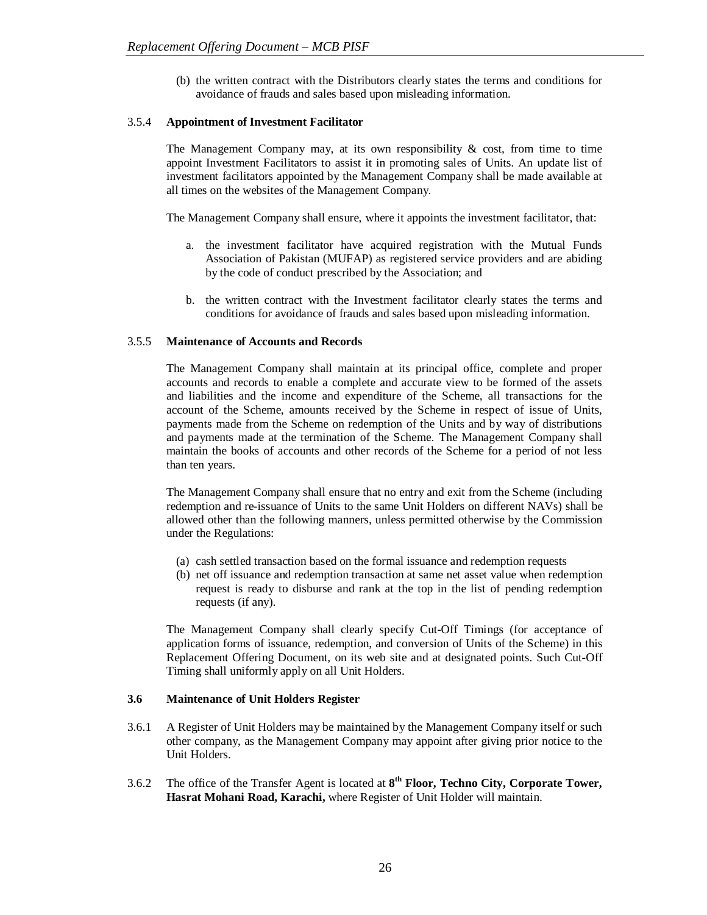(b) the written contract with the Distributors clearly states the terms and conditions for avoidance of frauds and sales based upon misleading information.

# 3.5.4 **Appointment of Investment Facilitator**

The Management Company may, at its own responsibility  $\&$  cost, from time to time appoint Investment Facilitators to assist it in promoting sales of Units. An update list of investment facilitators appointed by the Management Company shall be made available at all times on the websites of the Management Company.

The Management Company shall ensure, where it appoints the investment facilitator, that:

- a. the investment facilitator have acquired registration with the Mutual Funds Association of Pakistan (MUFAP) as registered service providers and are abiding by the code of conduct prescribed by the Association; and
- b. the written contract with the Investment facilitator clearly states the terms and conditions for avoidance of frauds and sales based upon misleading information.

## 3.5.5 **Maintenance of Accounts and Records**

The Management Company shall maintain at its principal office, complete and proper accounts and records to enable a complete and accurate view to be formed of the assets and liabilities and the income and expenditure of the Scheme, all transactions for the account of the Scheme, amounts received by the Scheme in respect of issue of Units, payments made from the Scheme on redemption of the Units and by way of distributions and payments made at the termination of the Scheme. The Management Company shall maintain the books of accounts and other records of the Scheme for a period of not less than ten years.

The Management Company shall ensure that no entry and exit from the Scheme (including redemption and re-issuance of Units to the same Unit Holders on different NAVs) shall be allowed other than the following manners, unless permitted otherwise by the Commission under the Regulations:

- (a) cash settled transaction based on the formal issuance and redemption requests
- (b) net off issuance and redemption transaction at same net asset value when redemption request is ready to disburse and rank at the top in the list of pending redemption requests (if any).

The Management Company shall clearly specify Cut-Off Timings (for acceptance of application forms of issuance, redemption, and conversion of Units of the Scheme) in this Replacement Offering Document, on its web site and at designated points. Such Cut-Off Timing shall uniformly apply on all Unit Holders.

## **3.6 Maintenance of Unit Holders Register**

- 3.6.1 A Register of Unit Holders may be maintained by the Management Company itself or such other company, as the Management Company may appoint after giving prior notice to the Unit Holders.
- 3.6.2 The office of the Transfer Agent is located at **8 th Floor, Techno City, Corporate Tower, Hasrat Mohani Road, Karachi,** where Register of Unit Holder will maintain.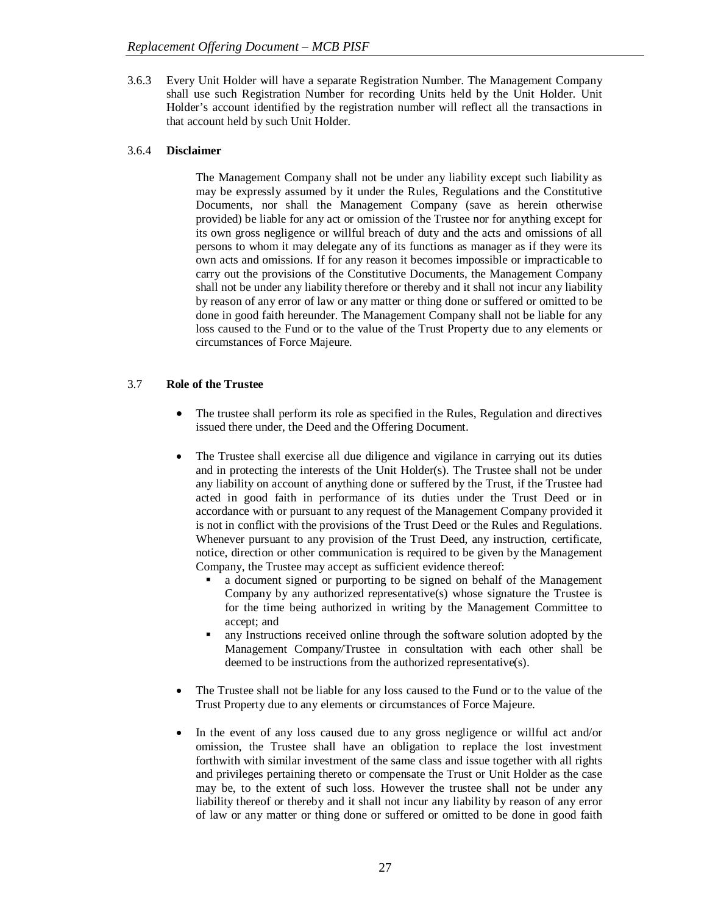3.6.3 Every Unit Holder will have a separate Registration Number. The Management Company shall use such Registration Number for recording Units held by the Unit Holder. Unit Holder's account identified by the registration number will reflect all the transactions in that account held by such Unit Holder.

# 3.6.4 **Disclaimer**

The Management Company shall not be under any liability except such liability as may be expressly assumed by it under the Rules, Regulations and the Constitutive Documents, nor shall the Management Company (save as herein otherwise provided) be liable for any act or omission of the Trustee nor for anything except for its own gross negligence or willful breach of duty and the acts and omissions of all persons to whom it may delegate any of its functions as manager as if they were its own acts and omissions. If for any reason it becomes impossible or impracticable to carry out the provisions of the Constitutive Documents, the Management Company shall not be under any liability therefore or thereby and it shall not incur any liability by reason of any error of law or any matter or thing done or suffered or omitted to be done in good faith hereunder. The Management Company shall not be liable for any loss caused to the Fund or to the value of the Trust Property due to any elements or circumstances of Force Majeure.

# 3.7 **Role of the Trustee**

- The trustee shall perform its role as specified in the Rules, Regulation and directives issued there under, the Deed and the Offering Document.
- The Trustee shall exercise all due diligence and vigilance in carrying out its duties and in protecting the interests of the Unit Holder(s). The Trustee shall not be under any liability on account of anything done or suffered by the Trust, if the Trustee had acted in good faith in performance of its duties under the Trust Deed or in accordance with or pursuant to any request of the Management Company provided it is not in conflict with the provisions of the Trust Deed or the Rules and Regulations. Whenever pursuant to any provision of the Trust Deed, any instruction, certificate, notice, direction or other communication is required to be given by the Management Company, the Trustee may accept as sufficient evidence thereof:
	- a document signed or purporting to be signed on behalf of the Management Company by any authorized representative(s) whose signature the Trustee is for the time being authorized in writing by the Management Committee to accept; and
	- any Instructions received online through the software solution adopted by the Management Company/Trustee in consultation with each other shall be deemed to be instructions from the authorized representative(s).
- The Trustee shall not be liable for any loss caused to the Fund or to the value of the Trust Property due to any elements or circumstances of Force Majeure.
- In the event of any loss caused due to any gross negligence or willful act and/or omission, the Trustee shall have an obligation to replace the lost investment forthwith with similar investment of the same class and issue together with all rights and privileges pertaining thereto or compensate the Trust or Unit Holder as the case may be, to the extent of such loss. However the trustee shall not be under any liability thereof or thereby and it shall not incur any liability by reason of any error of law or any matter or thing done or suffered or omitted to be done in good faith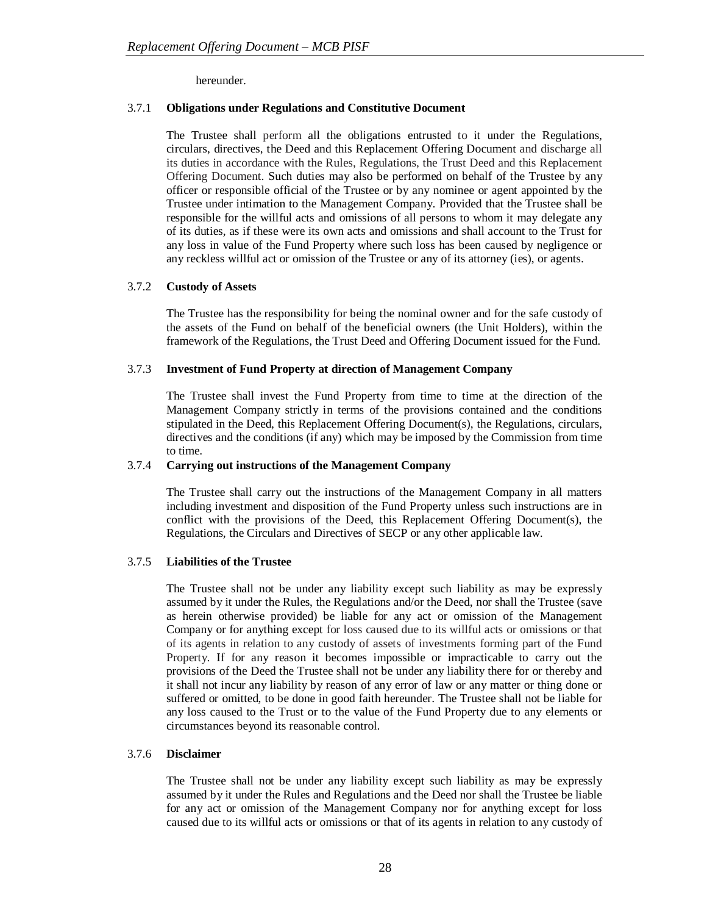hereunder.

# 3.7.1 **Obligations under Regulations and Constitutive Document**

The Trustee shall perform all the obligations entrusted to it under the Regulations, circulars, directives, the Deed and this Replacement Offering Document and discharge all its duties in accordance with the Rules, Regulations, the Trust Deed and this Replacement Offering Document. Such duties may also be performed on behalf of the Trustee by any officer or responsible official of the Trustee or by any nominee or agent appointed by the Trustee under intimation to the Management Company. Provided that the Trustee shall be responsible for the willful acts and omissions of all persons to whom it may delegate any of its duties, as if these were its own acts and omissions and shall account to the Trust for any loss in value of the Fund Property where such loss has been caused by negligence or any reckless willful act or omission of the Trustee or any of its attorney (ies), or agents.

# 3.7.2 **Custody of Assets**

The Trustee has the responsibility for being the nominal owner and for the safe custody of the assets of the Fund on behalf of the beneficial owners (the Unit Holders), within the framework of the Regulations, the Trust Deed and Offering Document issued for the Fund.

# 3.7.3 **Investment of Fund Property at direction of Management Company**

The Trustee shall invest the Fund Property from time to time at the direction of the Management Company strictly in terms of the provisions contained and the conditions stipulated in the Deed, this Replacement Offering Document(s), the Regulations, circulars, directives and the conditions (if any) which may be imposed by the Commission from time to time.

## 3.7.4 **Carrying out instructions of the Management Company**

The Trustee shall carry out the instructions of the Management Company in all matters including investment and disposition of the Fund Property unless such instructions are in conflict with the provisions of the Deed, this Replacement Offering Document(s), the Regulations, the Circulars and Directives of SECP or any other applicable law.

# 3.7.5 **Liabilities of the Trustee**

The Trustee shall not be under any liability except such liability as may be expressly assumed by it under the Rules, the Regulations and/or the Deed, nor shall the Trustee (save as herein otherwise provided) be liable for any act or omission of the Management Company or for anything except for loss caused due to its willful acts or omissions or that of its agents in relation to any custody of assets of investments forming part of the Fund Property. If for any reason it becomes impossible or impracticable to carry out the provisions of the Deed the Trustee shall not be under any liability there for or thereby and it shall not incur any liability by reason of any error of law or any matter or thing done or suffered or omitted, to be done in good faith hereunder. The Trustee shall not be liable for any loss caused to the Trust or to the value of the Fund Property due to any elements or circumstances beyond its reasonable control.

## 3.7.6 **Disclaimer**

The Trustee shall not be under any liability except such liability as may be expressly assumed by it under the Rules and Regulations and the Deed nor shall the Trustee be liable for any act or omission of the Management Company nor for anything except for loss caused due to its willful acts or omissions or that of its agents in relation to any custody of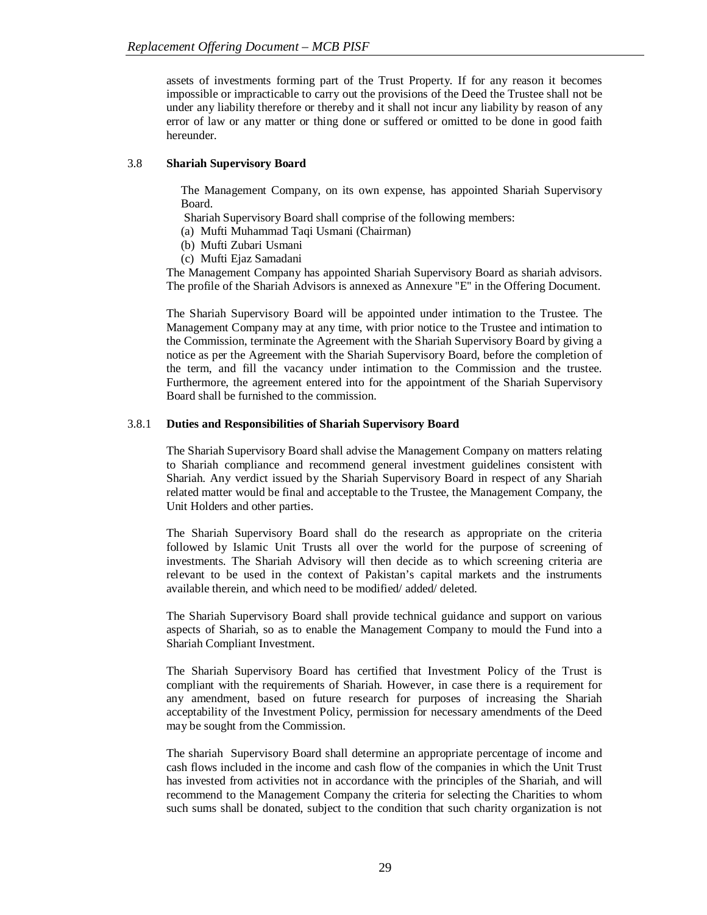assets of investments forming part of the Trust Property. If for any reason it becomes impossible or impracticable to carry out the provisions of the Deed the Trustee shall not be under any liability therefore or thereby and it shall not incur any liability by reason of any error of law or any matter or thing done or suffered or omitted to be done in good faith hereunder.

# 3.8 **Shariah Supervisory Board**

The Management Company, on its own expense, has appointed Shariah Supervisory Board.

Shariah Supervisory Board shall comprise of the following members:

- (a) Mufti Muhammad Taqi Usmani (Chairman)
- (b) Mufti Zubari Usmani
- (c) Mufti Ejaz Samadani

The Management Company has appointed Shariah Supervisory Board as shariah advisors. The profile of the Shariah Advisors is annexed as Annexure ''E'' in the Offering Document.

The Shariah Supervisory Board will be appointed under intimation to the Trustee. The Management Company may at any time, with prior notice to the Trustee and intimation to the Commission, terminate the Agreement with the Shariah Supervisory Board by giving a notice as per the Agreement with the Shariah Supervisory Board, before the completion of the term, and fill the vacancy under intimation to the Commission and the trustee. Furthermore, the agreement entered into for the appointment of the Shariah Supervisory Board shall be furnished to the commission.

# 3.8.1 **Duties and Responsibilities of Shariah Supervisory Board**

The Shariah Supervisory Board shall advise the Management Company on matters relating to Shariah compliance and recommend general investment guidelines consistent with Shariah. Any verdict issued by the Shariah Supervisory Board in respect of any Shariah related matter would be final and acceptable to the Trustee, the Management Company, the Unit Holders and other parties.

The Shariah Supervisory Board shall do the research as appropriate on the criteria followed by Islamic Unit Trusts all over the world for the purpose of screening of investments. The Shariah Advisory will then decide as to which screening criteria are relevant to be used in the context of Pakistan's capital markets and the instruments available therein, and which need to be modified/ added/ deleted.

The Shariah Supervisory Board shall provide technical guidance and support on various aspects of Shariah, so as to enable the Management Company to mould the Fund into a Shariah Compliant Investment.

The Shariah Supervisory Board has certified that Investment Policy of the Trust is compliant with the requirements of Shariah. However, in case there is a requirement for any amendment, based on future research for purposes of increasing the Shariah acceptability of the Investment Policy, permission for necessary amendments of the Deed may be sought from the Commission.

The shariah Supervisory Board shall determine an appropriate percentage of income and cash flows included in the income and cash flow of the companies in which the Unit Trust has invested from activities not in accordance with the principles of the Shariah, and will recommend to the Management Company the criteria for selecting the Charities to whom such sums shall be donated, subject to the condition that such charity organization is not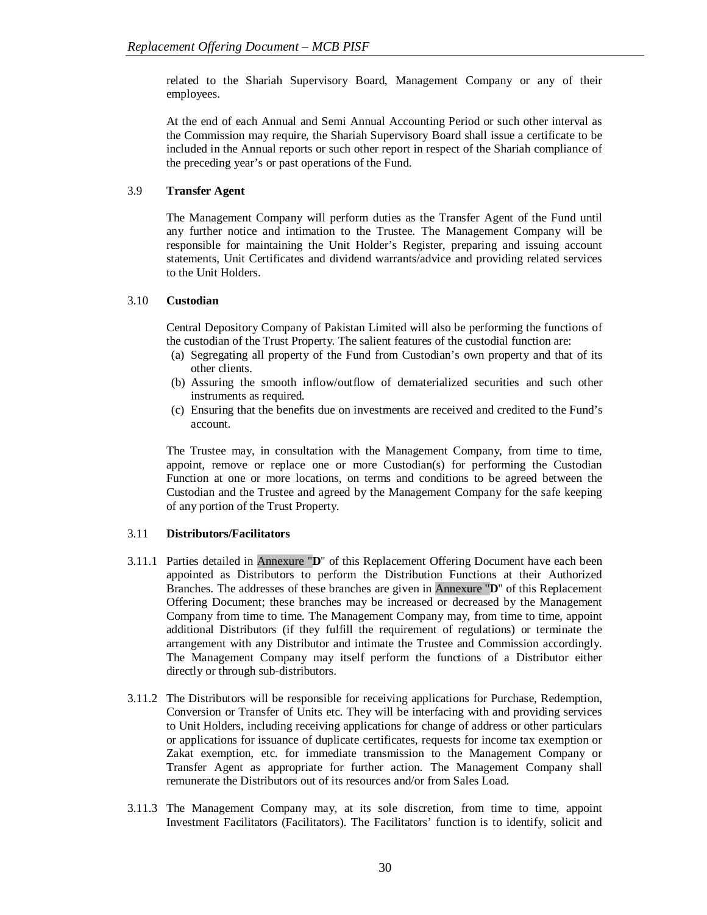related to the Shariah Supervisory Board, Management Company or any of their employees.

At the end of each Annual and Semi Annual Accounting Period or such other interval as the Commission may require, the Shariah Supervisory Board shall issue a certificate to be included in the Annual reports or such other report in respect of the Shariah compliance of the preceding year's or past operations of the Fund.

# 3.9 **Transfer Agent**

The Management Company will perform duties as the Transfer Agent of the Fund until any further notice and intimation to the Trustee. The Management Company will be responsible for maintaining the Unit Holder's Register, preparing and issuing account statements, Unit Certificates and dividend warrants/advice and providing related services to the Unit Holders.

## 3.10 **Custodian**

Central Depository Company of Pakistan Limited will also be performing the functions of the custodian of the Trust Property. The salient features of the custodial function are:

- (a) Segregating all property of the Fund from Custodian's own property and that of its other clients.
- (b) Assuring the smooth inflow/outflow of dematerialized securities and such other instruments as required.
- (c) Ensuring that the benefits due on investments are received and credited to the Fund's account.

The Trustee may, in consultation with the Management Company, from time to time, appoint, remove or replace one or more Custodian(s) for performing the Custodian Function at one or more locations, on terms and conditions to be agreed between the Custodian and the Trustee and agreed by the Management Company for the safe keeping of any portion of the Trust Property.

# 3.11 **Distributors/Facilitators**

- 3.11.1 Parties detailed in Annexure ''**D**'' of this Replacement Offering Document have each been appointed as Distributors to perform the Distribution Functions at their Authorized Branches. The addresses of these branches are given in Annexure ''**D**'' of this Replacement Offering Document; these branches may be increased or decreased by the Management Company from time to time. The Management Company may, from time to time, appoint additional Distributors (if they fulfill the requirement of regulations) or terminate the arrangement with any Distributor and intimate the Trustee and Commission accordingly. The Management Company may itself perform the functions of a Distributor either directly or through sub-distributors.
- 3.11.2 The Distributors will be responsible for receiving applications for Purchase, Redemption, Conversion or Transfer of Units etc. They will be interfacing with and providing services to Unit Holders, including receiving applications for change of address or other particulars or applications for issuance of duplicate certificates, requests for income tax exemption or Zakat exemption, etc. for immediate transmission to the Management Company or Transfer Agent as appropriate for further action. The Management Company shall remunerate the Distributors out of its resources and/or from Sales Load.
- 3.11.3 The Management Company may, at its sole discretion, from time to time, appoint Investment Facilitators (Facilitators). The Facilitators' function is to identify, solicit and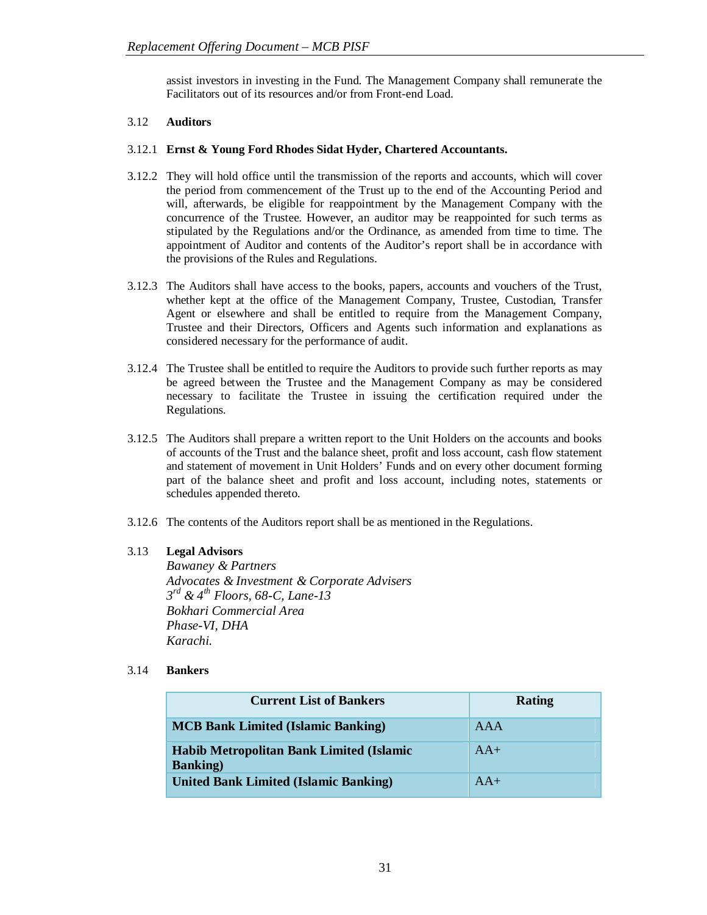assist investors in investing in the Fund. The Management Company shall remunerate the Facilitators out of its resources and/or from Front-end Load.

# 3.12 **Auditors**

## 3.12.1 **Ernst & Young Ford Rhodes Sidat Hyder, Chartered Accountants.**

- 3.12.2 They will hold office until the transmission of the reports and accounts, which will cover the period from commencement of the Trust up to the end of the Accounting Period and will, afterwards, be eligible for reappointment by the Management Company with the concurrence of the Trustee. However, an auditor may be reappointed for such terms as stipulated by the Regulations and/or the Ordinance, as amended from time to time. The appointment of Auditor and contents of the Auditor's report shall be in accordance with the provisions of the Rules and Regulations.
- 3.12.3 The Auditors shall have access to the books, papers, accounts and vouchers of the Trust, whether kept at the office of the Management Company, Trustee, Custodian, Transfer Agent or elsewhere and shall be entitled to require from the Management Company, Trustee and their Directors, Officers and Agents such information and explanations as considered necessary for the performance of audit.
- 3.12.4 The Trustee shall be entitled to require the Auditors to provide such further reports as may be agreed between the Trustee and the Management Company as may be considered necessary to facilitate the Trustee in issuing the certification required under the Regulations.
- 3.12.5 The Auditors shall prepare a written report to the Unit Holders on the accounts and books of accounts of the Trust and the balance sheet, profit and loss account, cash flow statement and statement of movement in Unit Holders' Funds and on every other document forming part of the balance sheet and profit and loss account, including notes, statements or schedules appended thereto.
- 3.12.6 The contents of the Auditors report shall be as mentioned in the Regulations.

## 3.13 **Legal Advisors**

*Bawaney & Partners Advocates & Investment & Corporate Advisers 3 rd & 4th Floors, 68-C, Lane-13 Bokhari Commercial Area Phase-VI, DHA Karachi.*

## 3.14 **Bankers**

| <b>Current List of Bankers</b>                                      | Rating |
|---------------------------------------------------------------------|--------|
| <b>MCB Bank Limited (Islamic Banking)</b>                           | AAA    |
| <b>Habib Metropolitan Bank Limited (Islamic</b><br><b>Banking</b> ) | $AA+$  |
| <b>United Bank Limited (Islamic Banking)</b>                        | $AA+$  |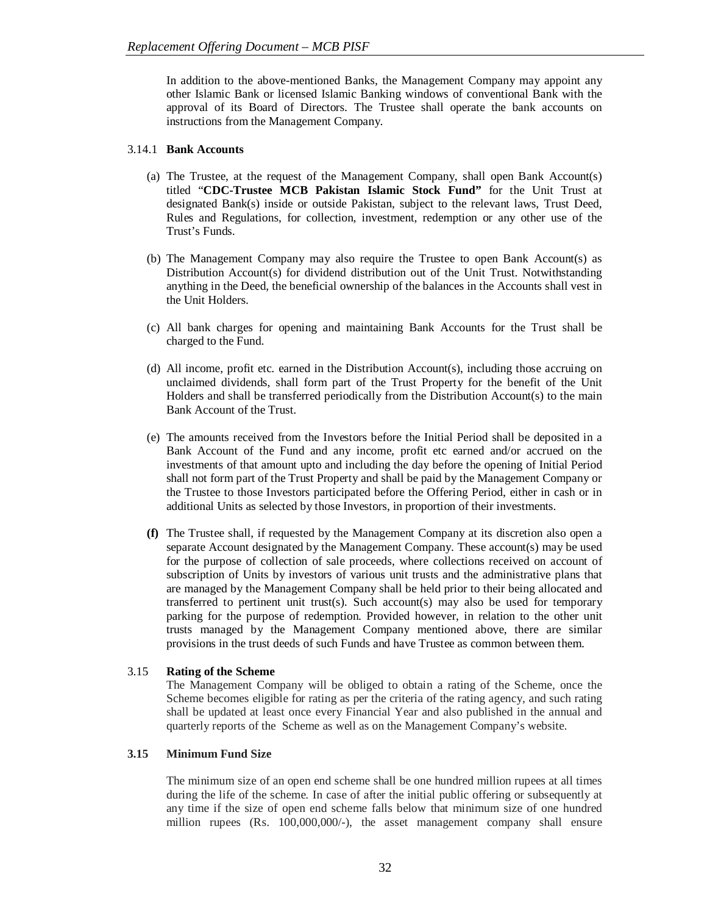In addition to the above-mentioned Banks, the Management Company may appoint any other Islamic Bank or licensed Islamic Banking windows of conventional Bank with the approval of its Board of Directors. The Trustee shall operate the bank accounts on instructions from the Management Company.

# 3.14.1 **Bank Accounts**

- (a) The Trustee, at the request of the Management Company, shall open Bank Account(s) titled "**CDC-Trustee MCB Pakistan Islamic Stock Fund"** for the Unit Trust at designated Bank(s) inside or outside Pakistan, subject to the relevant laws, Trust Deed, Rules and Regulations, for collection, investment, redemption or any other use of the Trust's Funds.
- (b) The Management Company may also require the Trustee to open Bank Account(s) as Distribution Account(s) for dividend distribution out of the Unit Trust. Notwithstanding anything in the Deed, the beneficial ownership of the balances in the Accounts shall vest in the Unit Holders.
- (c) All bank charges for opening and maintaining Bank Accounts for the Trust shall be charged to the Fund.
- (d) All income, profit etc. earned in the Distribution Account(s), including those accruing on unclaimed dividends, shall form part of the Trust Property for the benefit of the Unit Holders and shall be transferred periodically from the Distribution Account(s) to the main Bank Account of the Trust.
- (e) The amounts received from the Investors before the Initial Period shall be deposited in a Bank Account of the Fund and any income, profit etc earned and/or accrued on the investments of that amount upto and including the day before the opening of Initial Period shall not form part of the Trust Property and shall be paid by the Management Company or the Trustee to those Investors participated before the Offering Period, either in cash or in additional Units as selected by those Investors, in proportion of their investments.
- **(f)** The Trustee shall, if requested by the Management Company at its discretion also open a separate Account designated by the Management Company. These account(s) may be used for the purpose of collection of sale proceeds, where collections received on account of subscription of Units by investors of various unit trusts and the administrative plans that are managed by the Management Company shall be held prior to their being allocated and transferred to pertinent unit trust(s). Such account(s) may also be used for temporary parking for the purpose of redemption. Provided however, in relation to the other unit trusts managed by the Management Company mentioned above, there are similar provisions in the trust deeds of such Funds and have Trustee as common between them.

## 3.15 **Rating of the Scheme**

The Management Company will be obliged to obtain a rating of the Scheme, once the Scheme becomes eligible for rating as per the criteria of the rating agency, and such rating shall be updated at least once every Financial Year and also published in the annual and quarterly reports of the Scheme as well as on the Management Company's website.

# **3.15 Minimum Fund Size**

The minimum size of an open end scheme shall be one hundred million rupees at all times during the life of the scheme. In case of after the initial public offering or subsequently at any time if the size of open end scheme falls below that minimum size of one hundred million rupees (Rs. 100,000,000/-), the asset management company shall ensure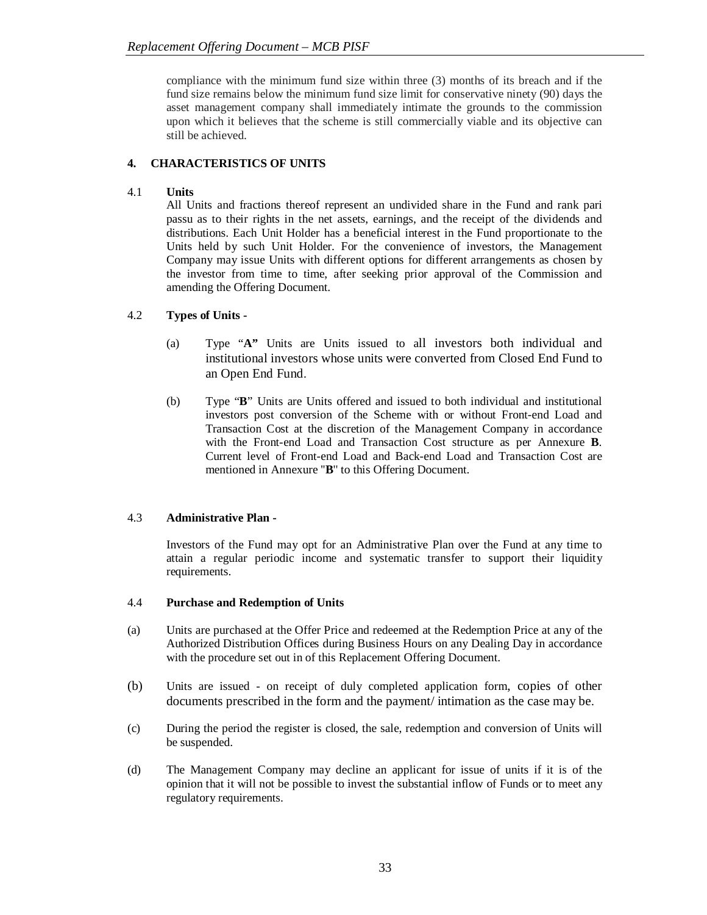compliance with the minimum fund size within three (3) months of its breach and if the fund size remains below the minimum fund size limit for conservative ninety (90) days the asset management company shall immediately intimate the grounds to the commission upon which it believes that the scheme is still commercially viable and its objective can still be achieved.

# **4. CHARACTERISTICS OF UNITS**

# 4.1 **Units**

All Units and fractions thereof represent an undivided share in the Fund and rank pari passu as to their rights in the net assets, earnings, and the receipt of the dividends and distributions. Each Unit Holder has a beneficial interest in the Fund proportionate to the Units held by such Unit Holder. For the convenience of investors, the Management Company may issue Units with different options for different arrangements as chosen by the investor from time to time, after seeking prior approval of the Commission and amending the Offering Document.

# 4.2 **Types of Units -**

- (a) Type "**A"** Units are Units issued to all investors both individual and institutional investors whose units were converted from Closed End Fund to an Open End Fund.
- (b) Type "**B**" Units are Units offered and issued to both individual and institutional investors post conversion of the Scheme with or without Front-end Load and Transaction Cost at the discretion of the Management Company in accordance with the Front-end Load and Transaction Cost structure as per Annexure **B**. Current level of Front-end Load and Back-end Load and Transaction Cost are mentioned in Annexure ''**B**'' to this Offering Document.

# 4.3 **Administrative Plan -**

Investors of the Fund may opt for an Administrative Plan over the Fund at any time to attain a regular periodic income and systematic transfer to support their liquidity requirements.

# 4.4 **Purchase and Redemption of Units**

- (a) Units are purchased at the Offer Price and redeemed at the Redemption Price at any of the Authorized Distribution Offices during Business Hours on any Dealing Day in accordance with the procedure set out in of this Replacement Offering Document.
- (b) Units are issued on receipt of duly completed application form, copies of other documents prescribed in the form and the payment/ intimation as the case may be.
- (c) During the period the register is closed, the sale, redemption and conversion of Units will be suspended.
- (d) The Management Company may decline an applicant for issue of units if it is of the opinion that it will not be possible to invest the substantial inflow of Funds or to meet any regulatory requirements.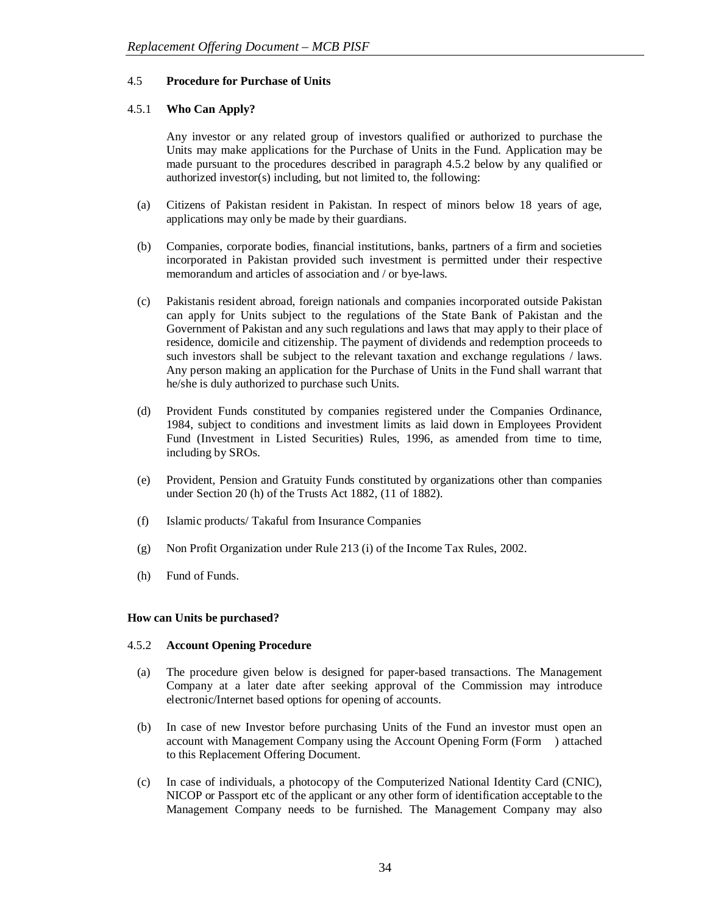## 4.5 **Procedure for Purchase of Units**

# 4.5.1 **Who Can Apply?**

Any investor or any related group of investors qualified or authorized to purchase the Units may make applications for the Purchase of Units in the Fund. Application may be made pursuant to the procedures described in paragraph 4.5.2 below by any qualified or authorized investor(s) including, but not limited to, the following:

- (a) Citizens of Pakistan resident in Pakistan. In respect of minors below 18 years of age, applications may only be made by their guardians.
- (b) Companies, corporate bodies, financial institutions, banks, partners of a firm and societies incorporated in Pakistan provided such investment is permitted under their respective memorandum and articles of association and / or bye-laws.
- (c) Pakistanis resident abroad, foreign nationals and companies incorporated outside Pakistan can apply for Units subject to the regulations of the State Bank of Pakistan and the Government of Pakistan and any such regulations and laws that may apply to their place of residence, domicile and citizenship. The payment of dividends and redemption proceeds to such investors shall be subject to the relevant taxation and exchange regulations / laws. Any person making an application for the Purchase of Units in the Fund shall warrant that he/she is duly authorized to purchase such Units.
- (d) Provident Funds constituted by companies registered under the Companies Ordinance, 1984, subject to conditions and investment limits as laid down in Employees Provident Fund (Investment in Listed Securities) Rules, 1996, as amended from time to time, including by SROs.
- (e) Provident, Pension and Gratuity Funds constituted by organizations other than companies under Section 20 (h) of the Trusts Act 1882, (11 of 1882).
- (f) Islamic products/ Takaful from Insurance Companies
- (g) Non Profit Organization under Rule 213 (i) of the Income Tax Rules, 2002.
- (h) Fund of Funds.

## **How can Units be purchased?**

## 4.5.2 **Account Opening Procedure**

- (a) The procedure given below is designed for paper-based transactions. The Management Company at a later date after seeking approval of the Commission may introduce electronic/Internet based options for opening of accounts.
- (b) In case of new Investor before purchasing Units of the Fund an investor must open an account with Management Company using the Account Opening Form (Form ) attached to this Replacement Offering Document.
- (c) In case of individuals, a photocopy of the Computerized National Identity Card (CNIC), NICOP or Passport etc of the applicant or any other form of identification acceptable to the Management Company needs to be furnished. The Management Company may also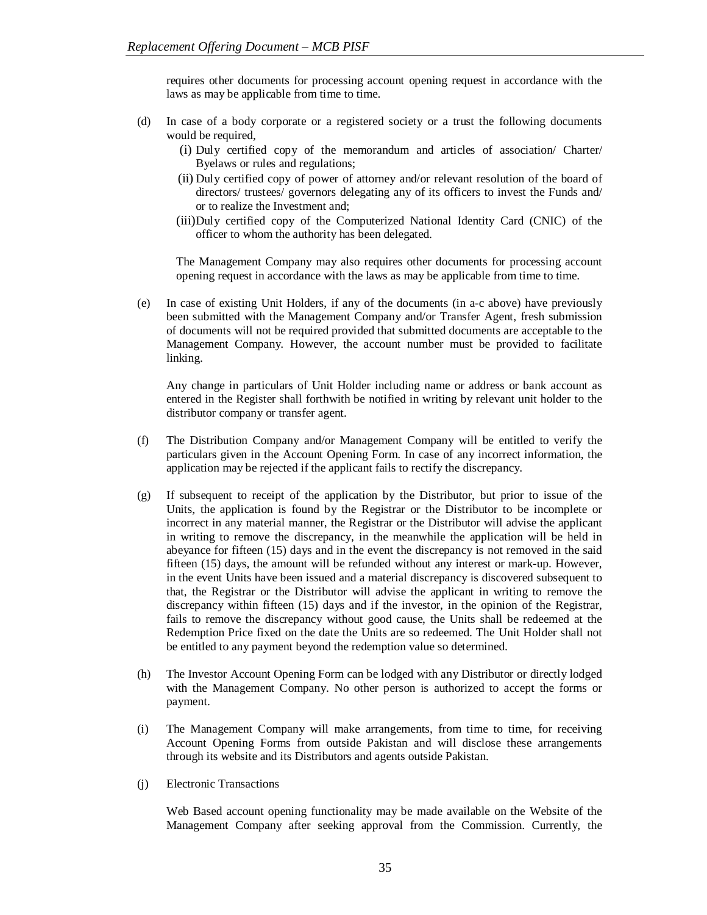requires other documents for processing account opening request in accordance with the laws as may be applicable from time to time.

- (d) In case of a body corporate or a registered society or a trust the following documents would be required,
	- (i) Duly certified copy of the memorandum and articles of association/ Charter/ Byelaws or rules and regulations;
	- (ii) Duly certified copy of power of attorney and/or relevant resolution of the board of directors/ trustees/ governors delegating any of its officers to invest the Funds and/ or to realize the Investment and;
	- (iii)Duly certified copy of the Computerized National Identity Card (CNIC) of the officer to whom the authority has been delegated.

The Management Company may also requires other documents for processing account opening request in accordance with the laws as may be applicable from time to time.

(e) In case of existing Unit Holders, if any of the documents (in a-c above) have previously been submitted with the Management Company and/or Transfer Agent, fresh submission of documents will not be required provided that submitted documents are acceptable to the Management Company. However, the account number must be provided to facilitate linking.

Any change in particulars of Unit Holder including name or address or bank account as entered in the Register shall forthwith be notified in writing by relevant unit holder to the distributor company or transfer agent.

- (f) The Distribution Company and/or Management Company will be entitled to verify the particulars given in the Account Opening Form. In case of any incorrect information, the application may be rejected if the applicant fails to rectify the discrepancy.
- (g) If subsequent to receipt of the application by the Distributor, but prior to issue of the Units, the application is found by the Registrar or the Distributor to be incomplete or incorrect in any material manner, the Registrar or the Distributor will advise the applicant in writing to remove the discrepancy, in the meanwhile the application will be held in abeyance for fifteen (15) days and in the event the discrepancy is not removed in the said fifteen (15) days, the amount will be refunded without any interest or mark-up. However, in the event Units have been issued and a material discrepancy is discovered subsequent to that, the Registrar or the Distributor will advise the applicant in writing to remove the discrepancy within fifteen (15) days and if the investor, in the opinion of the Registrar, fails to remove the discrepancy without good cause, the Units shall be redeemed at the Redemption Price fixed on the date the Units are so redeemed. The Unit Holder shall not be entitled to any payment beyond the redemption value so determined.
- (h) The Investor Account Opening Form can be lodged with any Distributor or directly lodged with the Management Company. No other person is authorized to accept the forms or payment.
- (i) The Management Company will make arrangements, from time to time, for receiving Account Opening Forms from outside Pakistan and will disclose these arrangements through its website and its Distributors and agents outside Pakistan.
- (j) Electronic Transactions

Web Based account opening functionality may be made available on the Website of the Management Company after seeking approval from the Commission. Currently, the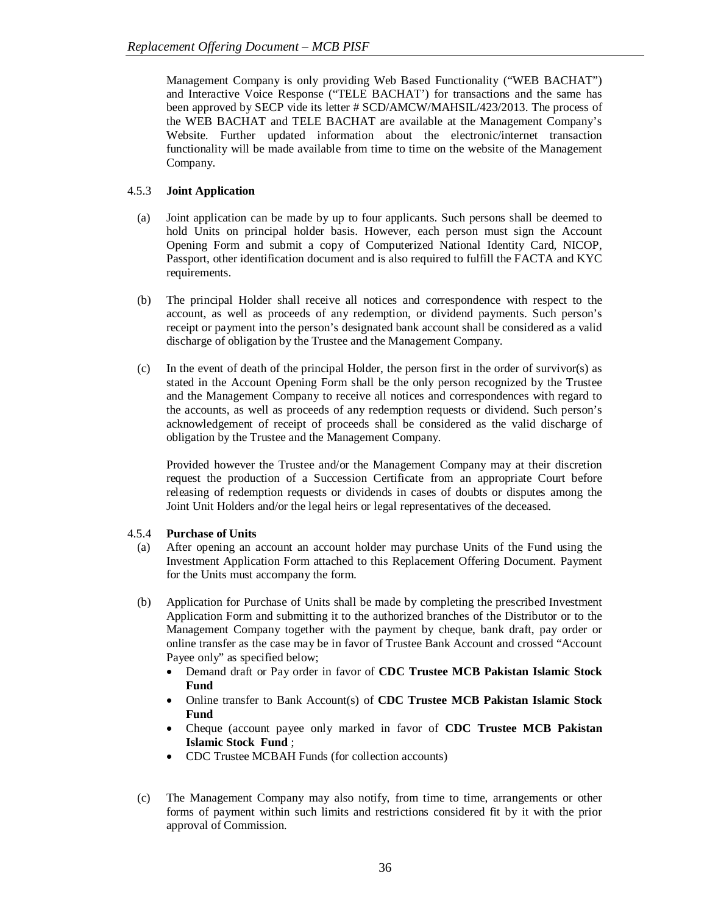Management Company is only providing Web Based Functionality ("WEB BACHAT") and Interactive Voice Response ("TELE BACHAT') for transactions and the same has been approved by SECP vide its letter # SCD/AMCW/MAHSIL/423/2013. The process of the WEB BACHAT and TELE BACHAT are available at the Management Company's Website. Further updated information about the electronic/internet transaction functionality will be made available from time to time on the website of the Management Company.

# 4.5.3 **Joint Application**

- (a) Joint application can be made by up to four applicants. Such persons shall be deemed to hold Units on principal holder basis. However, each person must sign the Account Opening Form and submit a copy of Computerized National Identity Card, NICOP, Passport, other identification document and is also required to fulfill the FACTA and KYC requirements.
- (b) The principal Holder shall receive all notices and correspondence with respect to the account, as well as proceeds of any redemption, or dividend payments. Such person's receipt or payment into the person's designated bank account shall be considered as a valid discharge of obligation by the Trustee and the Management Company.
- (c) In the event of death of the principal Holder, the person first in the order of survivor(s) as stated in the Account Opening Form shall be the only person recognized by the Trustee and the Management Company to receive all notices and correspondences with regard to the accounts, as well as proceeds of any redemption requests or dividend. Such person's acknowledgement of receipt of proceeds shall be considered as the valid discharge of obligation by the Trustee and the Management Company.

Provided however the Trustee and/or the Management Company may at their discretion request the production of a Succession Certificate from an appropriate Court before releasing of redemption requests or dividends in cases of doubts or disputes among the Joint Unit Holders and/or the legal heirs or legal representatives of the deceased.

#### 4.5.4 **Purchase of Units**

- (a) After opening an account an account holder may purchase Units of the Fund using the Investment Application Form attached to this Replacement Offering Document. Payment for the Units must accompany the form.
- (b) Application for Purchase of Units shall be made by completing the prescribed Investment Application Form and submitting it to the authorized branches of the Distributor or to the Management Company together with the payment by cheque, bank draft, pay order or online transfer as the case may be in favor of Trustee Bank Account and crossed "Account Payee only" as specified below;
	- Demand draft or Pay order in favor of **CDC Trustee MCB Pakistan Islamic Stock Fund**
	- Online transfer to Bank Account(s) of **CDC Trustee MCB Pakistan Islamic Stock Fund**
	- Cheque (account payee only marked in favor of **CDC Trustee MCB Pakistan Islamic Stock Fund** ;
	- CDC Trustee MCBAH Funds (for collection accounts)
- (c) The Management Company may also notify, from time to time, arrangements or other forms of payment within such limits and restrictions considered fit by it with the prior approval of Commission.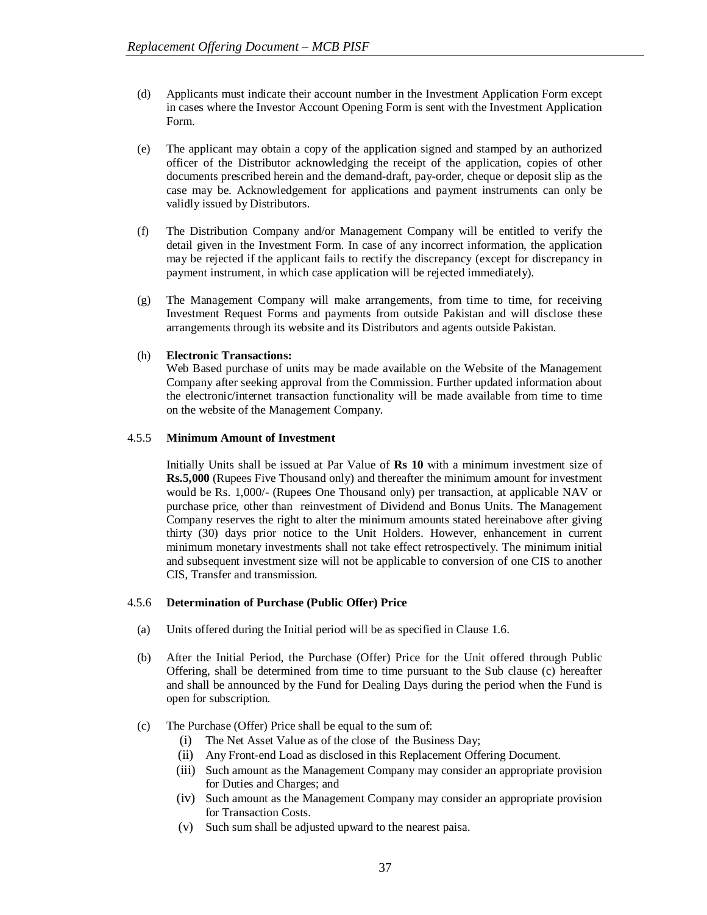- (d) Applicants must indicate their account number in the Investment Application Form except in cases where the Investor Account Opening Form is sent with the Investment Application Form.
- (e) The applicant may obtain a copy of the application signed and stamped by an authorized officer of the Distributor acknowledging the receipt of the application, copies of other documents prescribed herein and the demand-draft, pay-order, cheque or deposit slip as the case may be. Acknowledgement for applications and payment instruments can only be validly issued by Distributors.
- (f) The Distribution Company and/or Management Company will be entitled to verify the detail given in the Investment Form. In case of any incorrect information, the application may be rejected if the applicant fails to rectify the discrepancy (except for discrepancy in payment instrument, in which case application will be rejected immediately).
- (g) The Management Company will make arrangements, from time to time, for receiving Investment Request Forms and payments from outside Pakistan and will disclose these arrangements through its website and its Distributors and agents outside Pakistan.

# (h) **Electronic Transactions:**

Web Based purchase of units may be made available on the Website of the Management Company after seeking approval from the Commission. Further updated information about the electronic/internet transaction functionality will be made available from time to time on the website of the Management Company.

# 4.5.5 **Minimum Amount of Investment**

Initially Units shall be issued at Par Value of **Rs 10** with a minimum investment size of **Rs.5,000** (Rupees Five Thousand only) and thereafter the minimum amount for investment would be Rs. 1,000/- (Rupees One Thousand only) per transaction, at applicable NAV or purchase price, other than reinvestment of Dividend and Bonus Units. The Management Company reserves the right to alter the minimum amounts stated hereinabove after giving thirty (30) days prior notice to the Unit Holders. However, enhancement in current minimum monetary investments shall not take effect retrospectively. The minimum initial and subsequent investment size will not be applicable to conversion of one CIS to another CIS, Transfer and transmission.

#### 4.5.6 **Determination of Purchase (Public Offer) Price**

- (a) Units offered during the Initial period will be as specified in Clause 1.6.
- (b) After the Initial Period, the Purchase (Offer) Price for the Unit offered through Public Offering, shall be determined from time to time pursuant to the Sub clause (c) hereafter and shall be announced by the Fund for Dealing Days during the period when the Fund is open for subscription.
- (c) The Purchase (Offer) Price shall be equal to the sum of:
	- (i) The Net Asset Value as of the close of the Business Day;
	- (ii) Any Front-end Load as disclosed in this Replacement Offering Document.
	- (iii) Such amount as the Management Company may consider an appropriate provision for Duties and Charges; and
	- (iv) Such amount as the Management Company may consider an appropriate provision for Transaction Costs.
	- (v) Such sum shall be adjusted upward to the nearest paisa.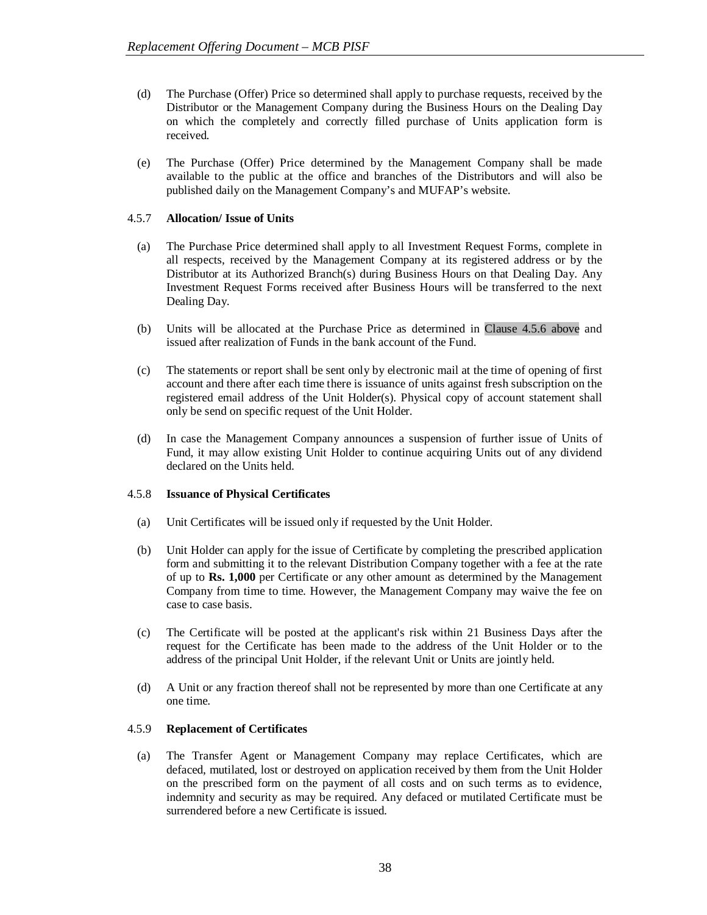- (d) The Purchase (Offer) Price so determined shall apply to purchase requests, received by the Distributor or the Management Company during the Business Hours on the Dealing Day on which the completely and correctly filled purchase of Units application form is received.
- (e) The Purchase (Offer) Price determined by the Management Company shall be made available to the public at the office and branches of the Distributors and will also be published daily on the Management Company's and MUFAP's website.

#### 4.5.7 **Allocation/ Issue of Units**

- (a) The Purchase Price determined shall apply to all Investment Request Forms, complete in all respects, received by the Management Company at its registered address or by the Distributor at its Authorized Branch(s) during Business Hours on that Dealing Day. Any Investment Request Forms received after Business Hours will be transferred to the next Dealing Day.
- (b) Units will be allocated at the Purchase Price as determined in Clause 4.5.6 above and issued after realization of Funds in the bank account of the Fund.
- (c) The statements or report shall be sent only by electronic mail at the time of opening of first account and there after each time there is issuance of units against fresh subscription on the registered email address of the Unit Holder(s). Physical copy of account statement shall only be send on specific request of the Unit Holder.
- (d) In case the Management Company announces a suspension of further issue of Units of Fund, it may allow existing Unit Holder to continue acquiring Units out of any dividend declared on the Units held.

#### 4.5.8 **Issuance of Physical Certificates**

- (a) Unit Certificates will be issued only if requested by the Unit Holder.
- (b) Unit Holder can apply for the issue of Certificate by completing the prescribed application form and submitting it to the relevant Distribution Company together with a fee at the rate of up to **Rs. 1,000** per Certificate or any other amount as determined by the Management Company from time to time. However, the Management Company may waive the fee on case to case basis.
- (c) The Certificate will be posted at the applicant's risk within 21 Business Days after the request for the Certificate has been made to the address of the Unit Holder or to the address of the principal Unit Holder, if the relevant Unit or Units are jointly held.
- (d) A Unit or any fraction thereof shall not be represented by more than one Certificate at any one time.

#### 4.5.9 **Replacement of Certificates**

(a) The Transfer Agent or Management Company may replace Certificates, which are defaced, mutilated, lost or destroyed on application received by them from the Unit Holder on the prescribed form on the payment of all costs and on such terms as to evidence, indemnity and security as may be required. Any defaced or mutilated Certificate must be surrendered before a new Certificate is issued.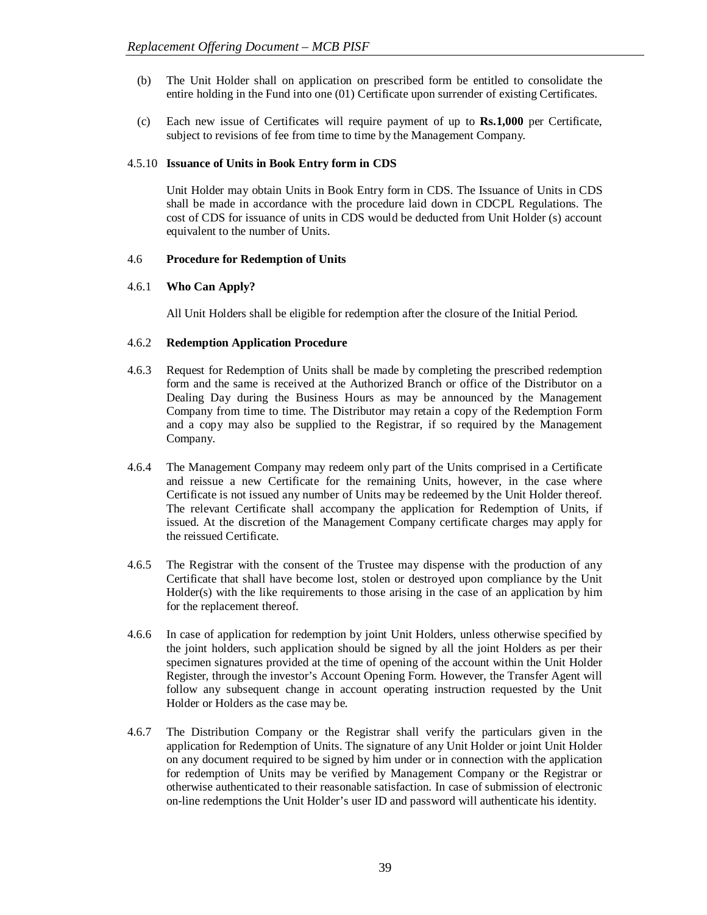- (b) The Unit Holder shall on application on prescribed form be entitled to consolidate the entire holding in the Fund into one (01) Certificate upon surrender of existing Certificates.
- (c) Each new issue of Certificates will require payment of up to **Rs.1,000** per Certificate, subject to revisions of fee from time to time by the Management Company.

# 4.5.10 **Issuance of Units in Book Entry form in CDS**

Unit Holder may obtain Units in Book Entry form in CDS. The Issuance of Units in CDS shall be made in accordance with the procedure laid down in CDCPL Regulations. The cost of CDS for issuance of units in CDS would be deducted from Unit Holder (s) account equivalent to the number of Units.

# 4.6 **Procedure for Redemption of Units**

# 4.6.1 **Who Can Apply?**

All Unit Holders shall be eligible for redemption after the closure of the Initial Period.

# 4.6.2 **Redemption Application Procedure**

- 4.6.3 Request for Redemption of Units shall be made by completing the prescribed redemption form and the same is received at the Authorized Branch or office of the Distributor on a Dealing Day during the Business Hours as may be announced by the Management Company from time to time. The Distributor may retain a copy of the Redemption Form and a copy may also be supplied to the Registrar, if so required by the Management Company.
- 4.6.4 The Management Company may redeem only part of the Units comprised in a Certificate and reissue a new Certificate for the remaining Units, however, in the case where Certificate is not issued any number of Units may be redeemed by the Unit Holder thereof. The relevant Certificate shall accompany the application for Redemption of Units, if issued. At the discretion of the Management Company certificate charges may apply for the reissued Certificate.
- 4.6.5 The Registrar with the consent of the Trustee may dispense with the production of any Certificate that shall have become lost, stolen or destroyed upon compliance by the Unit Holder(s) with the like requirements to those arising in the case of an application by him for the replacement thereof.
- 4.6.6 In case of application for redemption by joint Unit Holders, unless otherwise specified by the joint holders, such application should be signed by all the joint Holders as per their specimen signatures provided at the time of opening of the account within the Unit Holder Register, through the investor's Account Opening Form. However, the Transfer Agent will follow any subsequent change in account operating instruction requested by the Unit Holder or Holders as the case may be.
- 4.6.7 The Distribution Company or the Registrar shall verify the particulars given in the application for Redemption of Units. The signature of any Unit Holder or joint Unit Holder on any document required to be signed by him under or in connection with the application for redemption of Units may be verified by Management Company or the Registrar or otherwise authenticated to their reasonable satisfaction. In case of submission of electronic on-line redemptions the Unit Holder's user ID and password will authenticate his identity.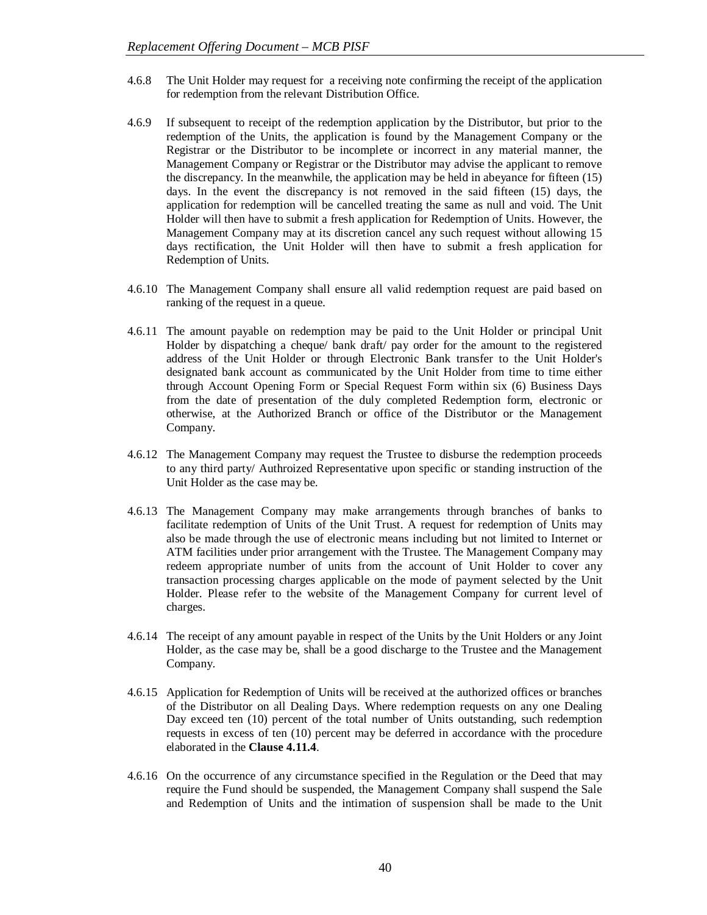- 4.6.8 The Unit Holder may request for a receiving note confirming the receipt of the application for redemption from the relevant Distribution Office.
- 4.6.9 If subsequent to receipt of the redemption application by the Distributor, but prior to the redemption of the Units, the application is found by the Management Company or the Registrar or the Distributor to be incomplete or incorrect in any material manner, the Management Company or Registrar or the Distributor may advise the applicant to remove the discrepancy. In the meanwhile, the application may be held in abeyance for fifteen (15) days. In the event the discrepancy is not removed in the said fifteen (15) days, the application for redemption will be cancelled treating the same as null and void. The Unit Holder will then have to submit a fresh application for Redemption of Units. However, the Management Company may at its discretion cancel any such request without allowing 15 days rectification, the Unit Holder will then have to submit a fresh application for Redemption of Units.
- 4.6.10 The Management Company shall ensure all valid redemption request are paid based on ranking of the request in a queue.
- 4.6.11 The amount payable on redemption may be paid to the Unit Holder or principal Unit Holder by dispatching a cheque/ bank draft/ pay order for the amount to the registered address of the Unit Holder or through Electronic Bank transfer to the Unit Holder's designated bank account as communicated by the Unit Holder from time to time either through Account Opening Form or Special Request Form within six (6) Business Days from the date of presentation of the duly completed Redemption form, electronic or otherwise, at the Authorized Branch or office of the Distributor or the Management Company.
- 4.6.12 The Management Company may request the Trustee to disburse the redemption proceeds to any third party/ Authroized Representative upon specific or standing instruction of the Unit Holder as the case may be.
- 4.6.13 The Management Company may make arrangements through branches of banks to facilitate redemption of Units of the Unit Trust. A request for redemption of Units may also be made through the use of electronic means including but not limited to Internet or ATM facilities under prior arrangement with the Trustee. The Management Company may redeem appropriate number of units from the account of Unit Holder to cover any transaction processing charges applicable on the mode of payment selected by the Unit Holder. Please refer to the website of the Management Company for current level of charges.
- 4.6.14 The receipt of any amount payable in respect of the Units by the Unit Holders or any Joint Holder, as the case may be, shall be a good discharge to the Trustee and the Management Company.
- 4.6.15 Application for Redemption of Units will be received at the authorized offices or branches of the Distributor on all Dealing Days. Where redemption requests on any one Dealing Day exceed ten (10) percent of the total number of Units outstanding, such redemption requests in excess of ten (10) percent may be deferred in accordance with the procedure elaborated in the **Clause 4.11.4**.
- 4.6.16 On the occurrence of any circumstance specified in the Regulation or the Deed that may require the Fund should be suspended, the Management Company shall suspend the Sale and Redemption of Units and the intimation of suspension shall be made to the Unit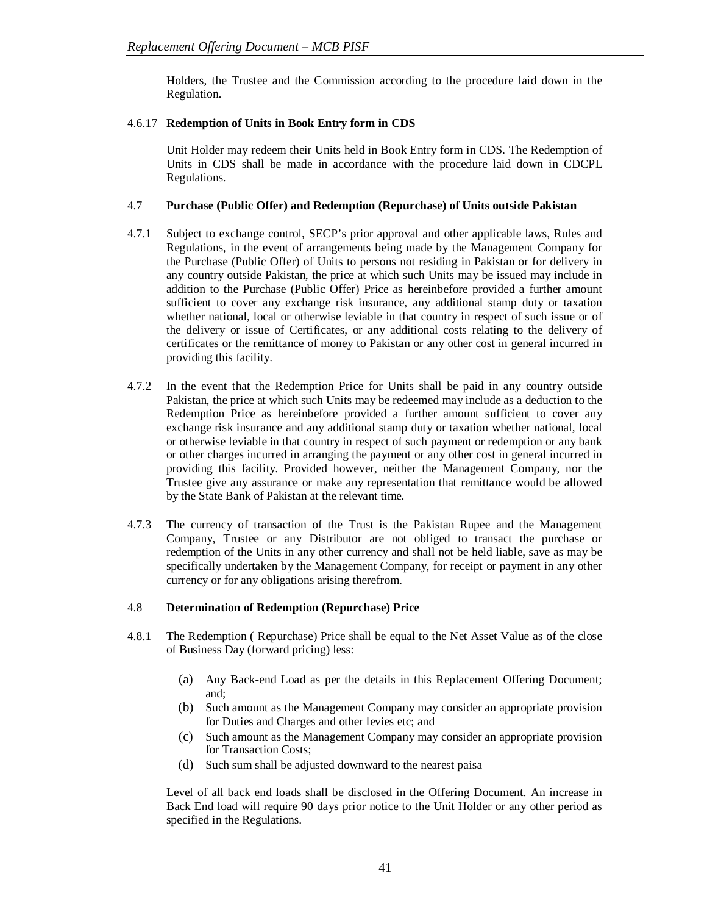Holders, the Trustee and the Commission according to the procedure laid down in the Regulation.

# 4.6.17 **Redemption of Units in Book Entry form in CDS**

Unit Holder may redeem their Units held in Book Entry form in CDS. The Redemption of Units in CDS shall be made in accordance with the procedure laid down in CDCPL Regulations.

# 4.7 **Purchase (Public Offer) and Redemption (Repurchase) of Units outside Pakistan**

- 4.7.1 Subject to exchange control, SECP's prior approval and other applicable laws, Rules and Regulations, in the event of arrangements being made by the Management Company for the Purchase (Public Offer) of Units to persons not residing in Pakistan or for delivery in any country outside Pakistan, the price at which such Units may be issued may include in addition to the Purchase (Public Offer) Price as hereinbefore provided a further amount sufficient to cover any exchange risk insurance, any additional stamp duty or taxation whether national, local or otherwise leviable in that country in respect of such issue or of the delivery or issue of Certificates, or any additional costs relating to the delivery of certificates or the remittance of money to Pakistan or any other cost in general incurred in providing this facility.
- 4.7.2 In the event that the Redemption Price for Units shall be paid in any country outside Pakistan, the price at which such Units may be redeemed may include as a deduction to the Redemption Price as hereinbefore provided a further amount sufficient to cover any exchange risk insurance and any additional stamp duty or taxation whether national, local or otherwise leviable in that country in respect of such payment or redemption or any bank or other charges incurred in arranging the payment or any other cost in general incurred in providing this facility. Provided however, neither the Management Company, nor the Trustee give any assurance or make any representation that remittance would be allowed by the State Bank of Pakistan at the relevant time.
- 4.7.3 The currency of transaction of the Trust is the Pakistan Rupee and the Management Company, Trustee or any Distributor are not obliged to transact the purchase or redemption of the Units in any other currency and shall not be held liable, save as may be specifically undertaken by the Management Company, for receipt or payment in any other currency or for any obligations arising therefrom.

# 4.8 **Determination of Redemption (Repurchase) Price**

- 4.8.1 The Redemption ( Repurchase) Price shall be equal to the Net Asset Value as of the close of Business Day (forward pricing) less:
	- (a) Any Back-end Load as per the details in this Replacement Offering Document; and;
	- (b) Such amount as the Management Company may consider an appropriate provision for Duties and Charges and other levies etc; and
	- (c) Such amount as the Management Company may consider an appropriate provision for Transaction Costs;
	- (d) Such sum shall be adjusted downward to the nearest paisa

Level of all back end loads shall be disclosed in the Offering Document. An increase in Back End load will require 90 days prior notice to the Unit Holder or any other period as specified in the Regulations.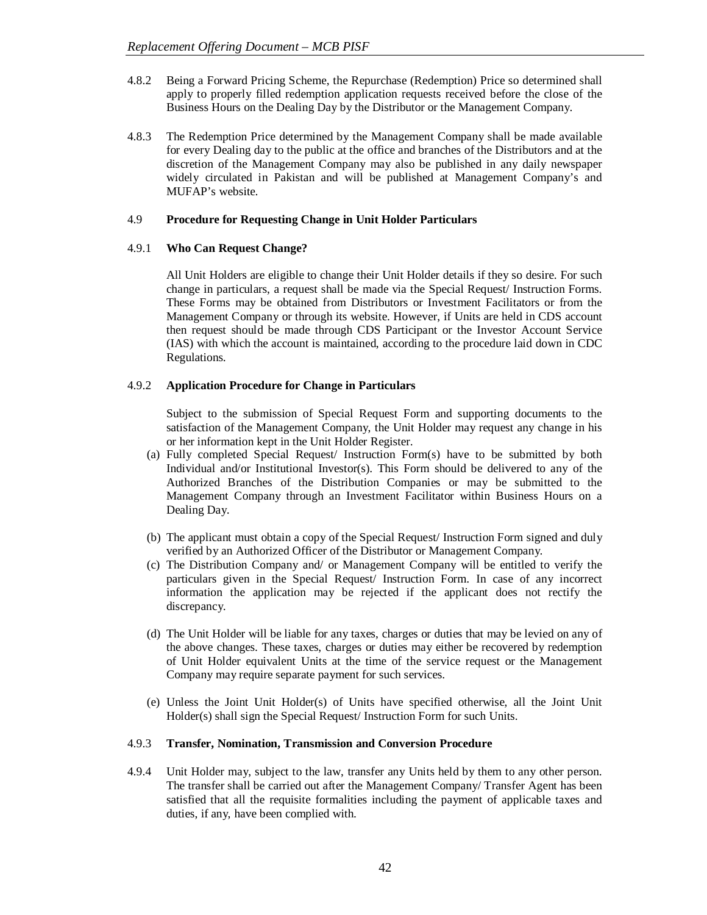- 4.8.2 Being a Forward Pricing Scheme, the Repurchase (Redemption) Price so determined shall apply to properly filled redemption application requests received before the close of the Business Hours on the Dealing Day by the Distributor or the Management Company.
- 4.8.3 The Redemption Price determined by the Management Company shall be made available for every Dealing day to the public at the office and branches of the Distributors and at the discretion of the Management Company may also be published in any daily newspaper widely circulated in Pakistan and will be published at Management Company's and MUFAP's website.

# 4.9 **Procedure for Requesting Change in Unit Holder Particulars**

# 4.9.1 **Who Can Request Change?**

All Unit Holders are eligible to change their Unit Holder details if they so desire. For such change in particulars, a request shall be made via the Special Request/ Instruction Forms. These Forms may be obtained from Distributors or Investment Facilitators or from the Management Company or through its website. However, if Units are held in CDS account then request should be made through CDS Participant or the Investor Account Service (IAS) with which the account is maintained, according to the procedure laid down in CDC Regulations.

# 4.9.2 **Application Procedure for Change in Particulars**

Subject to the submission of Special Request Form and supporting documents to the satisfaction of the Management Company, the Unit Holder may request any change in his or her information kept in the Unit Holder Register.

- (a) Fully completed Special Request/ Instruction Form(s) have to be submitted by both Individual and/or Institutional Investor(s). This Form should be delivered to any of the Authorized Branches of the Distribution Companies or may be submitted to the Management Company through an Investment Facilitator within Business Hours on a Dealing Day.
- (b) The applicant must obtain a copy of the Special Request/ Instruction Form signed and duly verified by an Authorized Officer of the Distributor or Management Company.
- (c) The Distribution Company and/ or Management Company will be entitled to verify the particulars given in the Special Request/ Instruction Form. In case of any incorrect information the application may be rejected if the applicant does not rectify the discrepancy.
- (d) The Unit Holder will be liable for any taxes, charges or duties that may be levied on any of the above changes. These taxes, charges or duties may either be recovered by redemption of Unit Holder equivalent Units at the time of the service request or the Management Company may require separate payment for such services.
- (e) Unless the Joint Unit Holder(s) of Units have specified otherwise, all the Joint Unit Holder(s) shall sign the Special Request/ Instruction Form for such Units.

#### 4.9.3 **Transfer, Nomination, Transmission and Conversion Procedure**

4.9.4 Unit Holder may, subject to the law, transfer any Units held by them to any other person. The transfer shall be carried out after the Management Company/ Transfer Agent has been satisfied that all the requisite formalities including the payment of applicable taxes and duties, if any, have been complied with.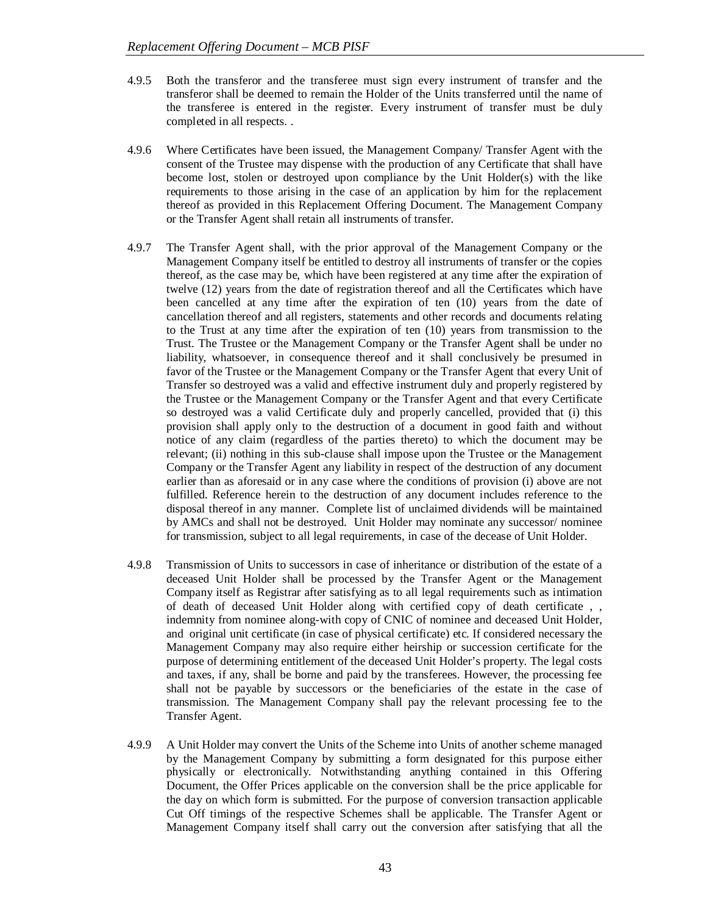- 4.9.5 Both the transferor and the transferee must sign every instrument of transfer and the transferor shall be deemed to remain the Holder of the Units transferred until the name of the transferee is entered in the register. Every instrument of transfer must be duly completed in all respects. .
- 4.9.6 Where Certificates have been issued, the Management Company/ Transfer Agent with the consent of the Trustee may dispense with the production of any Certificate that shall have become lost, stolen or destroyed upon compliance by the Unit Holder(s) with the like requirements to those arising in the case of an application by him for the replacement thereof as provided in this Replacement Offering Document. The Management Company or the Transfer Agent shall retain all instruments of transfer.
- 4.9.7 The Transfer Agent shall, with the prior approval of the Management Company or the Management Company itself be entitled to destroy all instruments of transfer or the copies thereof, as the case may be, which have been registered at any time after the expiration of twelve (12) years from the date of registration thereof and all the Certificates which have been cancelled at any time after the expiration of ten (10) years from the date of cancellation thereof and all registers, statements and other records and documents relating to the Trust at any time after the expiration of ten (10) years from transmission to the Trust. The Trustee or the Management Company or the Transfer Agent shall be under no liability, whatsoever, in consequence thereof and it shall conclusively be presumed in favor of the Trustee or the Management Company or the Transfer Agent that every Unit of Transfer so destroyed was a valid and effective instrument duly and properly registered by the Trustee or the Management Company or the Transfer Agent and that every Certificate so destroyed was a valid Certificate duly and properly cancelled, provided that (i) this provision shall apply only to the destruction of a document in good faith and without notice of any claim (regardless of the parties thereto) to which the document may be relevant; (ii) nothing in this sub-clause shall impose upon the Trustee or the Management Company or the Transfer Agent any liability in respect of the destruction of any document earlier than as aforesaid or in any case where the conditions of provision (i) above are not fulfilled. Reference herein to the destruction of any document includes reference to the disposal thereof in any manner. Complete list of unclaimed dividends will be maintained by AMCs and shall not be destroyed. Unit Holder may nominate any successor/ nominee for transmission, subject to all legal requirements, in case of the decease of Unit Holder.
- 4.9.8 Transmission of Units to successors in case of inheritance or distribution of the estate of a deceased Unit Holder shall be processed by the Transfer Agent or the Management Company itself as Registrar after satisfying as to all legal requirements such as intimation of death of deceased Unit Holder along with certified copy of death certificate , , indemnity from nominee along-with copy of CNIC of nominee and deceased Unit Holder, and original unit certificate (in case of physical certificate) etc. If considered necessary the Management Company may also require either heirship or succession certificate for the purpose of determining entitlement of the deceased Unit Holder's property. The legal costs and taxes, if any, shall be borne and paid by the transferees. However, the processing fee shall not be payable by successors or the beneficiaries of the estate in the case of transmission. The Management Company shall pay the relevant processing fee to the Transfer Agent.
- 4.9.9 A Unit Holder may convert the Units of the Scheme into Units of another scheme managed by the Management Company by submitting a form designated for this purpose either physically or electronically. Notwithstanding anything contained in this Offering Document, the Offer Prices applicable on the conversion shall be the price applicable for the day on which form is submitted. For the purpose of conversion transaction applicable Cut Off timings of the respective Schemes shall be applicable. The Transfer Agent or Management Company itself shall carry out the conversion after satisfying that all the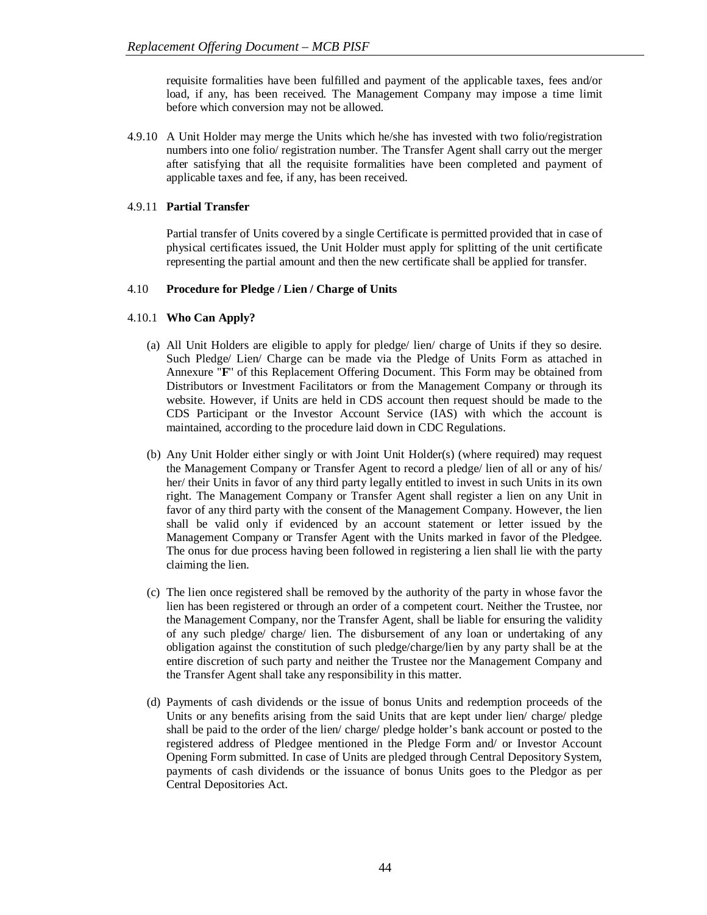requisite formalities have been fulfilled and payment of the applicable taxes, fees and/or load, if any, has been received. The Management Company may impose a time limit before which conversion may not be allowed.

4.9.10 A Unit Holder may merge the Units which he/she has invested with two folio/registration numbers into one folio/ registration number. The Transfer Agent shall carry out the merger after satisfying that all the requisite formalities have been completed and payment of applicable taxes and fee, if any, has been received.

# 4.9.11 **Partial Transfer**

Partial transfer of Units covered by a single Certificate is permitted provided that in case of physical certificates issued, the Unit Holder must apply for splitting of the unit certificate representing the partial amount and then the new certificate shall be applied for transfer.

# 4.10 **Procedure for Pledge / Lien / Charge of Units**

# 4.10.1 **Who Can Apply?**

- (a) All Unit Holders are eligible to apply for pledge/ lien/ charge of Units if they so desire. Such Pledge/ Lien/ Charge can be made via the Pledge of Units Form as attached in Annexure ''**F**'' of this Replacement Offering Document. This Form may be obtained from Distributors or Investment Facilitators or from the Management Company or through its website. However, if Units are held in CDS account then request should be made to the CDS Participant or the Investor Account Service (IAS) with which the account is maintained, according to the procedure laid down in CDC Regulations.
- (b) Any Unit Holder either singly or with Joint Unit Holder(s) (where required) may request the Management Company or Transfer Agent to record a pledge/ lien of all or any of his/ her/ their Units in favor of any third party legally entitled to invest in such Units in its own right. The Management Company or Transfer Agent shall register a lien on any Unit in favor of any third party with the consent of the Management Company. However, the lien shall be valid only if evidenced by an account statement or letter issued by the Management Company or Transfer Agent with the Units marked in favor of the Pledgee. The onus for due process having been followed in registering a lien shall lie with the party claiming the lien.
- (c) The lien once registered shall be removed by the authority of the party in whose favor the lien has been registered or through an order of a competent court. Neither the Trustee, nor the Management Company, nor the Transfer Agent, shall be liable for ensuring the validity of any such pledge/ charge/ lien. The disbursement of any loan or undertaking of any obligation against the constitution of such pledge/charge/lien by any party shall be at the entire discretion of such party and neither the Trustee nor the Management Company and the Transfer Agent shall take any responsibility in this matter.
- (d) Payments of cash dividends or the issue of bonus Units and redemption proceeds of the Units or any benefits arising from the said Units that are kept under lien/ charge/ pledge shall be paid to the order of the lien/ charge/ pledge holder's bank account or posted to the registered address of Pledgee mentioned in the Pledge Form and/ or Investor Account Opening Form submitted. In case of Units are pledged through Central Depository System, payments of cash dividends or the issuance of bonus Units goes to the Pledgor as per Central Depositories Act.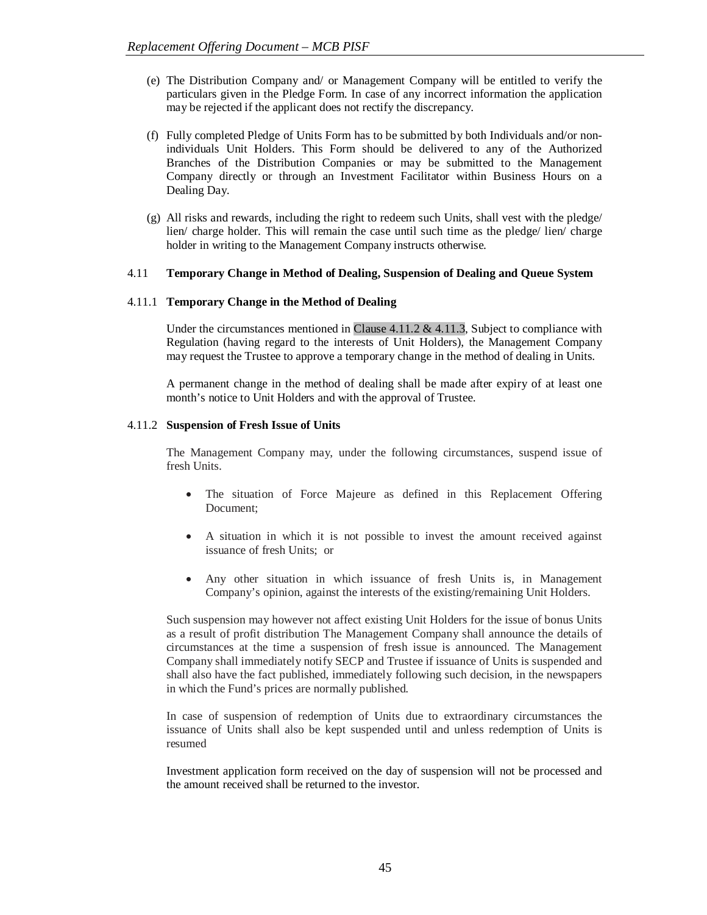- (e) The Distribution Company and/ or Management Company will be entitled to verify the particulars given in the Pledge Form. In case of any incorrect information the application may be rejected if the applicant does not rectify the discrepancy.
- (f) Fully completed Pledge of Units Form has to be submitted by both Individuals and/or nonindividuals Unit Holders. This Form should be delivered to any of the Authorized Branches of the Distribution Companies or may be submitted to the Management Company directly or through an Investment Facilitator within Business Hours on a Dealing Day.
- (g) All risks and rewards, including the right to redeem such Units, shall vest with the pledge/ lien/ charge holder. This will remain the case until such time as the pledge/ lien/ charge holder in writing to the Management Company instructs otherwise.

#### 4.11 **Temporary Change in Method of Dealing, Suspension of Dealing and Queue System**

# 4.11.1 **Temporary Change in the Method of Dealing**

Under the circumstances mentioned in Clause  $4.11.2 \& 4.11.3$ , Subject to compliance with Regulation (having regard to the interests of Unit Holders), the Management Company may request the Trustee to approve a temporary change in the method of dealing in Units.

A permanent change in the method of dealing shall be made after expiry of at least one month's notice to Unit Holders and with the approval of Trustee.

#### 4.11.2 **Suspension of Fresh Issue of Units**

The Management Company may, under the following circumstances, suspend issue of fresh Units.

- The situation of Force Majeure as defined in this Replacement Offering Document;
- A situation in which it is not possible to invest the amount received against issuance of fresh Units; or
- Any other situation in which issuance of fresh Units is, in Management Company's opinion, against the interests of the existing/remaining Unit Holders.

Such suspension may however not affect existing Unit Holders for the issue of bonus Units as a result of profit distribution The Management Company shall announce the details of circumstances at the time a suspension of fresh issue is announced. The Management Company shall immediately notify SECP and Trustee if issuance of Units is suspended and shall also have the fact published, immediately following such decision, in the newspapers in which the Fund's prices are normally published.

In case of suspension of redemption of Units due to extraordinary circumstances the issuance of Units shall also be kept suspended until and unless redemption of Units is resumed

Investment application form received on the day of suspension will not be processed and the amount received shall be returned to the investor.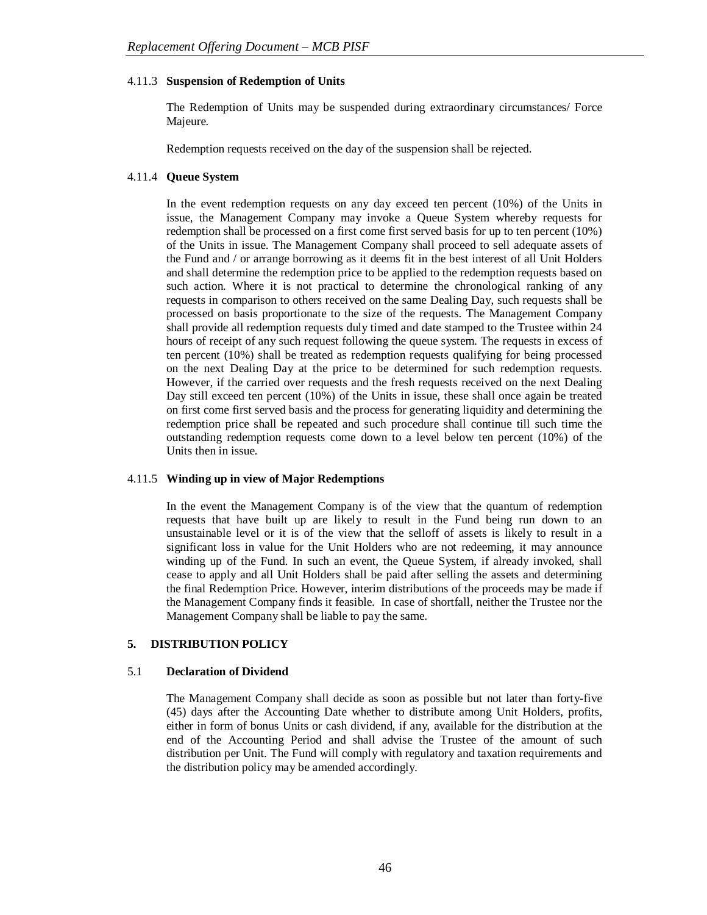# 4.11.3 **Suspension of Redemption of Units**

The Redemption of Units may be suspended during extraordinary circumstances/ Force Majeure.

Redemption requests received on the day of the suspension shall be rejected.

# 4.11.4 **Queue System**

In the event redemption requests on any day exceed ten percent (10%) of the Units in issue, the Management Company may invoke a Queue System whereby requests for redemption shall be processed on a first come first served basis for up to ten percent (10%) of the Units in issue. The Management Company shall proceed to sell adequate assets of the Fund and / or arrange borrowing as it deems fit in the best interest of all Unit Holders and shall determine the redemption price to be applied to the redemption requests based on such action. Where it is not practical to determine the chronological ranking of any requests in comparison to others received on the same Dealing Day, such requests shall be processed on basis proportionate to the size of the requests. The Management Company shall provide all redemption requests duly timed and date stamped to the Trustee within 24 hours of receipt of any such request following the queue system. The requests in excess of ten percent (10%) shall be treated as redemption requests qualifying for being processed on the next Dealing Day at the price to be determined for such redemption requests. However, if the carried over requests and the fresh requests received on the next Dealing Day still exceed ten percent (10%) of the Units in issue, these shall once again be treated on first come first served basis and the process for generating liquidity and determining the redemption price shall be repeated and such procedure shall continue till such time the outstanding redemption requests come down to a level below ten percent (10%) of the Units then in issue.

#### 4.11.5 **Winding up in view of Major Redemptions**

In the event the Management Company is of the view that the quantum of redemption requests that have built up are likely to result in the Fund being run down to an unsustainable level or it is of the view that the selloff of assets is likely to result in a significant loss in value for the Unit Holders who are not redeeming, it may announce winding up of the Fund. In such an event, the Queue System, if already invoked, shall cease to apply and all Unit Holders shall be paid after selling the assets and determining the final Redemption Price. However, interim distributions of the proceeds may be made if the Management Company finds it feasible. In case of shortfall, neither the Trustee nor the Management Company shall be liable to pay the same.

# **5. DISTRIBUTION POLICY**

#### 5.1 **Declaration of Dividend**

The Management Company shall decide as soon as possible but not later than forty-five (45) days after the Accounting Date whether to distribute among Unit Holders, profits, either in form of bonus Units or cash dividend, if any, available for the distribution at the end of the Accounting Period and shall advise the Trustee of the amount of such distribution per Unit. The Fund will comply with regulatory and taxation requirements and the distribution policy may be amended accordingly.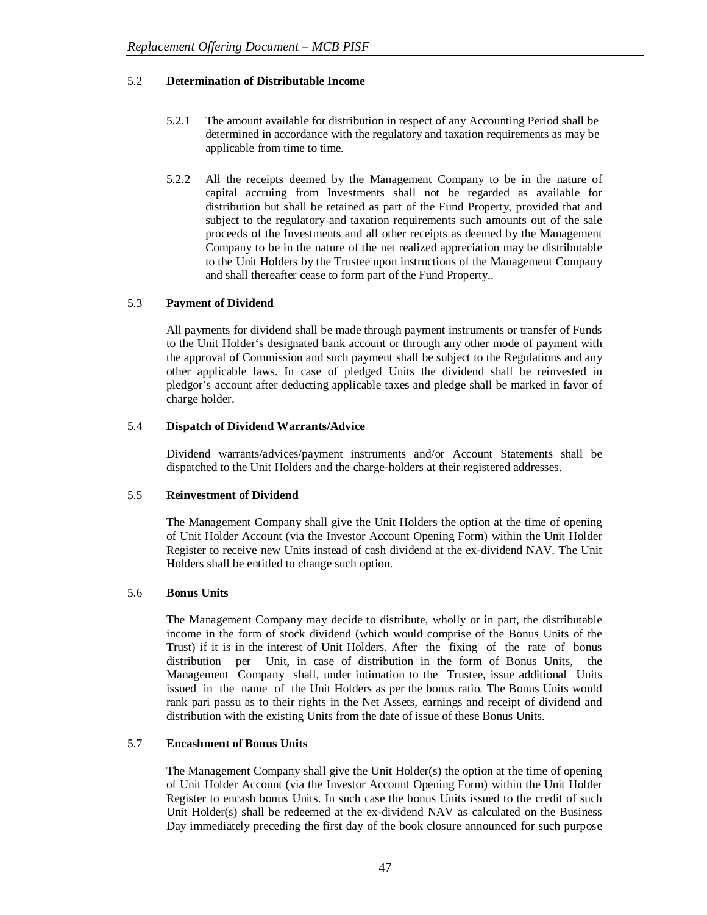# 5.2 **Determination of Distributable Income**

- 5.2.1 The amount available for distribution in respect of any Accounting Period shall be determined in accordance with the regulatory and taxation requirements as may be applicable from time to time.
- 5.2.2 All the receipts deemed by the Management Company to be in the nature of capital accruing from Investments shall not be regarded as available for distribution but shall be retained as part of the Fund Property, provided that and subject to the regulatory and taxation requirements such amounts out of the sale proceeds of the Investments and all other receipts as deemed by the Management Company to be in the nature of the net realized appreciation may be distributable to the Unit Holders by the Trustee upon instructions of the Management Company and shall thereafter cease to form part of the Fund Property..

# 5.3 **Payment of Dividend**

All payments for dividend shall be made through payment instruments or transfer of Funds to the Unit Holder's designated bank account or through any other mode of payment with the approval of Commission and such payment shall be subject to the Regulations and any other applicable laws. In case of pledged Units the dividend shall be reinvested in pledgor's account after deducting applicable taxes and pledge shall be marked in favor of charge holder.

# 5.4 **Dispatch of Dividend Warrants/Advice**

Dividend warrants/advices/payment instruments and/or Account Statements shall be dispatched to the Unit Holders and the charge-holders at their registered addresses.

#### 5.5 **Reinvestment of Dividend**

The Management Company shall give the Unit Holders the option at the time of opening of Unit Holder Account (via the Investor Account Opening Form) within the Unit Holder Register to receive new Units instead of cash dividend at the ex-dividend NAV. The Unit Holders shall be entitled to change such option.

#### 5.6 **Bonus Units**

The Management Company may decide to distribute, wholly or in part, the distributable income in the form of stock dividend (which would comprise of the Bonus Units of the Trust) if it is in the interest of Unit Holders. After the fixing of the rate of bonus distribution per Unit, in case of distribution in the form of Bonus Units, the Management Company shall, under intimation to the Trustee, issue additional Units issued in the name of the Unit Holders as per the bonus ratio. The Bonus Units would rank pari passu as to their rights in the Net Assets, earnings and receipt of dividend and distribution with the existing Units from the date of issue of these Bonus Units.

#### 5.7 **Encashment of Bonus Units**

The Management Company shall give the Unit Holder(s) the option at the time of opening of Unit Holder Account (via the Investor Account Opening Form) within the Unit Holder Register to encash bonus Units. In such case the bonus Units issued to the credit of such Unit Holder(s) shall be redeemed at the ex-dividend NAV as calculated on the Business Day immediately preceding the first day of the book closure announced for such purpose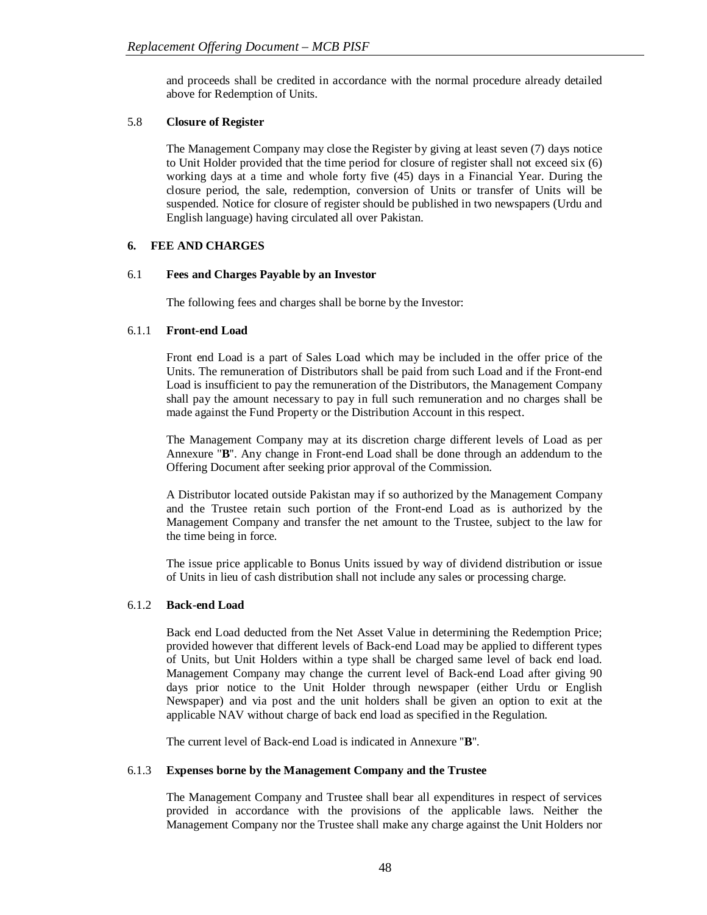and proceeds shall be credited in accordance with the normal procedure already detailed above for Redemption of Units.

# 5.8 **Closure of Register**

The Management Company may close the Register by giving at least seven (7) days notice to Unit Holder provided that the time period for closure of register shall not exceed six (6) working days at a time and whole forty five (45) days in a Financial Year. During the closure period, the sale, redemption, conversion of Units or transfer of Units will be suspended. Notice for closure of register should be published in two newspapers (Urdu and English language) having circulated all over Pakistan.

# **6. FEE AND CHARGES**

# 6.1 **Fees and Charges Payable by an Investor**

The following fees and charges shall be borne by the Investor:

# 6.1.1 **Front-end Load**

Front end Load is a part of Sales Load which may be included in the offer price of the Units. The remuneration of Distributors shall be paid from such Load and if the Front-end Load is insufficient to pay the remuneration of the Distributors, the Management Company shall pay the amount necessary to pay in full such remuneration and no charges shall be made against the Fund Property or the Distribution Account in this respect.

The Management Company may at its discretion charge different levels of Load as per Annexure ''**B**''. Any change in Front-end Load shall be done through an addendum to the Offering Document after seeking prior approval of the Commission.

A Distributor located outside Pakistan may if so authorized by the Management Company and the Trustee retain such portion of the Front-end Load as is authorized by the Management Company and transfer the net amount to the Trustee, subject to the law for the time being in force.

The issue price applicable to Bonus Units issued by way of dividend distribution or issue of Units in lieu of cash distribution shall not include any sales or processing charge.

#### 6.1.2 **Back-end Load**

Back end Load deducted from the Net Asset Value in determining the Redemption Price; provided however that different levels of Back-end Load may be applied to different types of Units, but Unit Holders within a type shall be charged same level of back end load. Management Company may change the current level of Back-end Load after giving 90 days prior notice to the Unit Holder through newspaper (either Urdu or English Newspaper) and via post and the unit holders shall be given an option to exit at the applicable NAV without charge of back end load as specified in the Regulation.

The current level of Back-end Load is indicated in Annexure ''**B**''.

#### 6.1.3 **Expenses borne by the Management Company and the Trustee**

The Management Company and Trustee shall bear all expenditures in respect of services provided in accordance with the provisions of the applicable laws. Neither the Management Company nor the Trustee shall make any charge against the Unit Holders nor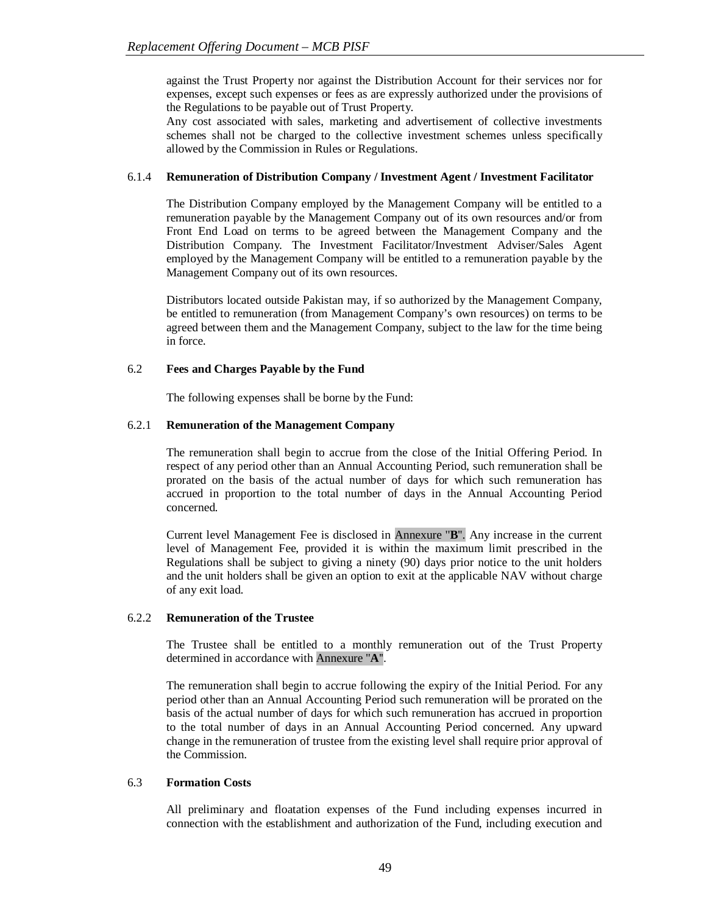against the Trust Property nor against the Distribution Account for their services nor for expenses, except such expenses or fees as are expressly authorized under the provisions of the Regulations to be payable out of Trust Property.

Any cost associated with sales, marketing and advertisement of collective investments schemes shall not be charged to the collective investment schemes unless specifically allowed by the Commission in Rules or Regulations.

# 6.1.4 **Remuneration of Distribution Company / Investment Agent / Investment Facilitator**

The Distribution Company employed by the Management Company will be entitled to a remuneration payable by the Management Company out of its own resources and/or from Front End Load on terms to be agreed between the Management Company and the Distribution Company. The Investment Facilitator/Investment Adviser/Sales Agent employed by the Management Company will be entitled to a remuneration payable by the Management Company out of its own resources.

Distributors located outside Pakistan may, if so authorized by the Management Company, be entitled to remuneration (from Management Company's own resources) on terms to be agreed between them and the Management Company, subject to the law for the time being in force.

# 6.2 **Fees and Charges Payable by the Fund**

The following expenses shall be borne by the Fund:

# 6.2.1 **Remuneration of the Management Company**

The remuneration shall begin to accrue from the close of the Initial Offering Period. In respect of any period other than an Annual Accounting Period, such remuneration shall be prorated on the basis of the actual number of days for which such remuneration has accrued in proportion to the total number of days in the Annual Accounting Period concerned.

Current level Management Fee is disclosed in Annexure ''**B**''. Any increase in the current level of Management Fee, provided it is within the maximum limit prescribed in the Regulations shall be subject to giving a ninety (90) days prior notice to the unit holders and the unit holders shall be given an option to exit at the applicable NAV without charge of any exit load.

#### 6.2.2 **Remuneration of the Trustee**

The Trustee shall be entitled to a monthly remuneration out of the Trust Property determined in accordance with Annexure ''**A**''.

The remuneration shall begin to accrue following the expiry of the Initial Period. For any period other than an Annual Accounting Period such remuneration will be prorated on the basis of the actual number of days for which such remuneration has accrued in proportion to the total number of days in an Annual Accounting Period concerned. Any upward change in the remuneration of trustee from the existing level shall require prior approval of the Commission.

#### 6.3 **Formation Costs**

All preliminary and floatation expenses of the Fund including expenses incurred in connection with the establishment and authorization of the Fund, including execution and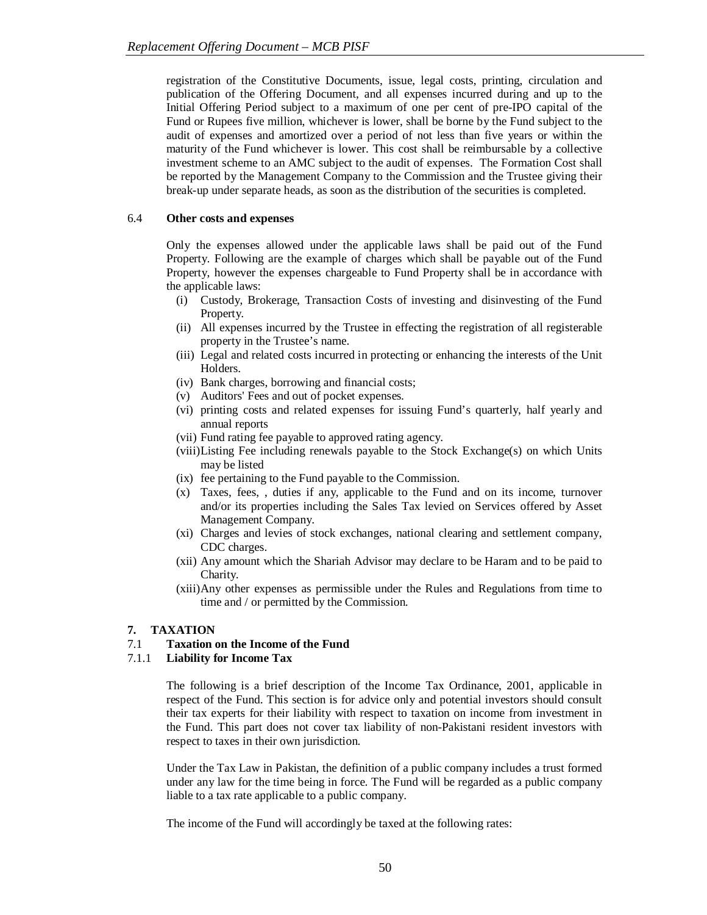registration of the Constitutive Documents, issue, legal costs, printing, circulation and publication of the Offering Document, and all expenses incurred during and up to the Initial Offering Period subject to a maximum of one per cent of pre-IPO capital of the Fund or Rupees five million, whichever is lower, shall be borne by the Fund subject to the audit of expenses and amortized over a period of not less than five years or within the maturity of the Fund whichever is lower. This cost shall be reimbursable by a collective investment scheme to an AMC subject to the audit of expenses. The Formation Cost shall be reported by the Management Company to the Commission and the Trustee giving their break-up under separate heads, as soon as the distribution of the securities is completed.

# 6.4 **Other costs and expenses**

Only the expenses allowed under the applicable laws shall be paid out of the Fund Property. Following are the example of charges which shall be payable out of the Fund Property, however the expenses chargeable to Fund Property shall be in accordance with the applicable laws:

- (i) Custody, Brokerage, Transaction Costs of investing and disinvesting of the Fund Property.
- (ii) All expenses incurred by the Trustee in effecting the registration of all registerable property in the Trustee's name.
- (iii) Legal and related costs incurred in protecting or enhancing the interests of the Unit Holders.
- (iv) Bank charges, borrowing and financial costs;
- (v) Auditors' Fees and out of pocket expenses.
- (vi) printing costs and related expenses for issuing Fund's quarterly, half yearly and annual reports
- (vii) Fund rating fee payable to approved rating agency.
- (viii)Listing Fee including renewals payable to the Stock Exchange(s) on which Units may be listed
- (ix) fee pertaining to the Fund payable to the Commission.
- (x) Taxes, fees, , duties if any, applicable to the Fund and on its income, turnover and/or its properties including the Sales Tax levied on Services offered by Asset Management Company.
- (xi) Charges and levies of stock exchanges, national clearing and settlement company, CDC charges.
- (xii) Any amount which the Shariah Advisor may declare to be Haram and to be paid to Charity.
- (xiii)Any other expenses as permissible under the Rules and Regulations from time to time and / or permitted by the Commission.

# **7. TAXATION**

# 7.1 **Taxation on the Income of the Fund**

#### 7.1.1 **Liability for Income Tax**

The following is a brief description of the Income Tax Ordinance, 2001, applicable in respect of the Fund. This section is for advice only and potential investors should consult their tax experts for their liability with respect to taxation on income from investment in the Fund. This part does not cover tax liability of non-Pakistani resident investors with respect to taxes in their own jurisdiction.

Under the Tax Law in Pakistan, the definition of a public company includes a trust formed under any law for the time being in force. The Fund will be regarded as a public company liable to a tax rate applicable to a public company.

The income of the Fund will accordingly be taxed at the following rates: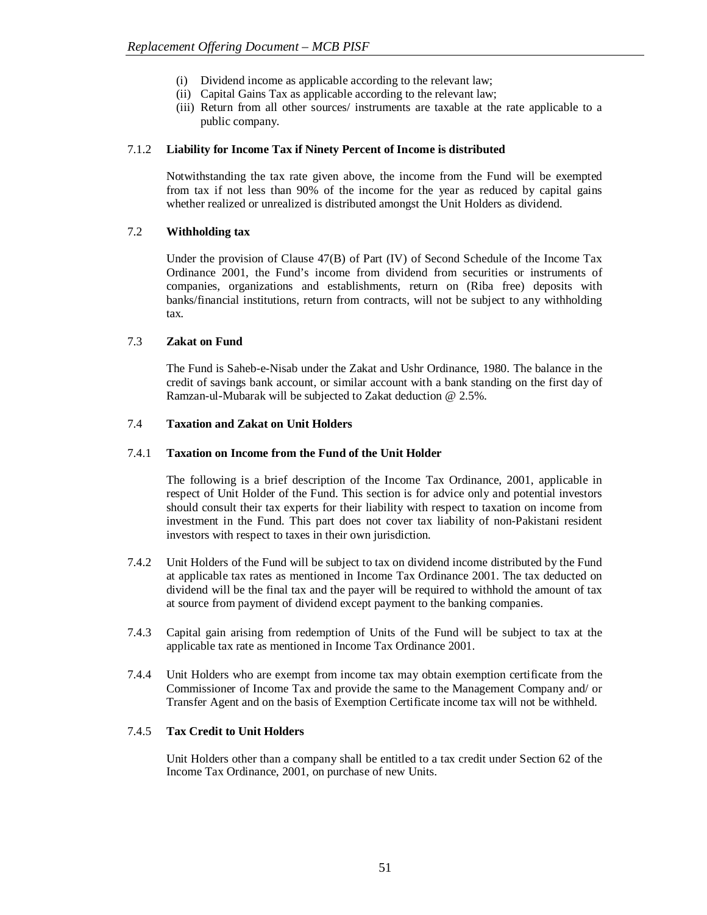- (i) Dividend income as applicable according to the relevant law;
- (ii) Capital Gains Tax as applicable according to the relevant law;
- (iii) Return from all other sources/ instruments are taxable at the rate applicable to a public company.

#### 7.1.2 **Liability for Income Tax if Ninety Percent of Income is distributed**

Notwithstanding the tax rate given above, the income from the Fund will be exempted from tax if not less than 90% of the income for the year as reduced by capital gains whether realized or unrealized is distributed amongst the Unit Holders as dividend.

# 7.2 **Withholding tax**

Under the provision of Clause 47(B) of Part (IV) of Second Schedule of the Income Tax Ordinance 2001, the Fund's income from dividend from securities or instruments of companies, organizations and establishments, return on (Riba free) deposits with banks/financial institutions, return from contracts, will not be subject to any withholding tax.

# 7.3 **Zakat on Fund**

The Fund is Saheb-e-Nisab under the Zakat and Ushr Ordinance, 1980. The balance in the credit of savings bank account, or similar account with a bank standing on the first day of Ramzan-ul-Mubarak will be subjected to Zakat deduction @ 2.5%.

#### 7.4 **Taxation and Zakat on Unit Holders**

# 7.4.1 **Taxation on Income from the Fund of the Unit Holder**

The following is a brief description of the Income Tax Ordinance, 2001, applicable in respect of Unit Holder of the Fund. This section is for advice only and potential investors should consult their tax experts for their liability with respect to taxation on income from investment in the Fund. This part does not cover tax liability of non-Pakistani resident investors with respect to taxes in their own jurisdiction.

- 7.4.2 Unit Holders of the Fund will be subject to tax on dividend income distributed by the Fund at applicable tax rates as mentioned in Income Tax Ordinance 2001. The tax deducted on dividend will be the final tax and the payer will be required to withhold the amount of tax at source from payment of dividend except payment to the banking companies.
- 7.4.3 Capital gain arising from redemption of Units of the Fund will be subject to tax at the applicable tax rate as mentioned in Income Tax Ordinance 2001.
- 7.4.4 Unit Holders who are exempt from income tax may obtain exemption certificate from the Commissioner of Income Tax and provide the same to the Management Company and/ or Transfer Agent and on the basis of Exemption Certificate income tax will not be withheld.

#### 7.4.5 **Tax Credit to Unit Holders**

Unit Holders other than a company shall be entitled to a tax credit under Section 62 of the Income Tax Ordinance, 2001, on purchase of new Units.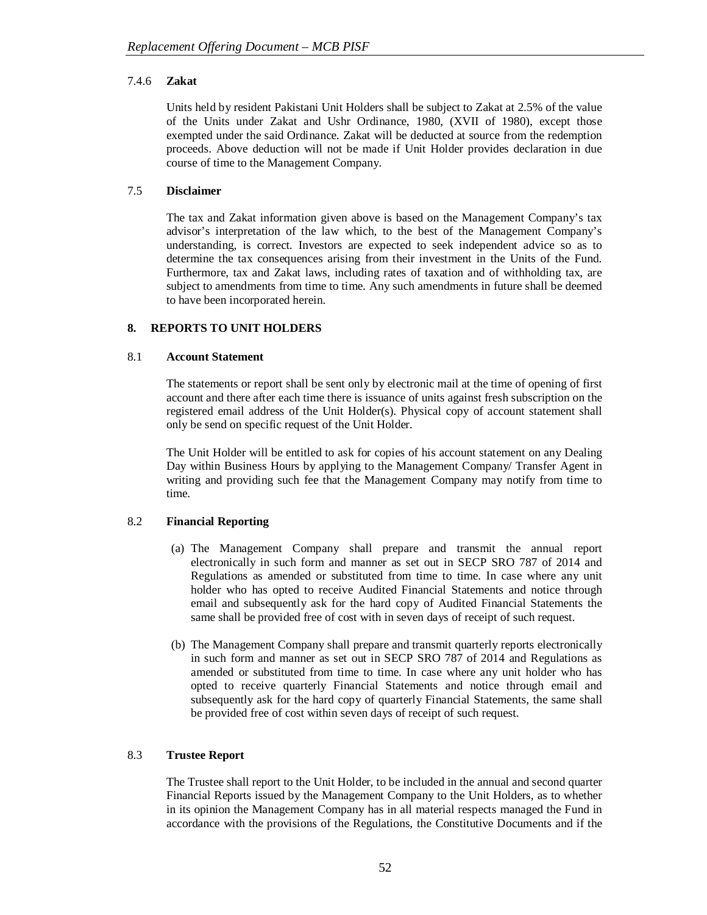# 7.4.6 **Zakat**

Units held by resident Pakistani Unit Holders shall be subject to Zakat at 2.5% of the value of the Units under Zakat and Ushr Ordinance, 1980, (XVII of 1980), except those exempted under the said Ordinance. Zakat will be deducted at source from the redemption proceeds. Above deduction will not be made if Unit Holder provides declaration in due course of time to the Management Company.

# 7.5 **Disclaimer**

The tax and Zakat information given above is based on the Management Company's tax advisor's interpretation of the law which, to the best of the Management Company's understanding, is correct. Investors are expected to seek independent advice so as to determine the tax consequences arising from their investment in the Units of the Fund. Furthermore, tax and Zakat laws, including rates of taxation and of withholding tax, are subject to amendments from time to time. Any such amendments in future shall be deemed to have been incorporated herein.

# **8. REPORTS TO UNIT HOLDERS**

#### 8.1 **Account Statement**

The statements or report shall be sent only by electronic mail at the time of opening of first account and there after each time there is issuance of units against fresh subscription on the registered email address of the Unit Holder(s). Physical copy of account statement shall only be send on specific request of the Unit Holder.

The Unit Holder will be entitled to ask for copies of his account statement on any Dealing Day within Business Hours by applying to the Management Company/ Transfer Agent in writing and providing such fee that the Management Company may notify from time to time.

# 8.2 **Financial Reporting**

- (a) The Management Company shall prepare and transmit the annual report electronically in such form and manner as set out in SECP SRO 787 of 2014 and Regulations as amended or substituted from time to time. In case where any unit holder who has opted to receive Audited Financial Statements and notice through email and subsequently ask for the hard copy of Audited Financial Statements the same shall be provided free of cost with in seven days of receipt of such request.
- (b) The Management Company shall prepare and transmit quarterly reports electronically in such form and manner as set out in SECP SRO 787 of 2014 and Regulations as amended or substituted from time to time. In case where any unit holder who has opted to receive quarterly Financial Statements and notice through email and subsequently ask for the hard copy of quarterly Financial Statements, the same shall be provided free of cost within seven days of receipt of such request.

#### 8.3 **Trustee Report**

The Trustee shall report to the Unit Holder, to be included in the annual and second quarter Financial Reports issued by the Management Company to the Unit Holders, as to whether in its opinion the Management Company has in all material respects managed the Fund in accordance with the provisions of the Regulations, the Constitutive Documents and if the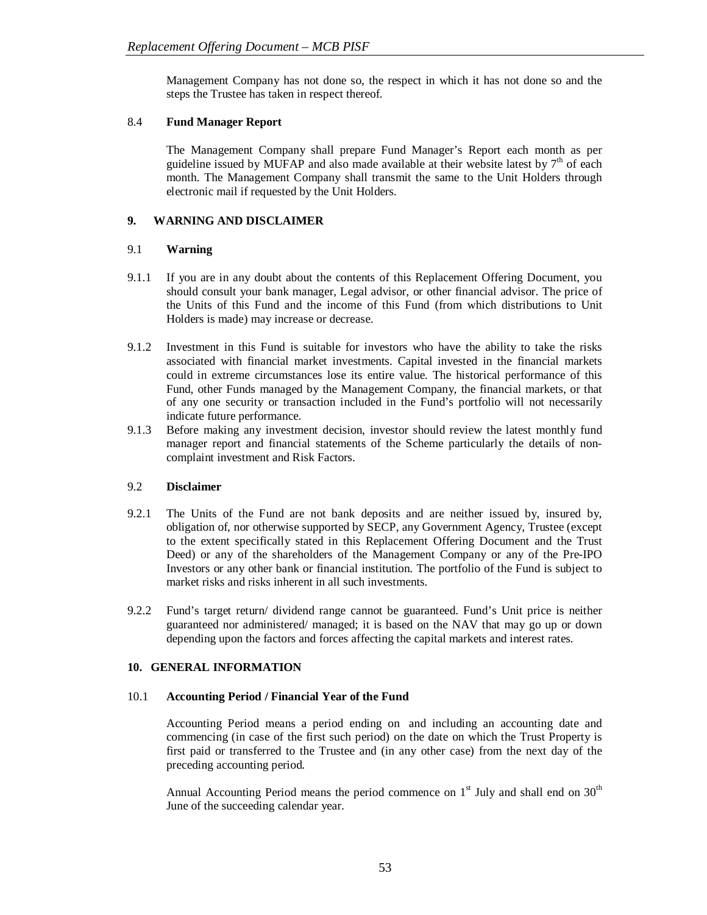Management Company has not done so, the respect in which it has not done so and the steps the Trustee has taken in respect thereof.

# 8.4 **Fund Manager Report**

The Management Company shall prepare Fund Manager's Report each month as per guideline issued by MUFAP and also made available at their website latest by  $7<sup>th</sup>$  of each month. The Management Company shall transmit the same to the Unit Holders through electronic mail if requested by the Unit Holders.

# **9. WARNING AND DISCLAIMER**

# 9.1 **Warning**

- 9.1.1 If you are in any doubt about the contents of this Replacement Offering Document, you should consult your bank manager, Legal advisor, or other financial advisor. The price of the Units of this Fund and the income of this Fund (from which distributions to Unit Holders is made) may increase or decrease.
- 9.1.2 Investment in this Fund is suitable for investors who have the ability to take the risks associated with financial market investments. Capital invested in the financial markets could in extreme circumstances lose its entire value. The historical performance of this Fund, other Funds managed by the Management Company, the financial markets, or that of any one security or transaction included in the Fund's portfolio will not necessarily indicate future performance.
- 9.1.3 Before making any investment decision, investor should review the latest monthly fund manager report and financial statements of the Scheme particularly the details of noncomplaint investment and Risk Factors.

#### 9.2 **Disclaimer**

- 9.2.1 The Units of the Fund are not bank deposits and are neither issued by, insured by, obligation of, nor otherwise supported by SECP, any Government Agency, Trustee (except to the extent specifically stated in this Replacement Offering Document and the Trust Deed) or any of the shareholders of the Management Company or any of the Pre-IPO Investors or any other bank or financial institution. The portfolio of the Fund is subject to market risks and risks inherent in all such investments.
- 9.2.2 Fund's target return/ dividend range cannot be guaranteed. Fund's Unit price is neither guaranteed nor administered/ managed; it is based on the NAV that may go up or down depending upon the factors and forces affecting the capital markets and interest rates.

# **10. GENERAL INFORMATION**

#### 10.1 **Accounting Period / Financial Year of the Fund**

Accounting Period means a period ending on and including an accounting date and commencing (in case of the first such period) on the date on which the Trust Property is first paid or transferred to the Trustee and (in any other case) from the next day of the preceding accounting period.

Annual Accounting Period means the period commence on  $1<sup>st</sup>$  July and shall end on  $30<sup>th</sup>$ June of the succeeding calendar year.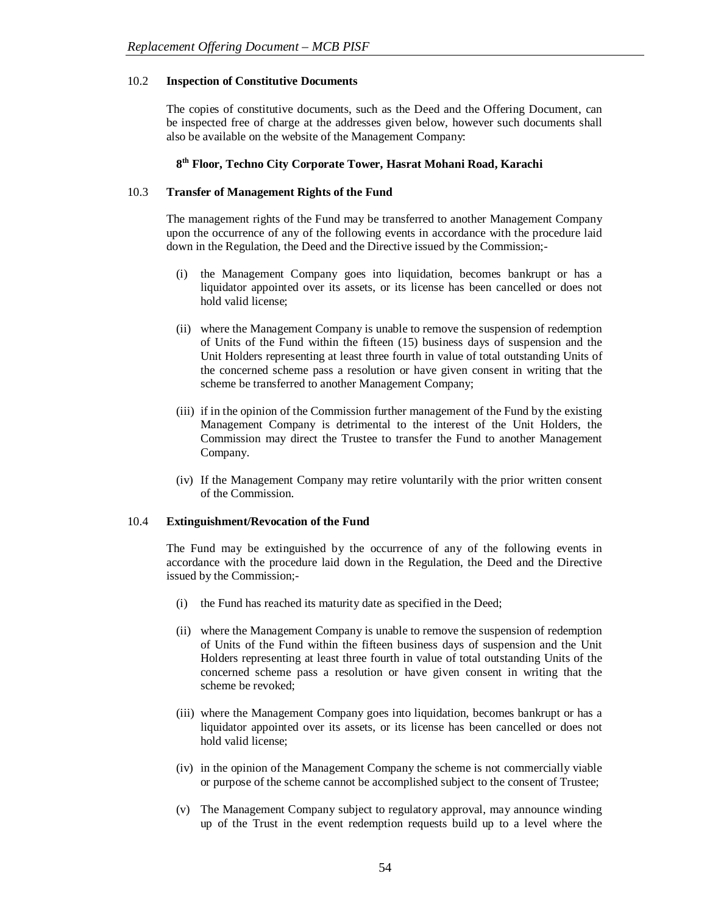#### 10.2 **Inspection of Constitutive Documents**

The copies of constitutive documents, such as the Deed and the Offering Document, can be inspected free of charge at the addresses given below, however such documents shall also be available on the website of the Management Company:

# **8 th Floor, Techno City Corporate Tower, Hasrat Mohani Road, Karachi**

#### 10.3 **Transfer of Management Rights of the Fund**

The management rights of the Fund may be transferred to another Management Company upon the occurrence of any of the following events in accordance with the procedure laid down in the Regulation, the Deed and the Directive issued by the Commission;-

- (i) the Management Company goes into liquidation, becomes bankrupt or has a liquidator appointed over its assets, or its license has been cancelled or does not hold valid license;
- (ii) where the Management Company is unable to remove the suspension of redemption of Units of the Fund within the fifteen (15) business days of suspension and the Unit Holders representing at least three fourth in value of total outstanding Units of the concerned scheme pass a resolution or have given consent in writing that the scheme be transferred to another Management Company;
- (iii) if in the opinion of the Commission further management of the Fund by the existing Management Company is detrimental to the interest of the Unit Holders, the Commission may direct the Trustee to transfer the Fund to another Management Company.
- (iv) If the Management Company may retire voluntarily with the prior written consent of the Commission.

#### 10.4 **Extinguishment/Revocation of the Fund**

The Fund may be extinguished by the occurrence of any of the following events in accordance with the procedure laid down in the Regulation, the Deed and the Directive issued by the Commission;-

- (i) the Fund has reached its maturity date as specified in the Deed;
- (ii) where the Management Company is unable to remove the suspension of redemption of Units of the Fund within the fifteen business days of suspension and the Unit Holders representing at least three fourth in value of total outstanding Units of the concerned scheme pass a resolution or have given consent in writing that the scheme be revoked;
- (iii) where the Management Company goes into liquidation, becomes bankrupt or has a liquidator appointed over its assets, or its license has been cancelled or does not hold valid license;
- (iv) in the opinion of the Management Company the scheme is not commercially viable or purpose of the scheme cannot be accomplished subject to the consent of Trustee;
- (v) The Management Company subject to regulatory approval, may announce winding up of the Trust in the event redemption requests build up to a level where the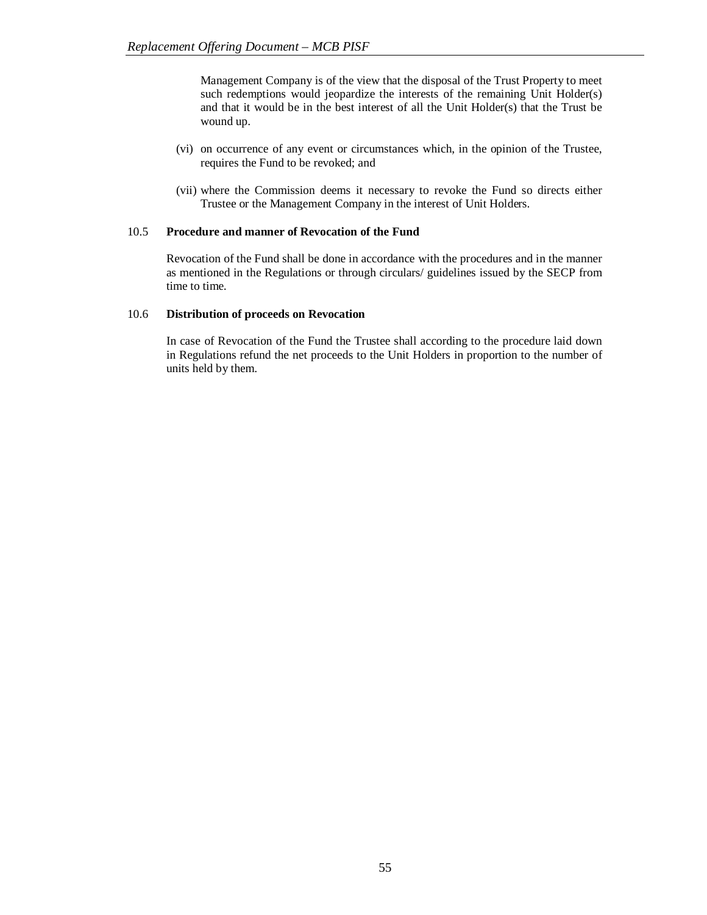Management Company is of the view that the disposal of the Trust Property to meet such redemptions would jeopardize the interests of the remaining Unit Holder(s) and that it would be in the best interest of all the Unit Holder(s) that the Trust be wound up.

- (vi) on occurrence of any event or circumstances which, in the opinion of the Trustee, requires the Fund to be revoked; and
- (vii) where the Commission deems it necessary to revoke the Fund so directs either Trustee or the Management Company in the interest of Unit Holders.

#### 10.5 **Procedure and manner of Revocation of the Fund**

Revocation of the Fund shall be done in accordance with the procedures and in the manner as mentioned in the Regulations or through circulars/ guidelines issued by the SECP from time to time.

#### 10.6 **Distribution of proceeds on Revocation**

In case of Revocation of the Fund the Trustee shall according to the procedure laid down in Regulations refund the net proceeds to the Unit Holders in proportion to the number of units held by them.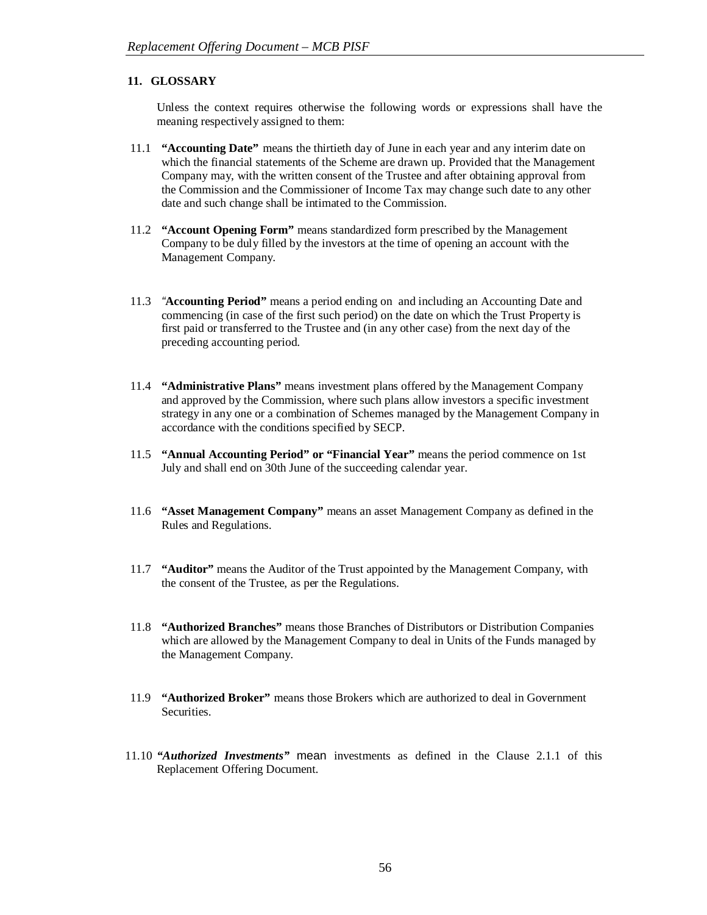# **11. GLOSSARY**

Unless the context requires otherwise the following words or expressions shall have the meaning respectively assigned to them:

- 11.1 **"Accounting Date"** means the thirtieth day of June in each year and any interim date on which the financial statements of the Scheme are drawn up. Provided that the Management Company may, with the written consent of the Trustee and after obtaining approval from the Commission and the Commissioner of Income Tax may change such date to any other date and such change shall be intimated to the Commission.
- 11.2 **"Account Opening Form"** means standardized form prescribed by the Management Company to be duly filled by the investors at the time of opening an account with the Management Company.
- 11.3 *"***Accounting Period"** means a period ending on and including an Accounting Date and commencing (in case of the first such period) on the date on which the Trust Property is first paid or transferred to the Trustee and (in any other case) from the next day of the preceding accounting period.
- 11.4 **"Administrative Plans"** means investment plans offered by the Management Company and approved by the Commission, where such plans allow investors a specific investment strategy in any one or a combination of Schemes managed by the Management Company in accordance with the conditions specified by SECP.
- 11.5 **"Annual Accounting Period" or "Financial Year"** means the period commence on 1st July and shall end on 30th June of the succeeding calendar year.
- 11.6 **"Asset Management Company"** means an asset Management Company as defined in the Rules and Regulations.
- 11.7 **"Auditor"** means the Auditor of the Trust appointed by the Management Company, with the consent of the Trustee, as per the Regulations.
- 11.8 **"Authorized Branches"** means those Branches of Distributors or Distribution Companies which are allowed by the Management Company to deal in Units of the Funds managed by the Management Company.
- 11.9 **"Authorized Broker"** means those Brokers which are authorized to deal in Government Securities.
- 11.10 *"Authorized Investments"* mean investments as defined in the Clause 2.1.1 of this Replacement Offering Document.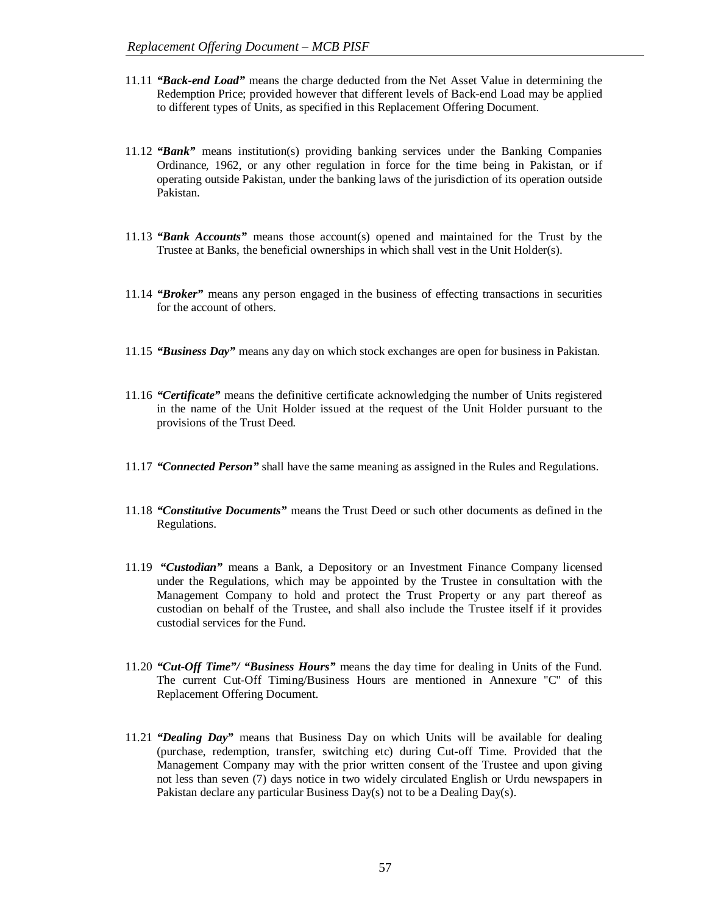- 11.11 *"Back-end Load"* means the charge deducted from the Net Asset Value in determining the Redemption Price; provided however that different levels of Back-end Load may be applied to different types of Units, as specified in this Replacement Offering Document.
- 11.12 *"Bank"* means institution(s) providing banking services under the Banking Companies Ordinance, 1962, or any other regulation in force for the time being in Pakistan, or if operating outside Pakistan, under the banking laws of the jurisdiction of its operation outside Pakistan.
- 11.13 *"Bank Accounts"* means those account(s) opened and maintained for the Trust by the Trustee at Banks, the beneficial ownerships in which shall vest in the Unit Holder(s).
- 11.14 *"Broker"* means any person engaged in the business of effecting transactions in securities for the account of others.
- 11.15 *"Business Day"* means any day on which stock exchanges are open for business in Pakistan.
- 11.16 *"Certificate"* means the definitive certificate acknowledging the number of Units registered in the name of the Unit Holder issued at the request of the Unit Holder pursuant to the provisions of the Trust Deed.
- 11.17 *"Connected Person"* shall have the same meaning as assigned in the Rules and Regulations.
- 11.18 *"Constitutive Documents"* means the Trust Deed or such other documents as defined in the Regulations.
- 11.19 *"Custodian"* means a Bank, a Depository or an Investment Finance Company licensed under the Regulations, which may be appointed by the Trustee in consultation with the Management Company to hold and protect the Trust Property or any part thereof as custodian on behalf of the Trustee, and shall also include the Trustee itself if it provides custodial services for the Fund.
- 11.20 *"Cut-Off Time"/ "Business Hours"* means the day time for dealing in Units of the Fund. The current Cut-Off Timing/Business Hours are mentioned in Annexure ''C'' of this Replacement Offering Document.
- 11.21 *"Dealing Day"* means that Business Day on which Units will be available for dealing (purchase, redemption, transfer, switching etc) during Cut-off Time. Provided that the Management Company may with the prior written consent of the Trustee and upon giving not less than seven (7) days notice in two widely circulated English or Urdu newspapers in Pakistan declare any particular Business Day(s) not to be a Dealing Day(s).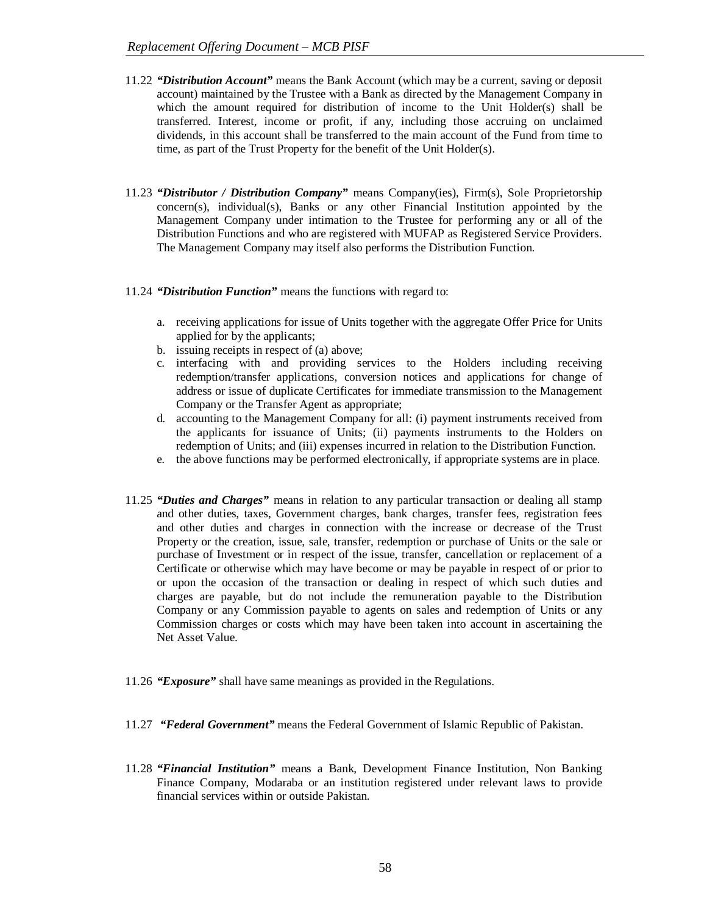- 11.22 *"Distribution Account"* means the Bank Account (which may be a current, saving or deposit account) maintained by the Trustee with a Bank as directed by the Management Company in which the amount required for distribution of income to the Unit Holder(s) shall be transferred. Interest, income or profit, if any, including those accruing on unclaimed dividends, in this account shall be transferred to the main account of the Fund from time to time, as part of the Trust Property for the benefit of the Unit Holder(s).
- 11.23 *"Distributor / Distribution Company"* means Company(ies), Firm(s), Sole Proprietorship concern(s), individual(s), Banks or any other Financial Institution appointed by the Management Company under intimation to the Trustee for performing any or all of the Distribution Functions and who are registered with MUFAP as Registered Service Providers. The Management Company may itself also performs the Distribution Function.
- 11.24 *"Distribution Function"* means the functions with regard to:
	- a. receiving applications for issue of Units together with the aggregate Offer Price for Units applied for by the applicants;
	- b. issuing receipts in respect of (a) above;
	- c. interfacing with and providing services to the Holders including receiving redemption/transfer applications, conversion notices and applications for change of address or issue of duplicate Certificates for immediate transmission to the Management Company or the Transfer Agent as appropriate;
	- d. accounting to the Management Company for all: (i) payment instruments received from the applicants for issuance of Units; (ii) payments instruments to the Holders on redemption of Units; and (iii) expenses incurred in relation to the Distribution Function.
	- e. the above functions may be performed electronically, if appropriate systems are in place.
- 11.25 *"Duties and Charges"* means in relation to any particular transaction or dealing all stamp and other duties, taxes, Government charges, bank charges, transfer fees, registration fees and other duties and charges in connection with the increase or decrease of the Trust Property or the creation, issue, sale, transfer, redemption or purchase of Units or the sale or purchase of Investment or in respect of the issue, transfer, cancellation or replacement of a Certificate or otherwise which may have become or may be payable in respect of or prior to or upon the occasion of the transaction or dealing in respect of which such duties and charges are payable, but do not include the remuneration payable to the Distribution Company or any Commission payable to agents on sales and redemption of Units or any Commission charges or costs which may have been taken into account in ascertaining the Net Asset Value.
- 11.26 *"Exposure"* shall have same meanings as provided in the Regulations.
- 11.27 *"Federal Government"* means the Federal Government of Islamic Republic of Pakistan.
- 11.28 *"Financial Institution"* means a Bank, Development Finance Institution, Non Banking Finance Company, Modaraba or an institution registered under relevant laws to provide financial services within or outside Pakistan.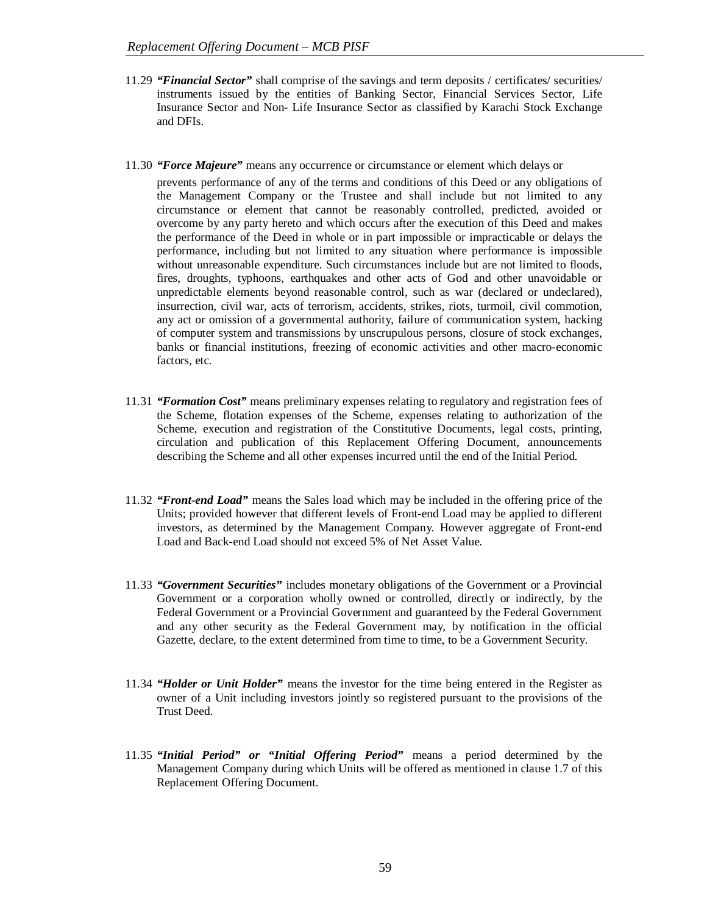- 11.29 *"Financial Sector"* shall comprise of the savings and term deposits / certificates/ securities/ instruments issued by the entities of Banking Sector, Financial Services Sector, Life Insurance Sector and Non- Life Insurance Sector as classified by Karachi Stock Exchange and DFIs.
- 11.30 *"Force Majeure"* means any occurrence or circumstance or element which delays or

prevents performance of any of the terms and conditions of this Deed or any obligations of the Management Company or the Trustee and shall include but not limited to any circumstance or element that cannot be reasonably controlled, predicted, avoided or overcome by any party hereto and which occurs after the execution of this Deed and makes the performance of the Deed in whole or in part impossible or impracticable or delays the performance, including but not limited to any situation where performance is impossible without unreasonable expenditure. Such circumstances include but are not limited to floods, fires, droughts, typhoons, earthquakes and other acts of God and other unavoidable or unpredictable elements beyond reasonable control, such as war (declared or undeclared), insurrection, civil war, acts of terrorism, accidents, strikes, riots, turmoil, civil commotion, any act or omission of a governmental authority, failure of communication system, hacking of computer system and transmissions by unscrupulous persons, closure of stock exchanges, banks or financial institutions, freezing of economic activities and other macro-economic factors, etc.

- 11.31 *"Formation Cost"* means preliminary expenses relating to regulatory and registration fees of the Scheme, flotation expenses of the Scheme, expenses relating to authorization of the Scheme, execution and registration of the Constitutive Documents, legal costs, printing, circulation and publication of this Replacement Offering Document, announcements describing the Scheme and all other expenses incurred until the end of the Initial Period.
- 11.32 *"Front-end Load"* means the Sales load which may be included in the offering price of the Units; provided however that different levels of Front-end Load may be applied to different investors, as determined by the Management Company. However aggregate of Front-end Load and Back-end Load should not exceed 5% of Net Asset Value.
- 11.33 *"Government Securities"* includes monetary obligations of the Government or a Provincial Government or a corporation wholly owned or controlled, directly or indirectly, by the Federal Government or a Provincial Government and guaranteed by the Federal Government and any other security as the Federal Government may, by notification in the official Gazette, declare, to the extent determined from time to time, to be a Government Security.
- 11.34 *"Holder or Unit Holder"* means the investor for the time being entered in the Register as owner of a Unit including investors jointly so registered pursuant to the provisions of the Trust Deed.
- 11.35 *"Initial Period" or "Initial Offering Period"* means a period determined by the Management Company during which Units will be offered as mentioned in clause 1.7 of this Replacement Offering Document.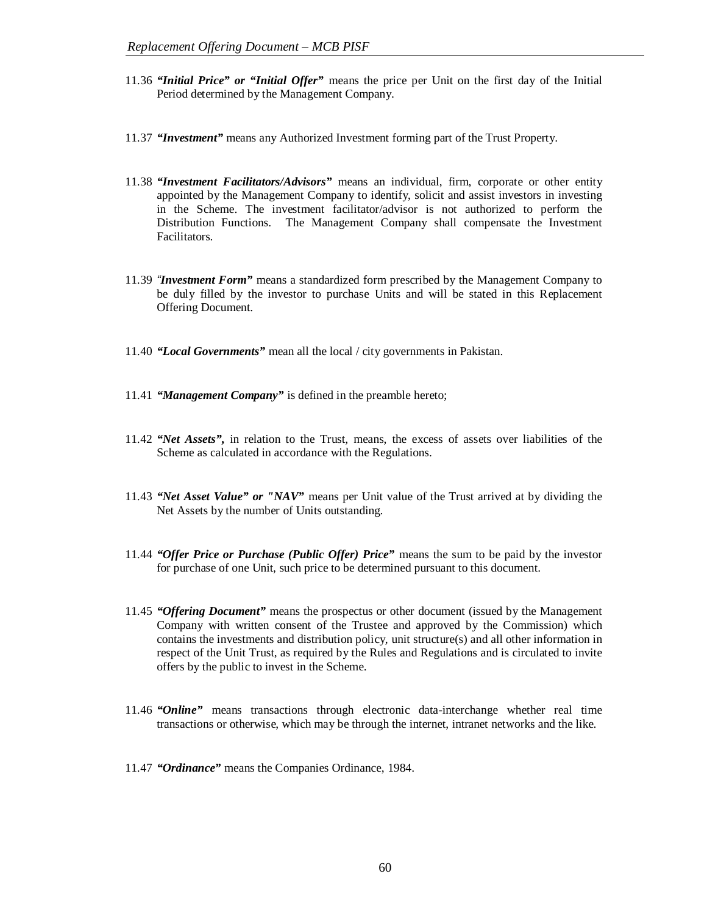- 11.36 *"Initial Price" or "Initial Offer"* means the price per Unit on the first day of the Initial Period determined by the Management Company.
- 11.37 *"Investment"* means any Authorized Investment forming part of the Trust Property.
- 11.38 *"Investment Facilitators/Advisors"* means an individual, firm, corporate or other entity appointed by the Management Company to identify, solicit and assist investors in investing in the Scheme. The investment facilitator/advisor is not authorized to perform the Distribution Functions. The Management Company shall compensate the Investment Facilitators.
- 11.39 *"Investment Form"* means a standardized form prescribed by the Management Company to be duly filled by the investor to purchase Units and will be stated in this Replacement Offering Document.
- 11.40 *"Local Governments"* mean all the local / city governments in Pakistan.
- 11.41 *"Management Company"* is defined in the preamble hereto;
- 11.42 *"Net Assets",* in relation to the Trust, means, the excess of assets over liabilities of the Scheme as calculated in accordance with the Regulations.
- 11.43 *"Net Asset Value" or "NAV"* means per Unit value of the Trust arrived at by dividing the Net Assets by the number of Units outstanding.
- 11.44 *"Offer Price or Purchase (Public Offer) Price"* means the sum to be paid by the investor for purchase of one Unit, such price to be determined pursuant to this document.
- 11.45 *"Offering Document"* means the prospectus or other document (issued by the Management Company with written consent of the Trustee and approved by the Commission) which contains the investments and distribution policy, unit structure(s) and all other information in respect of the Unit Trust, as required by the Rules and Regulations and is circulated to invite offers by the public to invest in the Scheme.
- 11.46 *"Online"* means transactions through electronic data-interchange whether real time transactions or otherwise, which may be through the internet, intranet networks and the like.
- 11.47 *"Ordinance"* means the Companies Ordinance, 1984.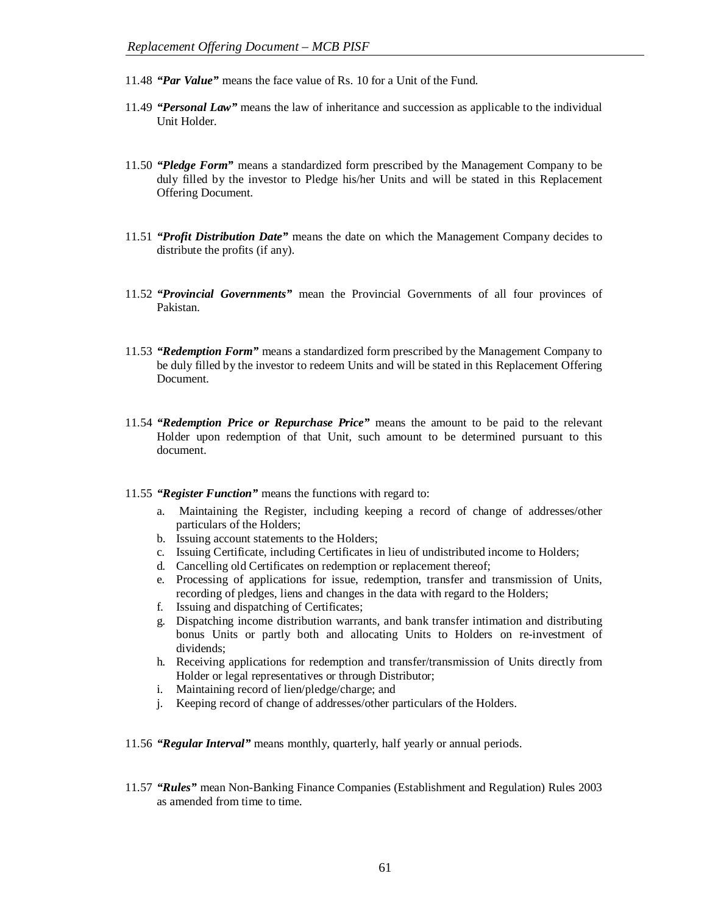- 11.48 *"Par Value"* means the face value of Rs. 10 for a Unit of the Fund.
- 11.49 *"Personal Law"* means the law of inheritance and succession as applicable to the individual Unit Holder.
- 11.50 *"Pledge Form"* means a standardized form prescribed by the Management Company to be duly filled by the investor to Pledge his/her Units and will be stated in this Replacement Offering Document.
- 11.51 *"Profit Distribution Date"* means the date on which the Management Company decides to distribute the profits (if any).
- 11.52 *"Provincial Governments"* mean the Provincial Governments of all four provinces of Pakistan.
- 11.53 *"Redemption Form"* means a standardized form prescribed by the Management Company to be duly filled by the investor to redeem Units and will be stated in this Replacement Offering Document.
- 11.54 *"Redemption Price or Repurchase Price"* means the amount to be paid to the relevant Holder upon redemption of that Unit, such amount to be determined pursuant to this document.
- 11.55 *"Register Function"* means the functions with regard to:
	- a. Maintaining the Register, including keeping a record of change of addresses/other particulars of the Holders;
	- b. Issuing account statements to the Holders;
	- c. Issuing Certificate, including Certificates in lieu of undistributed income to Holders;
	- d. Cancelling old Certificates on redemption or replacement thereof;
	- e. Processing of applications for issue, redemption, transfer and transmission of Units, recording of pledges, liens and changes in the data with regard to the Holders;
	- f. Issuing and dispatching of Certificates;
	- g. Dispatching income distribution warrants, and bank transfer intimation and distributing bonus Units or partly both and allocating Units to Holders on re-investment of dividends;
	- h. Receiving applications for redemption and transfer/transmission of Units directly from Holder or legal representatives or through Distributor;
	- i. Maintaining record of lien/pledge/charge; and
	- j. Keeping record of change of addresses/other particulars of the Holders.
- 11.56 *"Regular Interval"* means monthly, quarterly, half yearly or annual periods.
- 11.57 *"Rules"* mean Non-Banking Finance Companies (Establishment and Regulation) Rules 2003 as amended from time to time.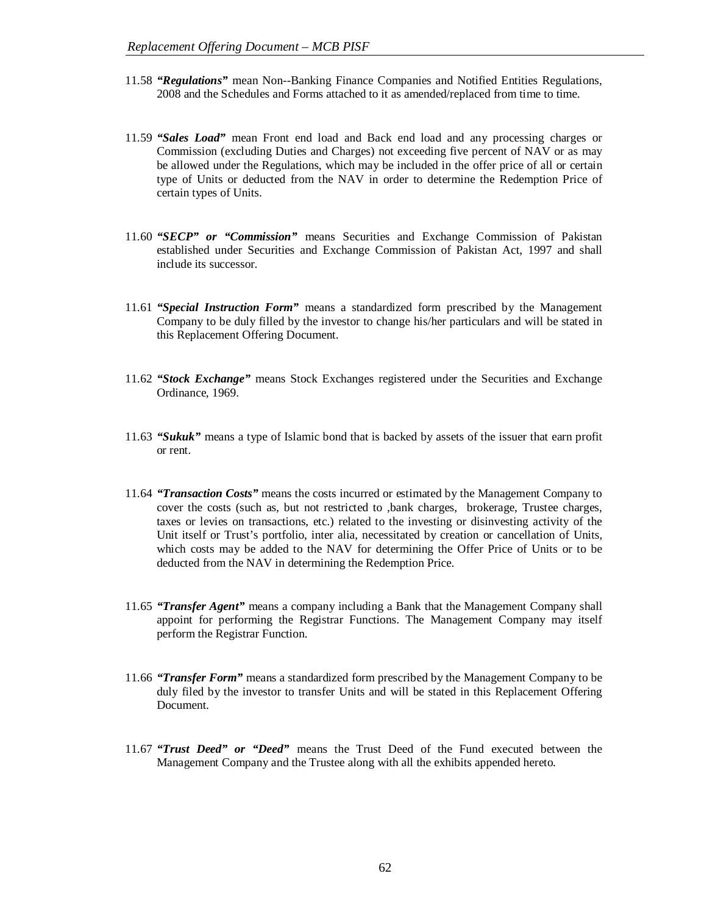- 11.58 *"Regulations"* mean Non--Banking Finance Companies and Notified Entities Regulations, 2008 and the Schedules and Forms attached to it as amended/replaced from time to time.
- 11.59 *"Sales Load"* mean Front end load and Back end load and any processing charges or Commission (excluding Duties and Charges) not exceeding five percent of NAV or as may be allowed under the Regulations, which may be included in the offer price of all or certain type of Units or deducted from the NAV in order to determine the Redemption Price of certain types of Units.
- 11.60 *"SECP" or "Commission"* means Securities and Exchange Commission of Pakistan established under Securities and Exchange Commission of Pakistan Act, 1997 and shall include its successor.
- 11.61 *"Special Instruction Form"* means a standardized form prescribed by the Management Company to be duly filled by the investor to change his/her particulars and will be stated in this Replacement Offering Document.
- 11.62 *"Stock Exchange"* means Stock Exchanges registered under the Securities and Exchange Ordinance, 1969.
- 11.63 *"Sukuk"* means a type of Islamic bond that is backed by assets of the issuer that earn profit or rent.
- 11.64 *"Transaction Costs"* means the costs incurred or estimated by the Management Company to cover the costs (such as, but not restricted to ,bank charges, brokerage, Trustee charges, taxes or levies on transactions, etc.) related to the investing or disinvesting activity of the Unit itself or Trust's portfolio, inter alia, necessitated by creation or cancellation of Units, which costs may be added to the NAV for determining the Offer Price of Units or to be deducted from the NAV in determining the Redemption Price.
- 11.65 *"Transfer Agent"* means a company including a Bank that the Management Company shall appoint for performing the Registrar Functions. The Management Company may itself perform the Registrar Function.
- 11.66 *"Transfer Form"* means a standardized form prescribed by the Management Company to be duly filed by the investor to transfer Units and will be stated in this Replacement Offering Document.
- 11.67 *"Trust Deed" or "Deed"* means the Trust Deed of the Fund executed between the Management Company and the Trustee along with all the exhibits appended hereto.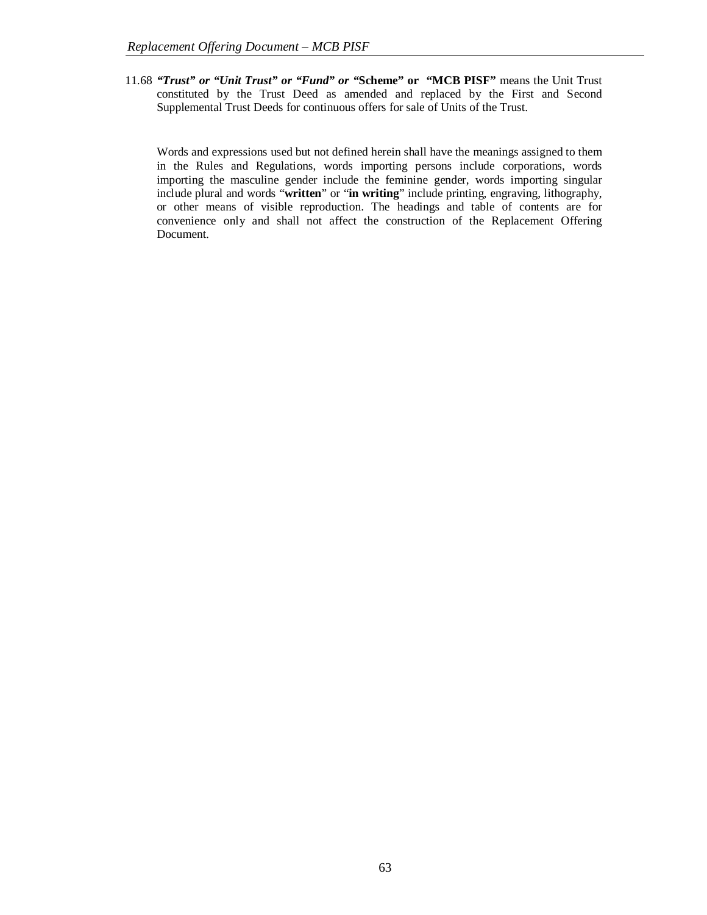11.68 *"Trust" or "Unit Trust" or "Fund" or "***Scheme" or "MCB PISF"** means the Unit Trust constituted by the Trust Deed as amended and replaced by the First and Second Supplemental Trust Deeds for continuous offers for sale of Units of the Trust.

Words and expressions used but not defined herein shall have the meanings assigned to them in the Rules and Regulations, words importing persons include corporations, words importing the masculine gender include the feminine gender, words importing singular include plural and words "**written**" or "**in writing**" include printing, engraving, lithography, or other means of visible reproduction. The headings and table of contents are for convenience only and shall not affect the construction of the Replacement Offering Document.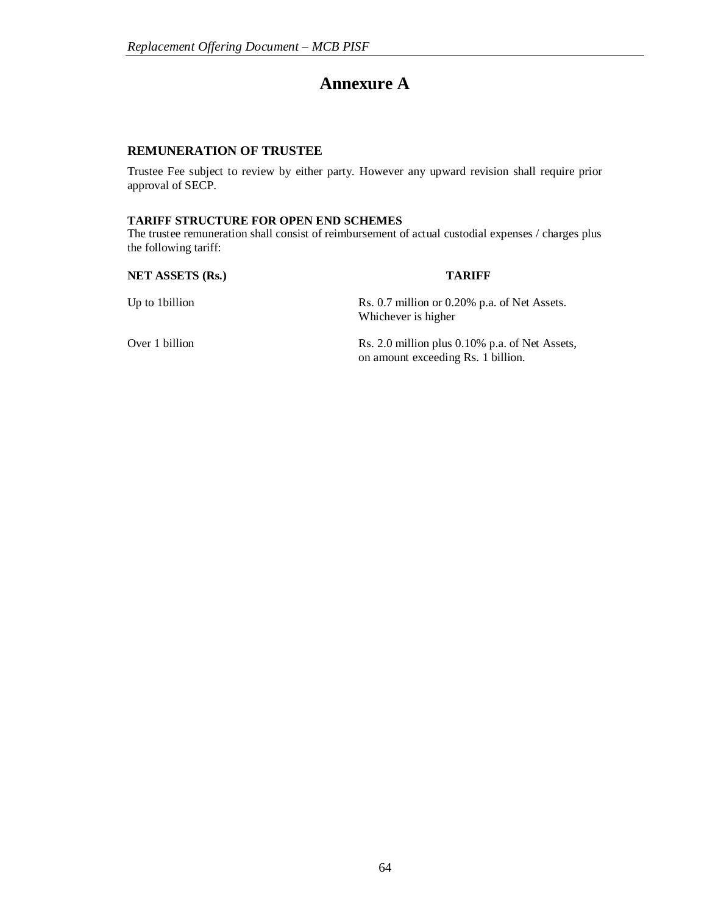# **Annexure A**

# **REMUNERATION OF TRUSTEE**

Trustee Fee subject to review by either party. However any upward revision shall require prior approval of SECP.

#### **TARIFF STRUCTURE FOR OPEN END SCHEMES**

The trustee remuneration shall consist of reimbursement of actual custodial expenses / charges plus the following tariff:

**NET ASSETS (Rs.) TARIFF**

Up to 1billion Rs. 0.7 million or 0.20% p.a. of Net Assets. Whichever is higher

Over 1 billion Rs. 2.0 million plus 0.10% p.a. of Net Assets, on amount exceeding Rs. 1 billion.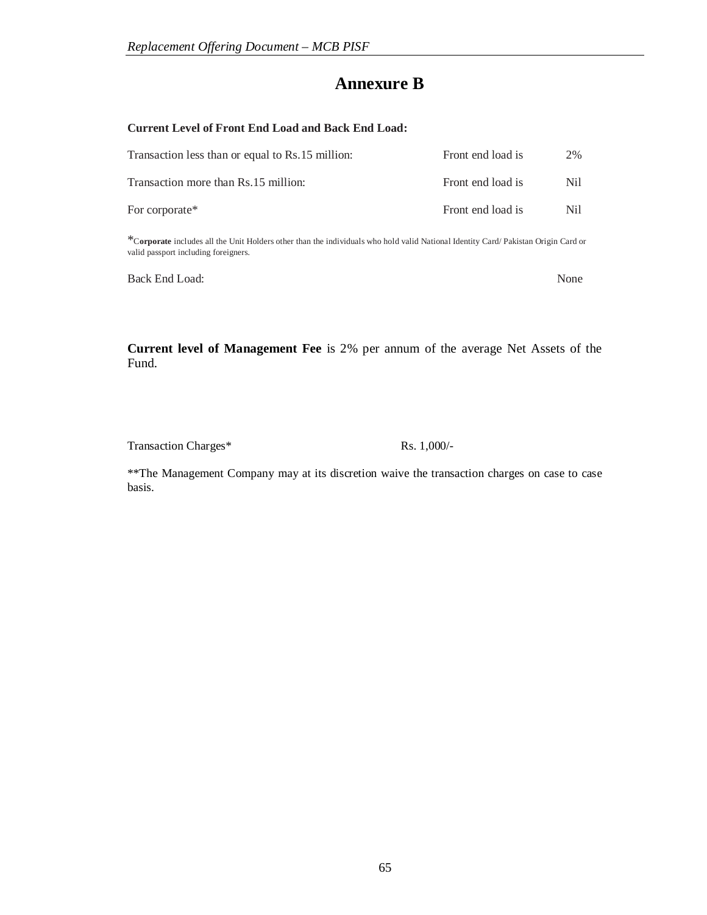# **Annexure B**

# **Current Level of Front End Load and Back End Load:**

| Transaction less than or equal to Rs.15 million: | Front end load is | 2%   |
|--------------------------------------------------|-------------------|------|
| Transaction more than Rs.15 million:             | Front end load is | Nil. |
| For corporate*                                   | Front end load is | Nil. |

\*<sup>C</sup>**orporate** includes all the Unit Holders other than the individuals who hold valid National Identity Card/ Pakistan Origin Card or valid passport including foreigners.

Back End Load: None

**Current level of Management Fee** is 2% per annum of the average Net Assets of the Fund.

Transaction Charges\* Rs. 1,000/-

\*\*The Management Company may at its discretion waive the transaction charges on case to case basis.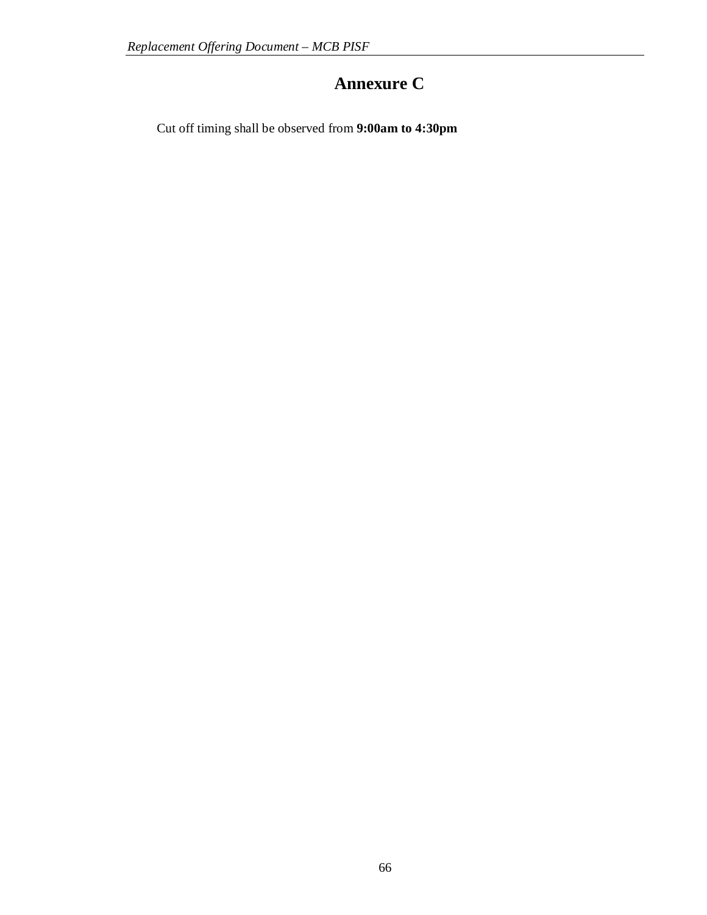# **Annexure C**

Cut off timing shall be observed from **9:00am to 4:30pm**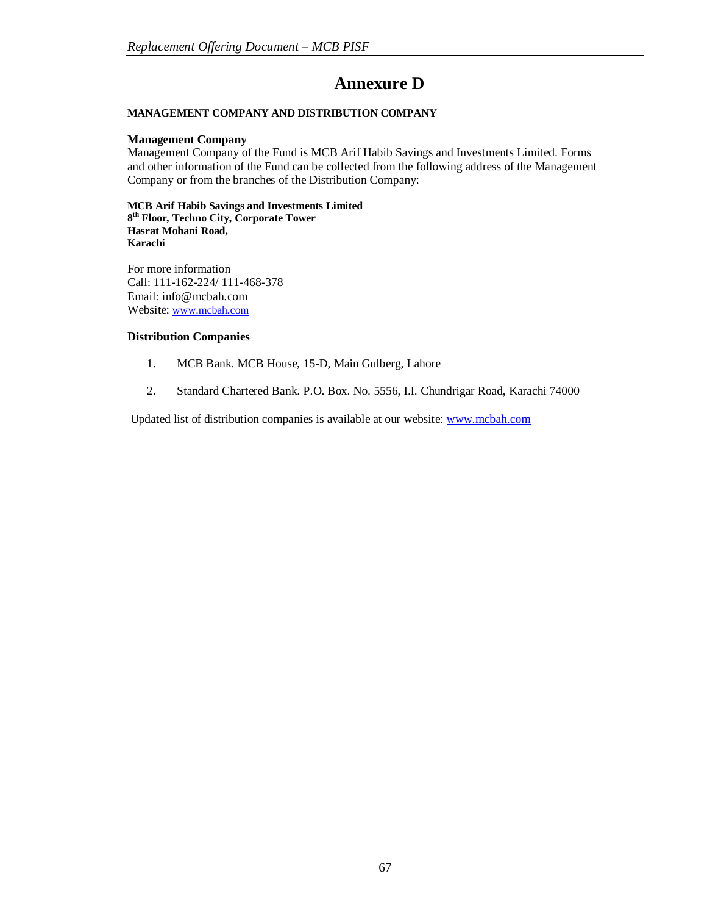# **Annexure D**

#### **MANAGEMENT COMPANY AND DISTRIBUTION COMPANY**

#### **Management Company**

Management Company of the Fund is MCB Arif Habib Savings and Investments Limited. Forms and other information of the Fund can be collected from the following address of the Management Company or from the branches of the Distribution Company:

**MCB Arif Habib Savings and Investments Limited 8 th Floor, Techno City, Corporate Tower Hasrat Mohani Road, Karachi**

For more information Call: 111-162-224/ 111-468-378 Email: info@mcbah.com Website: www.mcbah.com

# **Distribution Companies**

- 1. MCB Bank. MCB House, 15-D, Main Gulberg, Lahore
- 2. Standard Chartered Bank. P.O. Box. No. 5556, I.I. Chundrigar Road, Karachi 74000

Updated list of distribution companies is available at our website: www.mcbah.com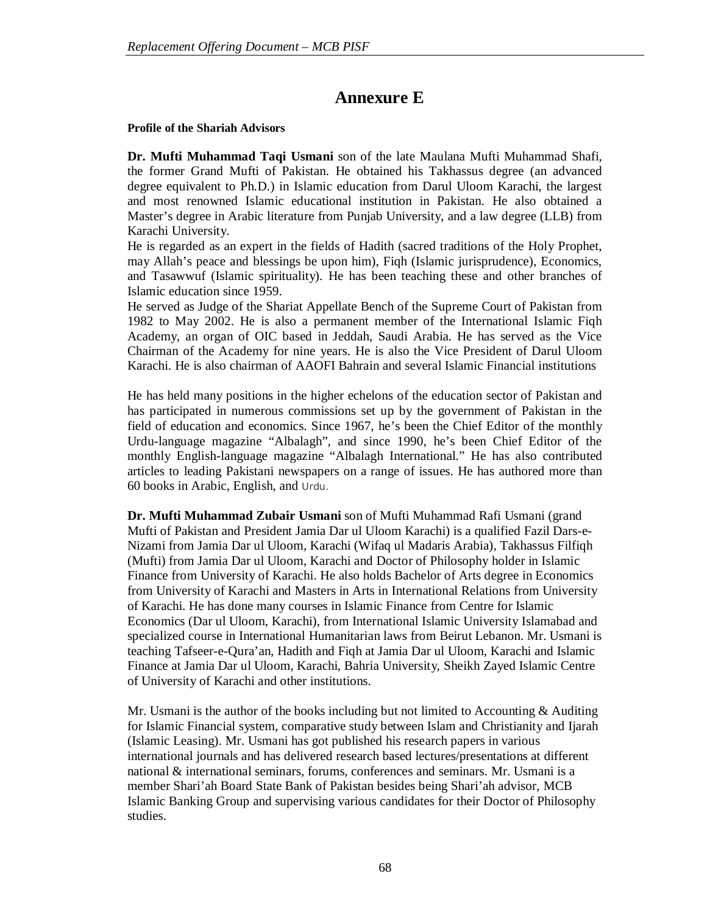# **Annexure E**

# **Profile of the Shariah Advisors**

**Dr. Mufti Muhammad Taqi Usmani** son of the late Maulana Mufti Muhammad Shafi, the former Grand Mufti of Pakistan. He obtained his Takhassus degree (an advanced degree equivalent to Ph.D.) in Islamic education from Darul Uloom Karachi, the largest and most renowned Islamic educational institution in Pakistan. He also obtained a Master's degree in Arabic literature from Punjab University, and a law degree (LLB) from Karachi University.

He is regarded as an expert in the fields of Hadith (sacred traditions of the Holy Prophet, may Allah's peace and blessings be upon him), Fiqh (Islamic jurisprudence), Economics, and Tasawwuf (Islamic spirituality). He has been teaching these and other branches of Islamic education since 1959.

He served as Judge of the Shariat Appellate Bench of the Supreme Court of Pakistan from 1982 to May 2002. He is also a permanent member of the International Islamic Fiqh Academy, an organ of OIC based in Jeddah, Saudi Arabia. He has served as the Vice Chairman of the Academy for nine years. He is also the Vice President of Darul Uloom Karachi. He is also chairman of AAOFI Bahrain and several Islamic Financial institutions

He has held many positions in the higher echelons of the education sector of Pakistan and has participated in numerous commissions set up by the government of Pakistan in the field of education and economics. Since 1967, he's been the Chief Editor of the monthly Urdu-language magazine "Albalagh", and since 1990, he's been Chief Editor of the monthly English-language magazine "Albalagh International." He has also contributed articles to leading Pakistani newspapers on a range of issues. He has authored more than 60 books in Arabic, English, and Urdu.

**Dr. Mufti Muhammad Zubair Usmani** son of Mufti Muhammad Rafi Usmani (grand Mufti of Pakistan and President Jamia Dar ul Uloom Karachi) is a qualified Fazil Dars-e-Nizami from Jamia Dar ul Uloom, Karachi (Wifaq ul Madaris Arabia), Takhassus Filfiqh (Mufti) from Jamia Dar ul Uloom, Karachi and Doctor of Philosophy holder in Islamic Finance from University of Karachi. He also holds Bachelor of Arts degree in Economics from University of Karachi and Masters in Arts in International Relations from University of Karachi. He has done many courses in Islamic Finance from Centre for Islamic Economics (Dar ul Uloom, Karachi), from International Islamic University Islamabad and specialized course in International Humanitarian laws from Beirut Lebanon. Mr. Usmani is teaching Tafseer-e-Qura'an, Hadith and Fiqh at Jamia Dar ul Uloom, Karachi and Islamic Finance at Jamia Dar ul Uloom, Karachi, Bahria University, Sheikh Zayed Islamic Centre of University of Karachi and other institutions.

Mr. Usmani is the author of the books including but not limited to Accounting  $\&$  Auditing for Islamic Financial system, comparative study between Islam and Christianity and Ijarah (Islamic Leasing). Mr. Usmani has got published his research papers in various international journals and has delivered research based lectures/presentations at different national & international seminars, forums, conferences and seminars. Mr. Usmani is a member Shari'ah Board State Bank of Pakistan besides being Shari'ah advisor, MCB Islamic Banking Group and supervising various candidates for their Doctor of Philosophy studies.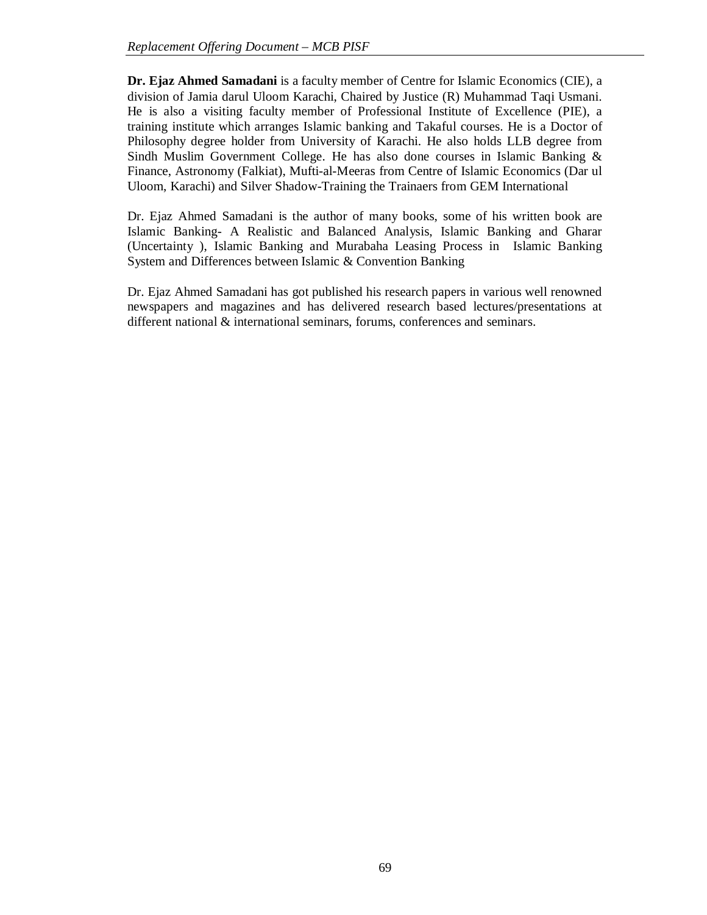**Dr. Ejaz Ahmed Samadani** is a faculty member of Centre for Islamic Economics (CIE), a division of Jamia darul Uloom Karachi, Chaired by Justice (R) Muhammad Taqi Usmani. He is also a visiting faculty member of Professional Institute of Excellence (PIE), a training institute which arranges Islamic banking and Takaful courses. He is a Doctor of Philosophy degree holder from University of Karachi. He also holds LLB degree from Sindh Muslim Government College. He has also done courses in Islamic Banking & Finance, Astronomy (Falkiat), Mufti-al-Meeras from Centre of Islamic Economics (Dar ul Uloom, Karachi) and Silver Shadow-Training the Trainaers from GEM International

Dr. Ejaz Ahmed Samadani is the author of many books, some of his written book are Islamic Banking- A Realistic and Balanced Analysis, Islamic Banking and Gharar (Uncertainty ), Islamic Banking and Murabaha Leasing Process in Islamic Banking System and Differences between Islamic & Convention Banking

Dr. Ejaz Ahmed Samadani has got published his research papers in various well renowned newspapers and magazines and has delivered research based lectures/presentations at different national & international seminars, forums, conferences and seminars.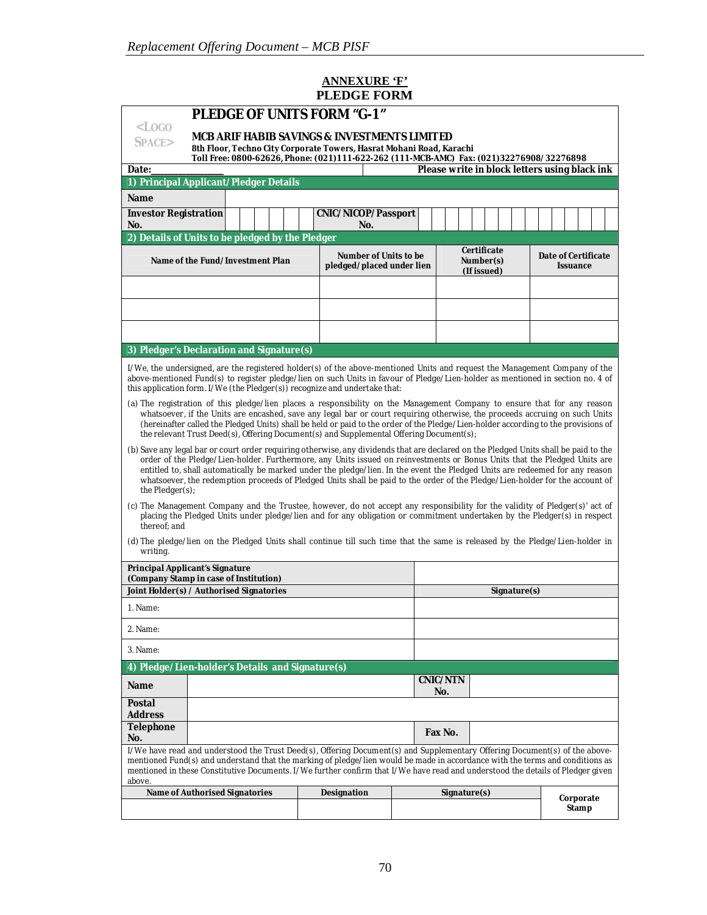# **ANNEXURE 'F' PLEDGE FORM**

| <b>PLEDGE OF UNITS FORM "G-1"</b>                                                                                                                                                                                                                                                                                                                                                                                                                                                                                                                    |                                                                                                                               |             |                                                    |                                         |  |                                               |  |
|------------------------------------------------------------------------------------------------------------------------------------------------------------------------------------------------------------------------------------------------------------------------------------------------------------------------------------------------------------------------------------------------------------------------------------------------------------------------------------------------------------------------------------------------------|-------------------------------------------------------------------------------------------------------------------------------|-------------|----------------------------------------------------|-----------------------------------------|--|-----------------------------------------------|--|
| $<$ LOGO<br>MCB ARIF HABIB SAVINGS & INVESTMENTS LIMITED<br>SPACE><br>8th Floor, Techno City Corporate Towers, Hasrat Mohani Road, Karachi<br>Toll Free: 0800-62626, Phone: (021)111-622-262 (111-MCB-AMC) Fax: (021)32276908/32276898                                                                                                                                                                                                                                                                                                               |                                                                                                                               |             |                                                    |                                         |  |                                               |  |
| Date:                                                                                                                                                                                                                                                                                                                                                                                                                                                                                                                                                |                                                                                                                               |             |                                                    |                                         |  | Please write in block letters using black ink |  |
|                                                                                                                                                                                                                                                                                                                                                                                                                                                                                                                                                      | 1) Principal Applicant/Pledger Details                                                                                        |             |                                                    |                                         |  |                                               |  |
| Name                                                                                                                                                                                                                                                                                                                                                                                                                                                                                                                                                 |                                                                                                                               |             |                                                    |                                         |  |                                               |  |
| No.                                                                                                                                                                                                                                                                                                                                                                                                                                                                                                                                                  | <b>Investor Registration</b><br><b>CNIC/NICOP/Passport</b><br>No.                                                             |             |                                                    |                                         |  |                                               |  |
|                                                                                                                                                                                                                                                                                                                                                                                                                                                                                                                                                      | 2) Details of Units to be pledged by the Pledger                                                                              |             |                                                    |                                         |  |                                               |  |
| Name of the Fund/Investment Plan                                                                                                                                                                                                                                                                                                                                                                                                                                                                                                                     |                                                                                                                               |             | Number of Units to be<br>pledged/placed under lien | Certificate<br>Number(s)<br>(If issued) |  | Date of Certificate<br><b>Issuance</b>        |  |
|                                                                                                                                                                                                                                                                                                                                                                                                                                                                                                                                                      |                                                                                                                               |             |                                                    |                                         |  |                                               |  |
|                                                                                                                                                                                                                                                                                                                                                                                                                                                                                                                                                      |                                                                                                                               |             |                                                    |                                         |  |                                               |  |
|                                                                                                                                                                                                                                                                                                                                                                                                                                                                                                                                                      |                                                                                                                               |             |                                                    |                                         |  |                                               |  |
|                                                                                                                                                                                                                                                                                                                                                                                                                                                                                                                                                      |                                                                                                                               |             |                                                    |                                         |  |                                               |  |
|                                                                                                                                                                                                                                                                                                                                                                                                                                                                                                                                                      | 3) Pledger's Declaration and Signature(s)                                                                                     |             |                                                    |                                         |  |                                               |  |
| I/We, the undersigned, are the registered holder(s) of the above-mentioned Units and request the Management Company of the<br>above-mentioned Fund(s) to register pledge/lien on such Units in favour of Pledge/Lien-holder as mentioned in section no. 4 of<br>this application form. I/We (the Pledger(s)) recognize and undertake that:                                                                                                                                                                                                           |                                                                                                                               |             |                                                    |                                         |  |                                               |  |
| (a) The registration of this pledge/lien places a responsibility on the Management Company to ensure that for any reason<br>whatsoever, if the Units are encashed, save any legal bar or court requiring otherwise, the proceeds accruing on such Units<br>(hereinafter called the Pledged Units) shall be held or paid to the order of the Pledge/Lien-holder according to the provisions of<br>the relevant Trust Deed(s), Offering Document(s) and Supplemental Offering Document(s);                                                             |                                                                                                                               |             |                                                    |                                         |  |                                               |  |
| (b) Save any legal bar or court order requiring otherwise, any dividends that are declared on the Pledged Units shall be paid to the<br>order of the Pledge/Lien-holder. Furthermore, any Units issued on reinvestments or Bonus Units that the Pledged Units are<br>entitled to, shall automatically be marked under the pledge/lien. In the event the Pledged Units are redeemed for any reason<br>whatsoever, the redemption proceeds of Pledged Units shall be paid to the order of the Pledge/Lien-holder for the account of<br>the Pledger(s); |                                                                                                                               |             |                                                    |                                         |  |                                               |  |
| (c) The Management Company and the Trustee, however, do not accept any responsibility for the validity of Pledger(s)' act of<br>placing the Pledged Units under pledge/lien and for any obligation or commitment undertaken by the Pledger(s) in respect<br>thereof; and                                                                                                                                                                                                                                                                             |                                                                                                                               |             |                                                    |                                         |  |                                               |  |
| writing.                                                                                                                                                                                                                                                                                                                                                                                                                                                                                                                                             | (d) The pledge/lien on the Pledged Units shall continue till such time that the same is released by the Pledge/Lien-holder in |             |                                                    |                                         |  |                                               |  |
|                                                                                                                                                                                                                                                                                                                                                                                                                                                                                                                                                      | <b>Principal Applicant's Signature</b><br>(Company Stamp in case of Institution)                                              |             |                                                    |                                         |  |                                               |  |
| Joint Holder(s) / Authorised Signatories                                                                                                                                                                                                                                                                                                                                                                                                                                                                                                             |                                                                                                                               |             |                                                    | Signature(s)                            |  |                                               |  |
| 1. Name:                                                                                                                                                                                                                                                                                                                                                                                                                                                                                                                                             |                                                                                                                               |             |                                                    |                                         |  |                                               |  |
| 2. Name:                                                                                                                                                                                                                                                                                                                                                                                                                                                                                                                                             |                                                                                                                               |             |                                                    |                                         |  |                                               |  |
| 3. Name:                                                                                                                                                                                                                                                                                                                                                                                                                                                                                                                                             |                                                                                                                               |             |                                                    |                                         |  |                                               |  |
|                                                                                                                                                                                                                                                                                                                                                                                                                                                                                                                                                      | 4) Pledge/Lien-holder's Details and Signature(s)                                                                              |             |                                                    |                                         |  |                                               |  |
| Name                                                                                                                                                                                                                                                                                                                                                                                                                                                                                                                                                 | <b>CNIC/NTN</b><br>No.                                                                                                        |             |                                                    |                                         |  |                                               |  |
| <b>Postal</b><br><b>Address</b>                                                                                                                                                                                                                                                                                                                                                                                                                                                                                                                      |                                                                                                                               |             |                                                    |                                         |  |                                               |  |
| <b>Telephone</b><br>No.                                                                                                                                                                                                                                                                                                                                                                                                                                                                                                                              |                                                                                                                               |             |                                                    | Fax No.                                 |  |                                               |  |
| I/We have read and understood the Trust Deed(s), Offering Document(s) and Supplementary Offering Document(s) of the above-<br>mentioned Fund(s) and understand that the marking of pledge/lien would be made in accordance with the terms and conditions as<br>mentioned in these Constitutive Documents. I/We further confirm that I/We have read and understood the details of Pledger given<br>above.                                                                                                                                             |                                                                                                                               |             |                                                    |                                         |  |                                               |  |
|                                                                                                                                                                                                                                                                                                                                                                                                                                                                                                                                                      | <b>Name of Authorised Signatories</b>                                                                                         | Designation |                                                    | Signature(s)                            |  | Corporate                                     |  |
|                                                                                                                                                                                                                                                                                                                                                                                                                                                                                                                                                      |                                                                                                                               |             |                                                    |                                         |  | Stamp                                         |  |

 $\mathsf{l}$